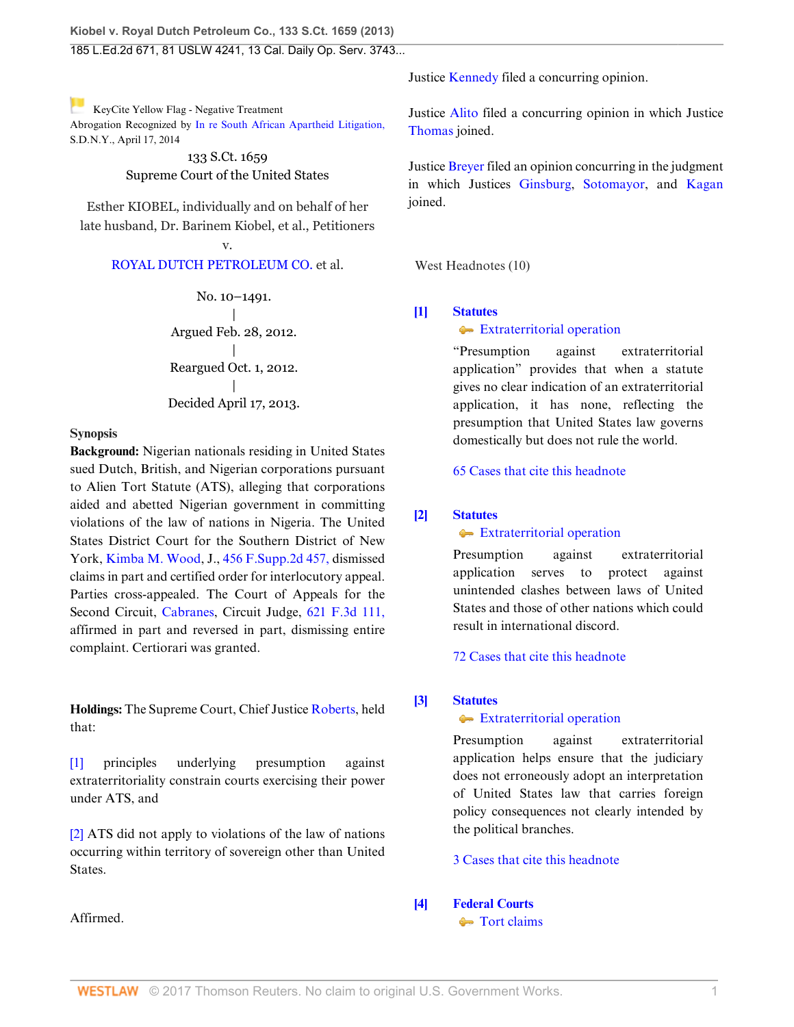[K](https://1.next.westlaw.com/Link/RelatedInformation/Flag?documentGuid=I10b5fb41a74511e2a160cacff148223f&transitionType=Document&originationContext=docHeaderFlag&contextData=(sc.DocLink))eyCite Yellow Flag - Negative Treatment Abrogation Recognized by [In re South African Apartheid Litigation,](https://1.next.westlaw.com/Document/I21953532c99a11e39488c8f438320c70/View/FullText.html?navigationPath=RelatedInfo%2Fv4%2Fkeycite%2Fnav%2F%3Fguid%3DI21953532c99a11e39488c8f438320c70%26ss%3D2030367986%26ds%3D2033228959&listSource=RelatedInfo&list=NegativeCitingReferences&rank=0&originationContext=docHeader&transitionType=NegativeTreatment&contextData=%28sc.DocLink%29) S.D.N.Y., April 17, 2014

> 133 S.Ct. 1659 Supreme Court of the United States

Esther KIOBEL, individually and on behalf of her late husband, Dr. Barinem Kiobel, et al., Petitioners

## v. [ROYAL DUTCH PETROLEUM CO.](http://www.westlaw.com/Search/Results.html?query=advanced%3a+OAID(4295885039)&saveJuris=False&contentType=BUSINESS-INVESTIGATOR&startIndex=1&contextData=(sc.Default)&categoryPageUrl=Home%2fCompanyInvestigator&originationContext=document&vr=3.0&rs=cblt1.0&transitionType=DocumentItem) et al.

No. 10–1491. | Argued Feb. 28, 2012. | Reargued Oct. 1, 2012. | Decided April 17, 2013.

#### **Synopsis**

**Background:** Nigerian nationals residing in United States sued Dutch, British, and Nigerian corporations pursuant to Alien Tort Statute (ATS), alleging that corporations aided and abetted Nigerian government in committing violations of the law of nations in Nigeria. The United States District Court for the Southern District of New York, [Kimba M. Wood,](http://www.westlaw.com/Link/Document/FullText?findType=h&pubNum=176284&cite=0234853501&originatingDoc=I10b5fb41a74511e2a160cacff148223f&refType=RQ&originationContext=document&vr=3.0&rs=cblt1.0&transitionType=DocumentItem&contextData=(sc.DocLink)) J., [456 F.Supp.2d 457,](http://www.westlaw.com/Link/Document/FullText?findType=Y&serNum=2010463880&pubNum=4637&originatingDoc=I10b5fb41a74511e2a160cacff148223f&refType=RP&originationContext=document&vr=3.0&rs=cblt1.0&transitionType=DocumentItem&contextData=(sc.DocLink)) dismissed claims in part and certified order for interlocutory appeal. Parties cross-appealed. The Court of Appeals for the Second Circuit, [Cabranes](http://www.westlaw.com/Link/Document/FullText?findType=h&pubNum=176284&cite=0178507201&originatingDoc=I10b5fb41a74511e2a160cacff148223f&refType=RQ&originationContext=document&vr=3.0&rs=cblt1.0&transitionType=DocumentItem&contextData=(sc.DocLink)), Circuit Judge, [621 F.3d 111,](http://www.westlaw.com/Link/Document/FullText?findType=Y&serNum=2023079291&pubNum=506&originatingDoc=I10b5fb41a74511e2a160cacff148223f&refType=RP&originationContext=document&vr=3.0&rs=cblt1.0&transitionType=DocumentItem&contextData=(sc.DocLink)) affirmed in part and reversed in part, dismissing entire complaint. Certiorari was granted.

**Holdings:** The Supreme Court, Chief Justice [Roberts](http://www.westlaw.com/Link/Document/FullText?findType=h&pubNum=176284&cite=0258116001&originatingDoc=I10b5fb41a74511e2a160cacff148223f&refType=RQ&originationContext=document&vr=3.0&rs=cblt1.0&transitionType=DocumentItem&contextData=(sc.DocLink)), held that:

[\[1\]](#page-1-0) principles underlying presumption against extraterritoriality constrain courts exercising their power under ATS, and

[\[2\]](#page-1-1) ATS did not apply to violations of the law of nations occurring within territory of sovereign other than United States.

Affirmed.

Justice [Kennedy](http://www.westlaw.com/Link/Document/FullText?findType=h&pubNum=176284&cite=0243105201&originatingDoc=I10b5fb41a74511e2a160cacff148223f&refType=RQ&originationContext=document&vr=3.0&rs=cblt1.0&transitionType=DocumentItem&contextData=(sc.DocLink)) filed a concurring opinion.

Justice [Alito](http://www.westlaw.com/Link/Document/FullText?findType=h&pubNum=176284&cite=0153052401&originatingDoc=I10b5fb41a74511e2a160cacff148223f&refType=RQ&originationContext=document&vr=3.0&rs=cblt1.0&transitionType=DocumentItem&contextData=(sc.DocLink)) filed a concurring opinion in which Justice [Thomas](http://www.westlaw.com/Link/Document/FullText?findType=h&pubNum=176284&cite=0216654601&originatingDoc=I10b5fb41a74511e2a160cacff148223f&refType=RQ&originationContext=document&vr=3.0&rs=cblt1.0&transitionType=DocumentItem&contextData=(sc.DocLink)) joined.

Justice [Breyer](http://www.westlaw.com/Link/Document/FullText?findType=h&pubNum=176284&cite=0254766801&originatingDoc=I10b5fb41a74511e2a160cacff148223f&refType=RQ&originationContext=document&vr=3.0&rs=cblt1.0&transitionType=DocumentItem&contextData=(sc.DocLink)) filed an opinion concurring in the judgment in which Justices [Ginsburg,](http://www.westlaw.com/Link/Document/FullText?findType=h&pubNum=176284&cite=0224420501&originatingDoc=I10b5fb41a74511e2a160cacff148223f&refType=RQ&originationContext=document&vr=3.0&rs=cblt1.0&transitionType=DocumentItem&contextData=(sc.DocLink)) [Sotomayor](http://www.westlaw.com/Link/Document/FullText?findType=h&pubNum=176284&cite=0145172701&originatingDoc=I10b5fb41a74511e2a160cacff148223f&refType=RQ&originationContext=document&vr=3.0&rs=cblt1.0&transitionType=DocumentItem&contextData=(sc.DocLink)), and [Kagan](http://www.westlaw.com/Link/Document/FullText?findType=h&pubNum=176284&cite=0301239401&originatingDoc=I10b5fb41a74511e2a160cacff148223f&refType=RQ&originationContext=document&vr=3.0&rs=cblt1.0&transitionType=DocumentItem&contextData=(sc.DocLink)) joined.

West Headnotes (10)

#### <span id="page-0-0"></span>**[\[1\]](#page-4-0) [Statutes](http://www.westlaw.com/Browse/Home/KeyNumber/361/View.html?docGuid=I10b5fb41a74511e2a160cacff148223f&originationContext=document&vr=3.0&rs=cblt1.0&transitionType=DocumentItem&contextData=(sc.DocLink))**

#### **[Extraterritorial operation](http://www.westlaw.com/Browse/Home/KeyNumber/361k1415/View.html?docGuid=I10b5fb41a74511e2a160cacff148223f&originationContext=document&vr=3.0&rs=cblt1.0&transitionType=DocumentItem&contextData=(sc.DocLink))**

"Presumption against extraterritorial application" provides that when a statute gives no clear indication of an extraterritorial application, it has none, reflecting the presumption that United States law governs domestically but does not rule the world.

[65 Cases that cite this headnote](http://www.westlaw.com/Link/RelatedInformation/DocHeadnoteLink?docGuid=I10b5fb41a74511e2a160cacff148223f&headnoteId=203036798600120140210233854&originationContext=document&vr=3.0&rs=cblt1.0&transitionType=CitingReferences&contextData=(sc.DocLink))

### <span id="page-0-1"></span>**[\[2\]](#page-4-1) [Statutes](http://www.westlaw.com/Browse/Home/KeyNumber/361/View.html?docGuid=I10b5fb41a74511e2a160cacff148223f&originationContext=document&vr=3.0&rs=cblt1.0&transitionType=DocumentItem&contextData=(sc.DocLink))**

#### **[Extraterritorial operation](http://www.westlaw.com/Browse/Home/KeyNumber/361k1415/View.html?docGuid=I10b5fb41a74511e2a160cacff148223f&originationContext=document&vr=3.0&rs=cblt1.0&transitionType=DocumentItem&contextData=(sc.DocLink))**

Presumption against extraterritorial application serves to protect against unintended clashes between laws of United States and those of other nations which could result in international discord.

[72 Cases that cite this headnote](http://www.westlaw.com/Link/RelatedInformation/DocHeadnoteLink?docGuid=I10b5fb41a74511e2a160cacff148223f&headnoteId=203036798600220140210233854&originationContext=document&vr=3.0&rs=cblt1.0&transitionType=CitingReferences&contextData=(sc.DocLink))

### <span id="page-0-2"></span>**[\[3\]](#page-4-2) [Statutes](http://www.westlaw.com/Browse/Home/KeyNumber/361/View.html?docGuid=I10b5fb41a74511e2a160cacff148223f&originationContext=document&vr=3.0&rs=cblt1.0&transitionType=DocumentItem&contextData=(sc.DocLink))**

### **[Extraterritorial operation](http://www.westlaw.com/Browse/Home/KeyNumber/361k1415/View.html?docGuid=I10b5fb41a74511e2a160cacff148223f&originationContext=document&vr=3.0&rs=cblt1.0&transitionType=DocumentItem&contextData=(sc.DocLink))**

Presumption against extraterritorial application helps ensure that the judiciary does not erroneously adopt an interpretation of United States law that carries foreign policy consequences not clearly intended by the political branches.

[3 Cases that cite this headnote](http://www.westlaw.com/Link/RelatedInformation/DocHeadnoteLink?docGuid=I10b5fb41a74511e2a160cacff148223f&headnoteId=203036798600320140210233854&originationContext=document&vr=3.0&rs=cblt1.0&transitionType=CitingReferences&contextData=(sc.DocLink))

### <span id="page-0-3"></span>**[\[4\]](#page-4-3) [Federal Courts](http://www.westlaw.com/Browse/Home/KeyNumber/170B/View.html?docGuid=I10b5fb41a74511e2a160cacff148223f&originationContext=document&vr=3.0&rs=cblt1.0&transitionType=DocumentItem&contextData=(sc.DocLink))**

[Tort claims](http://www.westlaw.com/Browse/Home/KeyNumber/170Bk2297/View.html?docGuid=I10b5fb41a74511e2a160cacff148223f&originationContext=document&vr=3.0&rs=cblt1.0&transitionType=DocumentItem&contextData=(sc.DocLink))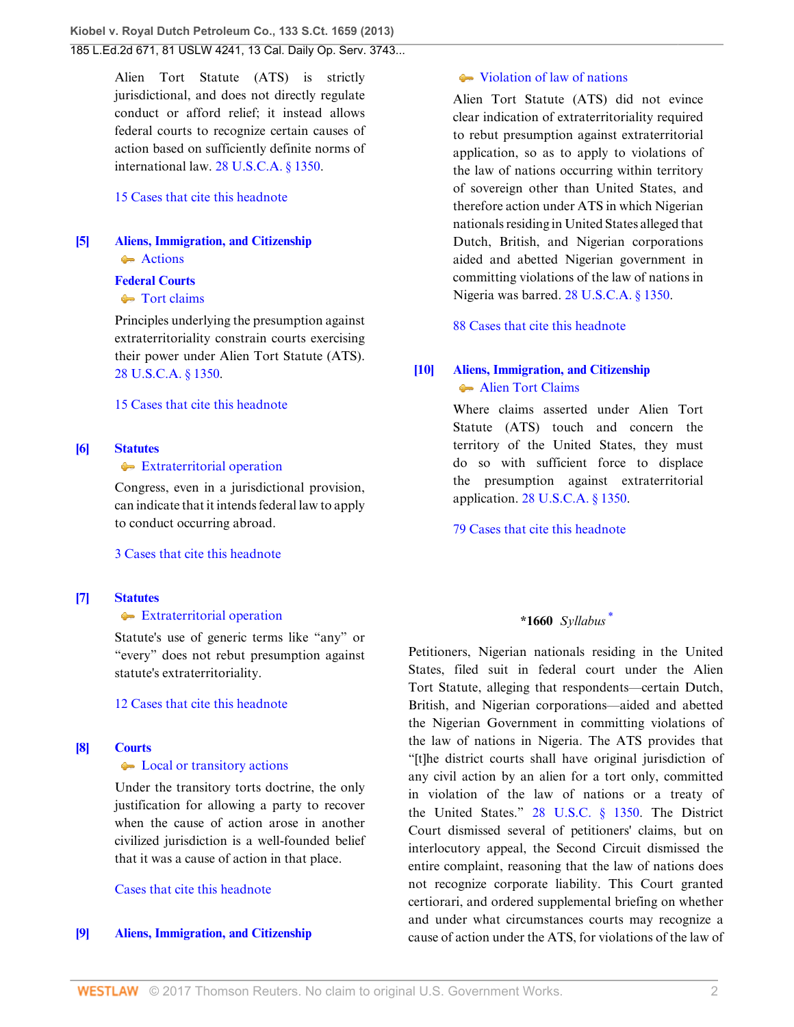Alien Tort Statute (ATS) is strictly jurisdictional, and does not directly regulate conduct or afford relief; it instead allows federal courts to recognize certain causes of action based on sufficiently definite norms of international law. [28 U.S.C.A. § 1350](http://www.westlaw.com/Link/Document/FullText?findType=L&pubNum=1000546&cite=28USCAS1350&originatingDoc=I10b5fb41a74511e2a160cacff148223f&refType=LQ&originationContext=document&vr=3.0&rs=cblt1.0&transitionType=DocumentItem&contextData=(sc.DocLink)).

## [15 Cases that cite this headnote](http://www.westlaw.com/Link/RelatedInformation/DocHeadnoteLink?docGuid=I10b5fb41a74511e2a160cacff148223f&headnoteId=203036798600420140210233854&originationContext=document&vr=3.0&rs=cblt1.0&transitionType=CitingReferences&contextData=(sc.DocLink))

# <span id="page-1-0"></span>**[\[5\]](#page-5-0) [Aliens, Immigration, and Citizenship](http://www.westlaw.com/Browse/Home/KeyNumber/24/View.html?docGuid=I10b5fb41a74511e2a160cacff148223f&originationContext=document&vr=3.0&rs=cblt1.0&transitionType=DocumentItem&contextData=(sc.DocLink))** [Actions](http://www.westlaw.com/Browse/Home/KeyNumber/24k766/View.html?docGuid=I10b5fb41a74511e2a160cacff148223f&originationContext=document&vr=3.0&rs=cblt1.0&transitionType=DocumentItem&contextData=(sc.DocLink))

## **[Federal Courts](http://www.westlaw.com/Browse/Home/KeyNumber/170B/View.html?docGuid=I10b5fb41a74511e2a160cacff148223f&originationContext=document&vr=3.0&rs=cblt1.0&transitionType=DocumentItem&contextData=(sc.DocLink))**

## • [Tort claims](http://www.westlaw.com/Browse/Home/KeyNumber/170Bk2297/View.html?docGuid=I10b5fb41a74511e2a160cacff148223f&originationContext=document&vr=3.0&rs=cblt1.0&transitionType=DocumentItem&contextData=(sc.DocLink))

Principles underlying the presumption against extraterritoriality constrain courts exercising their power under Alien Tort Statute (ATS). [28 U.S.C.A. § 1350](http://www.westlaw.com/Link/Document/FullText?findType=L&pubNum=1000546&cite=28USCAS1350&originatingDoc=I10b5fb41a74511e2a160cacff148223f&refType=LQ&originationContext=document&vr=3.0&rs=cblt1.0&transitionType=DocumentItem&contextData=(sc.DocLink)).

#### [15 Cases that cite this headnote](http://www.westlaw.com/Link/RelatedInformation/DocHeadnoteLink?docGuid=I10b5fb41a74511e2a160cacff148223f&headnoteId=203036798600520140210233854&originationContext=document&vr=3.0&rs=cblt1.0&transitionType=CitingReferences&contextData=(sc.DocLink))

### <span id="page-1-2"></span>**[\[6\]](#page-5-1) [Statutes](http://www.westlaw.com/Browse/Home/KeyNumber/361/View.html?docGuid=I10b5fb41a74511e2a160cacff148223f&originationContext=document&vr=3.0&rs=cblt1.0&transitionType=DocumentItem&contextData=(sc.DocLink))**

### **[Extraterritorial operation](http://www.westlaw.com/Browse/Home/KeyNumber/361k1415/View.html?docGuid=I10b5fb41a74511e2a160cacff148223f&originationContext=document&vr=3.0&rs=cblt1.0&transitionType=DocumentItem&contextData=(sc.DocLink))**

Congress, even in a jurisdictional provision, can indicate that it intends federal law to apply to conduct occurring abroad.

### [3 Cases that cite this headnote](http://www.westlaw.com/Link/RelatedInformation/DocHeadnoteLink?docGuid=I10b5fb41a74511e2a160cacff148223f&headnoteId=203036798600620140210233854&originationContext=document&vr=3.0&rs=cblt1.0&transitionType=CitingReferences&contextData=(sc.DocLink))

## <span id="page-1-3"></span>**[\[7\]](#page-5-2) [Statutes](http://www.westlaw.com/Browse/Home/KeyNumber/361/View.html?docGuid=I10b5fb41a74511e2a160cacff148223f&originationContext=document&vr=3.0&rs=cblt1.0&transitionType=DocumentItem&contextData=(sc.DocLink))**

#### [Extraterritorial operation](http://www.westlaw.com/Browse/Home/KeyNumber/361k1415/View.html?docGuid=I10b5fb41a74511e2a160cacff148223f&originationContext=document&vr=3.0&rs=cblt1.0&transitionType=DocumentItem&contextData=(sc.DocLink))

Statute's use of generic terms like "any" or "every" does not rebut presumption against statute's extraterritoriality.

### [12 Cases that cite this headnote](http://www.westlaw.com/Link/RelatedInformation/DocHeadnoteLink?docGuid=I10b5fb41a74511e2a160cacff148223f&headnoteId=203036798600720140210233854&originationContext=document&vr=3.0&rs=cblt1.0&transitionType=CitingReferences&contextData=(sc.DocLink))

### <span id="page-1-4"></span>**[\[8\]](#page-5-3) [Courts](http://www.westlaw.com/Browse/Home/KeyNumber/106/View.html?docGuid=I10b5fb41a74511e2a160cacff148223f&originationContext=document&vr=3.0&rs=cblt1.0&transitionType=DocumentItem&contextData=(sc.DocLink))**

#### • [Local or transitory actions](http://www.westlaw.com/Browse/Home/KeyNumber/106k7/View.html?docGuid=I10b5fb41a74511e2a160cacff148223f&originationContext=document&vr=3.0&rs=cblt1.0&transitionType=DocumentItem&contextData=(sc.DocLink))

Under the transitory torts doctrine, the only justification for allowing a party to recover when the cause of action arose in another civilized jurisdiction is a well-founded belief that it was a cause of action in that place.

### [Cases that cite this headnote](http://www.westlaw.com/Link/RelatedInformation/DocHeadnoteLink?docGuid=I10b5fb41a74511e2a160cacff148223f&headnoteId=203036798600820140210233854&originationContext=document&vr=3.0&rs=cblt1.0&transitionType=CitingReferences&contextData=(sc.DocLink))

#### <span id="page-1-1"></span>**[\[9\]](#page-8-0) [Aliens, Immigration, and Citizenship](http://www.westlaw.com/Browse/Home/KeyNumber/24/View.html?docGuid=I10b5fb41a74511e2a160cacff148223f&originationContext=document&vr=3.0&rs=cblt1.0&transitionType=DocumentItem&contextData=(sc.DocLink))**

### $\rightarrow$  [Violation of law of nations](http://www.westlaw.com/Browse/Home/KeyNumber/24k763/View.html?docGuid=I10b5fb41a74511e2a160cacff148223f&originationContext=document&vr=3.0&rs=cblt1.0&transitionType=DocumentItem&contextData=(sc.DocLink))

Alien Tort Statute (ATS) did not evince clear indication of extraterritoriality required to rebut presumption against extraterritorial application, so as to apply to violations of the law of nations occurring within territory of sovereign other than United States, and therefore action under ATS in which Nigerian nationals residing in United States alleged that Dutch, British, and Nigerian corporations aided and abetted Nigerian government in committing violations of the law of nations in Nigeria was barred. [28 U.S.C.A. § 1350.](http://www.westlaw.com/Link/Document/FullText?findType=L&pubNum=1000546&cite=28USCAS1350&originatingDoc=I10b5fb41a74511e2a160cacff148223f&refType=LQ&originationContext=document&vr=3.0&rs=cblt1.0&transitionType=DocumentItem&contextData=(sc.DocLink))

[88 Cases that cite this headnote](http://www.westlaw.com/Link/RelatedInformation/DocHeadnoteLink?docGuid=I10b5fb41a74511e2a160cacff148223f&headnoteId=203036798600920140210233854&originationContext=document&vr=3.0&rs=cblt1.0&transitionType=CitingReferences&contextData=(sc.DocLink))

## <span id="page-1-5"></span>**[\[10\]](#page-8-1) [Aliens, Immigration, and Citizenship](http://www.westlaw.com/Browse/Home/KeyNumber/24/View.html?docGuid=I10b5fb41a74511e2a160cacff148223f&originationContext=document&vr=3.0&rs=cblt1.0&transitionType=DocumentItem&contextData=(sc.DocLink))** [Alien Tort Claims](http://www.westlaw.com/Browse/Home/KeyNumber/24IX/View.html?docGuid=I10b5fb41a74511e2a160cacff148223f&originationContext=document&vr=3.0&rs=cblt1.0&transitionType=DocumentItem&contextData=(sc.DocLink))

Where claims asserted under Alien Tort Statute (ATS) touch and concern the territory of the United States, they must do so with sufficient force to displace the presumption against extraterritorial application. [28 U.S.C.A. § 1350](http://www.westlaw.com/Link/Document/FullText?findType=L&pubNum=1000546&cite=28USCAS1350&originatingDoc=I10b5fb41a74511e2a160cacff148223f&refType=LQ&originationContext=document&vr=3.0&rs=cblt1.0&transitionType=DocumentItem&contextData=(sc.DocLink)).

[79 Cases that cite this headnote](http://www.westlaw.com/Link/RelatedInformation/DocHeadnoteLink?docGuid=I10b5fb41a74511e2a160cacff148223f&headnoteId=203036798601020140210233854&originationContext=document&vr=3.0&rs=cblt1.0&transitionType=CitingReferences&contextData=(sc.DocLink))

## <span id="page-1-6"></span>**\*1660** *Syllabus [\\*](#page-15-0)*

Petitioners, Nigerian nationals residing in the United States, filed suit in federal court under the Alien Tort Statute, alleging that respondents—certain Dutch, British, and Nigerian corporations—aided and abetted the Nigerian Government in committing violations of the law of nations in Nigeria. The ATS provides that "[t]he district courts shall have original jurisdiction of any civil action by an alien for a tort only, committed in violation of the law of nations or a treaty of the United States." [28 U.S.C. § 1350](http://www.westlaw.com/Link/Document/FullText?findType=L&pubNum=1000546&cite=28USCAS1350&originatingDoc=I10b5fb41a74511e2a160cacff148223f&refType=LQ&originationContext=document&vr=3.0&rs=cblt1.0&transitionType=DocumentItem&contextData=(sc.DocLink)). The District Court dismissed several of petitioners' claims, but on interlocutory appeal, the Second Circuit dismissed the entire complaint, reasoning that the law of nations does not recognize corporate liability. This Court granted certiorari, and ordered supplemental briefing on whether and under what circumstances courts may recognize a cause of action under the ATS, for violations of the law of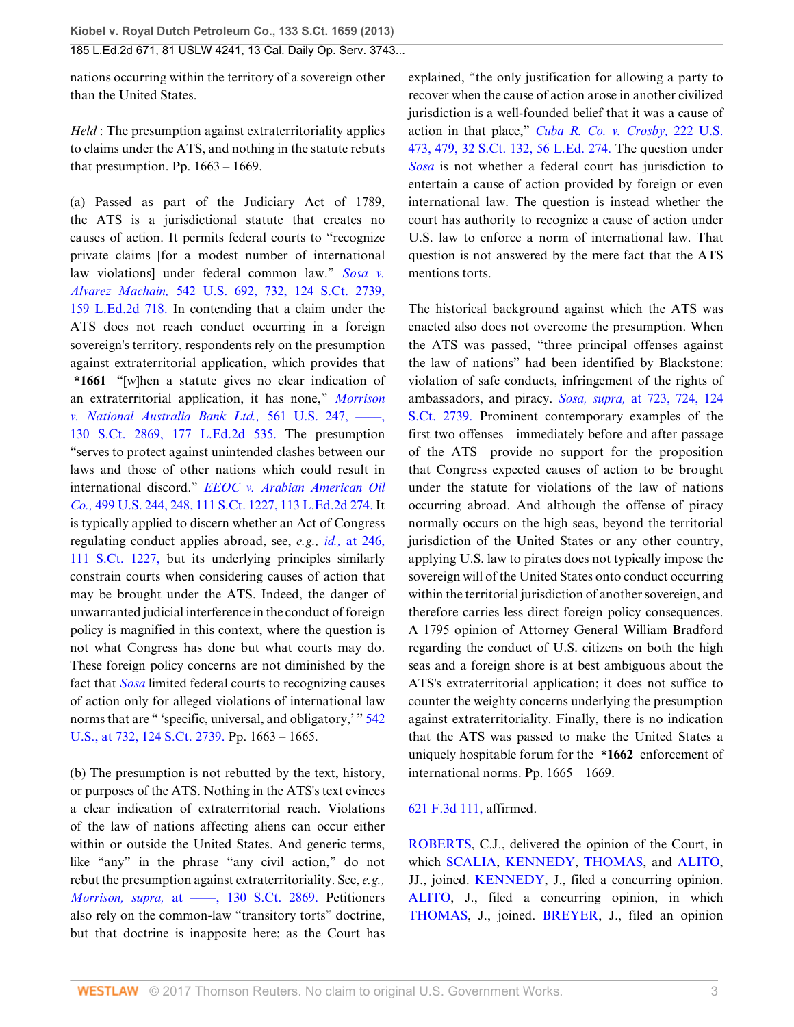nations occurring within the territory of a sovereign other than the United States.

*Held* : The presumption against extraterritoriality applies to claims under the ATS, and nothing in the statute rebuts that presumption. Pp.  $1663 - 1669$ .

(a) Passed as part of the Judiciary Act of 1789, the ATS is a jurisdictional statute that creates no causes of action. It permits federal courts to "recognize private claims [for a modest number of international law violations] under federal common law." *[Sosa v.](http://www.westlaw.com/Link/Document/FullText?findType=Y&serNum=2004637442&pubNum=708&originatingDoc=I10b5fb41a74511e2a160cacff148223f&refType=RP&originationContext=document&vr=3.0&rs=cblt1.0&transitionType=DocumentItem&contextData=(sc.DocLink)) Alvarez–Machain,* [542 U.S. 692, 732, 124 S.Ct. 2739,](http://www.westlaw.com/Link/Document/FullText?findType=Y&serNum=2004637442&pubNum=708&originatingDoc=I10b5fb41a74511e2a160cacff148223f&refType=RP&originationContext=document&vr=3.0&rs=cblt1.0&transitionType=DocumentItem&contextData=(sc.DocLink)) [159 L.Ed.2d 718.](http://www.westlaw.com/Link/Document/FullText?findType=Y&serNum=2004637442&pubNum=708&originatingDoc=I10b5fb41a74511e2a160cacff148223f&refType=RP&originationContext=document&vr=3.0&rs=cblt1.0&transitionType=DocumentItem&contextData=(sc.DocLink)) In contending that a claim under the ATS does not reach conduct occurring in a foreign sovereign's territory, respondents rely on the presumption against extraterritorial application, which provides that **\*1661** "[w]hen a statute gives no clear indication of an extraterritorial application, it has none," *[Morrison](http://www.westlaw.com/Link/Document/FullText?findType=Y&serNum=2022366653&pubNum=708&originatingDoc=I10b5fb41a74511e2a160cacff148223f&refType=RP&originationContext=document&vr=3.0&rs=cblt1.0&transitionType=DocumentItem&contextData=(sc.DocLink)) [v. National Australia Bank Ltd.,](http://www.westlaw.com/Link/Document/FullText?findType=Y&serNum=2022366653&pubNum=708&originatingDoc=I10b5fb41a74511e2a160cacff148223f&refType=RP&originationContext=document&vr=3.0&rs=cblt1.0&transitionType=DocumentItem&contextData=(sc.DocLink))* 561 U.S. 247, ––––, [130 S.Ct. 2869, 177 L.Ed.2d 535.](http://www.westlaw.com/Link/Document/FullText?findType=Y&serNum=2022366653&pubNum=708&originatingDoc=I10b5fb41a74511e2a160cacff148223f&refType=RP&originationContext=document&vr=3.0&rs=cblt1.0&transitionType=DocumentItem&contextData=(sc.DocLink)) The presumption "serves to protect against unintended clashes between our laws and those of other nations which could result in international discord." *[EEOC v. Arabian American Oil](http://www.westlaw.com/Link/Document/FullText?findType=Y&serNum=1991059722&pubNum=708&originatingDoc=I10b5fb41a74511e2a160cacff148223f&refType=RP&originationContext=document&vr=3.0&rs=cblt1.0&transitionType=DocumentItem&contextData=(sc.DocLink)) Co.,* [499 U.S. 244, 248, 111 S.Ct. 1227, 113 L.Ed.2d 274.](http://www.westlaw.com/Link/Document/FullText?findType=Y&serNum=1991059722&pubNum=708&originatingDoc=I10b5fb41a74511e2a160cacff148223f&refType=RP&originationContext=document&vr=3.0&rs=cblt1.0&transitionType=DocumentItem&contextData=(sc.DocLink)) It is typically applied to discern whether an Act of Congress regulating conduct applies abroad, see, *e.g., id.,* [at 246,](http://www.westlaw.com/Link/Document/FullText?findType=Y&serNum=1991059722&pubNum=708&originatingDoc=I10b5fb41a74511e2a160cacff148223f&refType=RP&originationContext=document&vr=3.0&rs=cblt1.0&transitionType=DocumentItem&contextData=(sc.DocLink)) [111 S.Ct. 1227,](http://www.westlaw.com/Link/Document/FullText?findType=Y&serNum=1991059722&pubNum=708&originatingDoc=I10b5fb41a74511e2a160cacff148223f&refType=RP&originationContext=document&vr=3.0&rs=cblt1.0&transitionType=DocumentItem&contextData=(sc.DocLink)) but its underlying principles similarly constrain courts when considering causes of action that may be brought under the ATS. Indeed, the danger of unwarranted judicial interference in the conduct of foreign policy is magnified in this context, where the question is not what Congress has done but what courts may do. These foreign policy concerns are not diminished by the fact that *[Sosa](http://www.westlaw.com/Link/Document/FullText?findType=Y&serNum=2004637442&originatingDoc=I10b5fb41a74511e2a160cacff148223f&refType=RP&originationContext=document&vr=3.0&rs=cblt1.0&transitionType=DocumentItem&contextData=(sc.DocLink))* limited federal courts to recognizing causes of action only for alleged violations of international law norms that are " 'specific, universal, and obligatory,' " [542](http://www.westlaw.com/Link/Document/FullText?findType=Y&serNum=2004637442&pubNum=708&originatingDoc=I10b5fb41a74511e2a160cacff148223f&refType=RP&originationContext=document&vr=3.0&rs=cblt1.0&transitionType=DocumentItem&contextData=(sc.DocLink)) [U.S., at 732, 124 S.Ct. 2739.](http://www.westlaw.com/Link/Document/FullText?findType=Y&serNum=2004637442&pubNum=708&originatingDoc=I10b5fb41a74511e2a160cacff148223f&refType=RP&originationContext=document&vr=3.0&rs=cblt1.0&transitionType=DocumentItem&contextData=(sc.DocLink)) Pp. 1663 – 1665.

(b) The presumption is not rebutted by the text, history, or purposes of the ATS. Nothing in the ATS's text evinces a clear indication of extraterritorial reach. Violations of the law of nations affecting aliens can occur either within or outside the United States. And generic terms, like "any" in the phrase "any civil action," do not rebut the presumption against extraterritoriality. See, *e.g., Morrison, supra, at --, 130 S.Ct. 2869. Petitioners* also rely on the common-law "transitory torts" doctrine, but that doctrine is inapposite here; as the Court has explained, "the only justification for allowing a party to recover when the cause of action arose in another civilized jurisdiction is a well-founded belief that it was a cause of action in that place," *[Cuba R. Co. v. Crosby,](http://www.westlaw.com/Link/Document/FullText?findType=Y&serNum=1912100454&pubNum=708&originatingDoc=I10b5fb41a74511e2a160cacff148223f&refType=RP&originationContext=document&vr=3.0&rs=cblt1.0&transitionType=DocumentItem&contextData=(sc.DocLink))* 222 U.S. [473, 479, 32 S.Ct. 132, 56 L.Ed. 274.](http://www.westlaw.com/Link/Document/FullText?findType=Y&serNum=1912100454&pubNum=708&originatingDoc=I10b5fb41a74511e2a160cacff148223f&refType=RP&originationContext=document&vr=3.0&rs=cblt1.0&transitionType=DocumentItem&contextData=(sc.DocLink)) The question under *[Sosa](http://www.westlaw.com/Link/Document/FullText?findType=Y&serNum=2004637442&originatingDoc=I10b5fb41a74511e2a160cacff148223f&refType=RP&originationContext=document&vr=3.0&rs=cblt1.0&transitionType=DocumentItem&contextData=(sc.DocLink))* is not whether a federal court has jurisdiction to entertain a cause of action provided by foreign or even international law. The question is instead whether the court has authority to recognize a cause of action under U.S. law to enforce a norm of international law. That question is not answered by the mere fact that the ATS mentions torts.

The historical background against which the ATS was enacted also does not overcome the presumption. When the ATS was passed, "three principal offenses against the law of nations" had been identified by Blackstone: violation of safe conducts, infringement of the rights of ambassadors, and piracy. *Sosa, supra,* [at 723, 724, 124](http://www.westlaw.com/Link/Document/FullText?findType=Y&serNum=2004637442&pubNum=708&originatingDoc=I10b5fb41a74511e2a160cacff148223f&refType=RP&originationContext=document&vr=3.0&rs=cblt1.0&transitionType=DocumentItem&contextData=(sc.DocLink)) [S.Ct. 2739.](http://www.westlaw.com/Link/Document/FullText?findType=Y&serNum=2004637442&pubNum=708&originatingDoc=I10b5fb41a74511e2a160cacff148223f&refType=RP&originationContext=document&vr=3.0&rs=cblt1.0&transitionType=DocumentItem&contextData=(sc.DocLink)) Prominent contemporary examples of the first two offenses—immediately before and after passage of the ATS—provide no support for the proposition that Congress expected causes of action to be brought under the statute for violations of the law of nations occurring abroad. And although the offense of piracy normally occurs on the high seas, beyond the territorial jurisdiction of the United States or any other country, applying U.S. law to pirates does not typically impose the sovereign will of the United States onto conduct occurring within the territorial jurisdiction of another sovereign, and therefore carries less direct foreign policy consequences. A 1795 opinion of Attorney General William Bradford regarding the conduct of U.S. citizens on both the high seas and a foreign shore is at best ambiguous about the ATS's extraterritorial application; it does not suffice to counter the weighty concerns underlying the presumption against extraterritoriality. Finally, there is no indication that the ATS was passed to make the United States a uniquely hospitable forum for the **\*1662** enforcement of international norms. Pp. 1665 – 1669.

## [621 F.3d 111,](http://www.westlaw.com/Link/Document/FullText?findType=Y&serNum=2023079291&pubNum=506&originatingDoc=I10b5fb41a74511e2a160cacff148223f&refType=RP&originationContext=document&vr=3.0&rs=cblt1.0&transitionType=DocumentItem&contextData=(sc.DocLink)) affirmed.

[ROBERTS,](http://www.westlaw.com/Link/Document/FullText?findType=h&pubNum=176284&cite=0258116001&originatingDoc=I10b5fb41a74511e2a160cacff148223f&refType=RQ&originationContext=document&vr=3.0&rs=cblt1.0&transitionType=DocumentItem&contextData=(sc.DocLink)) C.J., delivered the opinion of the Court, in which [SCALIA,](http://www.westlaw.com/Link/Document/FullText?findType=h&pubNum=176284&cite=0254763301&originatingDoc=I10b5fb41a74511e2a160cacff148223f&refType=RQ&originationContext=document&vr=3.0&rs=cblt1.0&transitionType=DocumentItem&contextData=(sc.DocLink)) [KENNEDY,](http://www.westlaw.com/Link/Document/FullText?findType=h&pubNum=176284&cite=0243105201&originatingDoc=I10b5fb41a74511e2a160cacff148223f&refType=RQ&originationContext=document&vr=3.0&rs=cblt1.0&transitionType=DocumentItem&contextData=(sc.DocLink)) [THOMAS,](http://www.westlaw.com/Link/Document/FullText?findType=h&pubNum=176284&cite=0216654601&originatingDoc=I10b5fb41a74511e2a160cacff148223f&refType=RQ&originationContext=document&vr=3.0&rs=cblt1.0&transitionType=DocumentItem&contextData=(sc.DocLink)) and [ALITO](http://www.westlaw.com/Link/Document/FullText?findType=h&pubNum=176284&cite=0153052401&originatingDoc=I10b5fb41a74511e2a160cacff148223f&refType=RQ&originationContext=document&vr=3.0&rs=cblt1.0&transitionType=DocumentItem&contextData=(sc.DocLink)), JJ., joined. [KENNEDY](http://www.westlaw.com/Link/Document/FullText?findType=h&pubNum=176284&cite=0243105201&originatingDoc=I10b5fb41a74511e2a160cacff148223f&refType=RQ&originationContext=document&vr=3.0&rs=cblt1.0&transitionType=DocumentItem&contextData=(sc.DocLink)), J., filed a concurring opinion. [ALITO,](http://www.westlaw.com/Link/Document/FullText?findType=h&pubNum=176284&cite=0153052401&originatingDoc=I10b5fb41a74511e2a160cacff148223f&refType=RQ&originationContext=document&vr=3.0&rs=cblt1.0&transitionType=DocumentItem&contextData=(sc.DocLink)) J., filed a concurring opinion, in which [THOMAS,](http://www.westlaw.com/Link/Document/FullText?findType=h&pubNum=176284&cite=0216654601&originatingDoc=I10b5fb41a74511e2a160cacff148223f&refType=RQ&originationContext=document&vr=3.0&rs=cblt1.0&transitionType=DocumentItem&contextData=(sc.DocLink)) J., joined. [BREYER,](http://www.westlaw.com/Link/Document/FullText?findType=h&pubNum=176284&cite=0254766801&originatingDoc=I10b5fb41a74511e2a160cacff148223f&refType=RQ&originationContext=document&vr=3.0&rs=cblt1.0&transitionType=DocumentItem&contextData=(sc.DocLink)) J., filed an opinion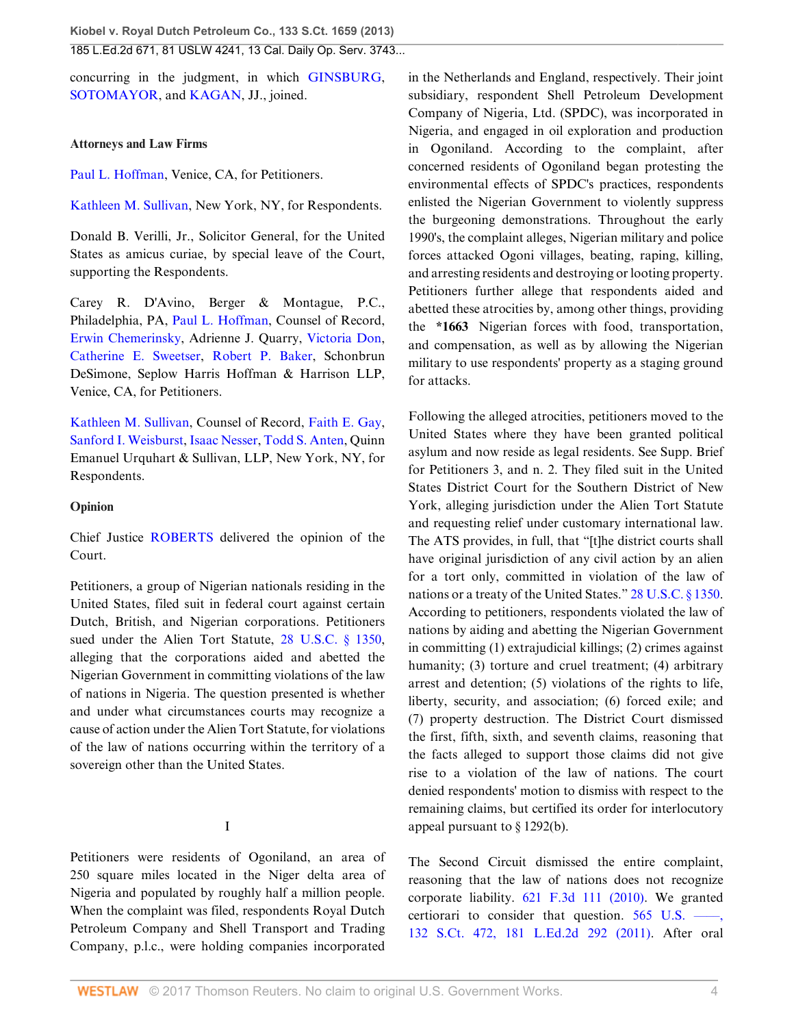concurring in the judgment, in which [GINSBURG](http://www.westlaw.com/Link/Document/FullText?findType=h&pubNum=176284&cite=0224420501&originatingDoc=I10b5fb41a74511e2a160cacff148223f&refType=RQ&originationContext=document&vr=3.0&rs=cblt1.0&transitionType=DocumentItem&contextData=(sc.DocLink)), [SOTOMAYOR](http://www.westlaw.com/Link/Document/FullText?findType=h&pubNum=176284&cite=0145172701&originatingDoc=I10b5fb41a74511e2a160cacff148223f&refType=RQ&originationContext=document&vr=3.0&rs=cblt1.0&transitionType=DocumentItem&contextData=(sc.DocLink)), and [KAGAN](http://www.westlaw.com/Link/Document/FullText?findType=h&pubNum=176284&cite=0301239401&originatingDoc=I10b5fb41a74511e2a160cacff148223f&refType=RQ&originationContext=document&vr=3.0&rs=cblt1.0&transitionType=DocumentItem&contextData=(sc.DocLink)), JJ., joined.

### **Attorneys and Law Firms**

[Paul L. Hoffman,](http://www.westlaw.com/Link/Document/FullText?findType=h&pubNum=176284&cite=0336570501&originatingDoc=I10b5fb41a74511e2a160cacff148223f&refType=RQ&originationContext=document&vr=3.0&rs=cblt1.0&transitionType=DocumentItem&contextData=(sc.DocLink)) Venice, CA, for Petitioners.

[Kathleen M. Sullivan](http://www.westlaw.com/Link/Document/FullText?findType=h&pubNum=176284&cite=0358716601&originatingDoc=I10b5fb41a74511e2a160cacff148223f&refType=RQ&originationContext=document&vr=3.0&rs=cblt1.0&transitionType=DocumentItem&contextData=(sc.DocLink)), New York, NY, for Respondents.

Donald B. Verilli, Jr., Solicitor General, for the United States as amicus curiae, by special leave of the Court, supporting the Respondents.

Carey R. D'Avino, Berger & Montague, P.C., Philadelphia, PA, [Paul L. Hoffman](http://www.westlaw.com/Link/Document/FullText?findType=h&pubNum=176284&cite=0336570501&originatingDoc=I10b5fb41a74511e2a160cacff148223f&refType=RQ&originationContext=document&vr=3.0&rs=cblt1.0&transitionType=DocumentItem&contextData=(sc.DocLink)), Counsel of Record, [Erwin Chemerinsky,](http://www.westlaw.com/Link/Document/FullText?findType=h&pubNum=176284&cite=0343376201&originatingDoc=I10b5fb41a74511e2a160cacff148223f&refType=RQ&originationContext=document&vr=3.0&rs=cblt1.0&transitionType=DocumentItem&contextData=(sc.DocLink)) Adrienne J. Quarry, [Victoria Don](http://www.westlaw.com/Link/Document/FullText?findType=h&pubNum=176284&cite=0427286701&originatingDoc=I10b5fb41a74511e2a160cacff148223f&refType=RQ&originationContext=document&vr=3.0&rs=cblt1.0&transitionType=DocumentItem&contextData=(sc.DocLink)), [Catherine E. Sweetser,](http://www.westlaw.com/Link/Document/FullText?findType=h&pubNum=176284&cite=0461843901&originatingDoc=I10b5fb41a74511e2a160cacff148223f&refType=RQ&originationContext=document&vr=3.0&rs=cblt1.0&transitionType=DocumentItem&contextData=(sc.DocLink)) [Robert P. Baker](http://www.westlaw.com/Link/Document/FullText?findType=h&pubNum=176284&cite=0121065101&originatingDoc=I10b5fb41a74511e2a160cacff148223f&refType=RQ&originationContext=document&vr=3.0&rs=cblt1.0&transitionType=DocumentItem&contextData=(sc.DocLink)), Schonbrun DeSimone, Seplow Harris Hoffman & Harrison LLP, Venice, CA, for Petitioners.

[Kathleen M. Sullivan](http://www.westlaw.com/Link/Document/FullText?findType=h&pubNum=176284&cite=0358716601&originatingDoc=I10b5fb41a74511e2a160cacff148223f&refType=RQ&originationContext=document&vr=3.0&rs=cblt1.0&transitionType=DocumentItem&contextData=(sc.DocLink)), Counsel of Record, [Faith E. Gay](http://www.westlaw.com/Link/Document/FullText?findType=h&pubNum=176284&cite=0118444501&originatingDoc=I10b5fb41a74511e2a160cacff148223f&refType=RQ&originationContext=document&vr=3.0&rs=cblt1.0&transitionType=DocumentItem&contextData=(sc.DocLink)), [Sanford I. Weisburst,](http://www.westlaw.com/Link/Document/FullText?findType=h&pubNum=176284&cite=0358717501&originatingDoc=I10b5fb41a74511e2a160cacff148223f&refType=RQ&originationContext=document&vr=3.0&rs=cblt1.0&transitionType=DocumentItem&contextData=(sc.DocLink)) [Isaac Nesser,](http://www.westlaw.com/Link/Document/FullText?findType=h&pubNum=176284&cite=0335397601&originatingDoc=I10b5fb41a74511e2a160cacff148223f&refType=RQ&originationContext=document&vr=3.0&rs=cblt1.0&transitionType=DocumentItem&contextData=(sc.DocLink)) [Todd S. Anten](http://www.westlaw.com/Link/Document/FullText?findType=h&pubNum=176284&cite=0370720801&originatingDoc=I10b5fb41a74511e2a160cacff148223f&refType=RQ&originationContext=document&vr=3.0&rs=cblt1.0&transitionType=DocumentItem&contextData=(sc.DocLink)), Quinn Emanuel Urquhart & Sullivan, LLP, New York, NY, for Respondents.

## **Opinion**

Chief Justice [ROBERTS](http://www.westlaw.com/Link/Document/FullText?findType=h&pubNum=176284&cite=0258116001&originatingDoc=I10b5fb41a74511e2a160cacff148223f&refType=RQ&originationContext=document&vr=3.0&rs=cblt1.0&transitionType=DocumentItem&contextData=(sc.DocLink)) delivered the opinion of the Court.

Petitioners, a group of Nigerian nationals residing in the United States, filed suit in federal court against certain Dutch, British, and Nigerian corporations. Petitioners sued under the Alien Tort Statute, [28 U.S.C. § 1350](http://www.westlaw.com/Link/Document/FullText?findType=L&pubNum=1000546&cite=28USCAS1350&originatingDoc=I10b5fb41a74511e2a160cacff148223f&refType=LQ&originationContext=document&vr=3.0&rs=cblt1.0&transitionType=DocumentItem&contextData=(sc.DocLink)), alleging that the corporations aided and abetted the Nigerian Government in committing violations of the law of nations in Nigeria. The question presented is whether and under what circumstances courts may recognize a cause of action under the Alien Tort Statute, for violations of the law of nations occurring within the territory of a sovereign other than the United States.

## I

Petitioners were residents of Ogoniland, an area of 250 square miles located in the Niger delta area of Nigeria and populated by roughly half a million people. When the complaint was filed, respondents Royal Dutch Petroleum Company and Shell Transport and Trading Company, p.l.c., were holding companies incorporated

in the Netherlands and England, respectively. Their joint subsidiary, respondent Shell Petroleum Development Company of Nigeria, Ltd. (SPDC), was incorporated in Nigeria, and engaged in oil exploration and production in Ogoniland. According to the complaint, after concerned residents of Ogoniland began protesting the environmental effects of SPDC's practices, respondents enlisted the Nigerian Government to violently suppress the burgeoning demonstrations. Throughout the early 1990's, the complaint alleges, Nigerian military and police forces attacked Ogoni villages, beating, raping, killing, and arresting residents and destroying or looting property. Petitioners further allege that respondents aided and abetted these atrocities by, among other things, providing the **\*1663** Nigerian forces with food, transportation, and compensation, as well as by allowing the Nigerian military to use respondents' property as a staging ground for attacks.

Following the alleged atrocities, petitioners moved to the United States where they have been granted political asylum and now reside as legal residents. See Supp. Brief for Petitioners 3, and n. 2. They filed suit in the United States District Court for the Southern District of New York, alleging jurisdiction under the Alien Tort Statute and requesting relief under customary international law. The ATS provides, in full, that "[t]he district courts shall have original jurisdiction of any civil action by an alien for a tort only, committed in violation of the law of nations or a treaty of the United States." [28 U.S.C. § 1350](http://www.westlaw.com/Link/Document/FullText?findType=L&pubNum=1000546&cite=28USCAS1350&originatingDoc=I10b5fb41a74511e2a160cacff148223f&refType=LQ&originationContext=document&vr=3.0&rs=cblt1.0&transitionType=DocumentItem&contextData=(sc.DocLink)). According to petitioners, respondents violated the law of nations by aiding and abetting the Nigerian Government in committing (1) extrajudicial killings; (2) crimes against humanity; (3) torture and cruel treatment; (4) arbitrary arrest and detention; (5) violations of the rights to life, liberty, security, and association; (6) forced exile; and (7) property destruction. The District Court dismissed the first, fifth, sixth, and seventh claims, reasoning that the facts alleged to support those claims did not give rise to a violation of the law of nations. The court denied respondents' motion to dismiss with respect to the remaining claims, but certified its order for interlocutory appeal pursuant to § 1292(b).

The Second Circuit dismissed the entire complaint, reasoning that the law of nations does not recognize corporate liability. [621 F.3d 111 \(2010\).](http://www.westlaw.com/Link/Document/FullText?findType=Y&serNum=2023079291&pubNum=506&originatingDoc=I10b5fb41a74511e2a160cacff148223f&refType=RP&originationContext=document&vr=3.0&rs=cblt1.0&transitionType=DocumentItem&contextData=(sc.DocLink)) We granted certiorari to consider that question.  $565$  U.S. – [132 S.Ct. 472, 181 L.Ed.2d 292 \(2011\).](http://www.westlaw.com/Link/Document/FullText?findType=Y&serNum=2026342010&pubNum=708&originatingDoc=I10b5fb41a74511e2a160cacff148223f&refType=RP&originationContext=document&vr=3.0&rs=cblt1.0&transitionType=DocumentItem&contextData=(sc.DocLink)) After oral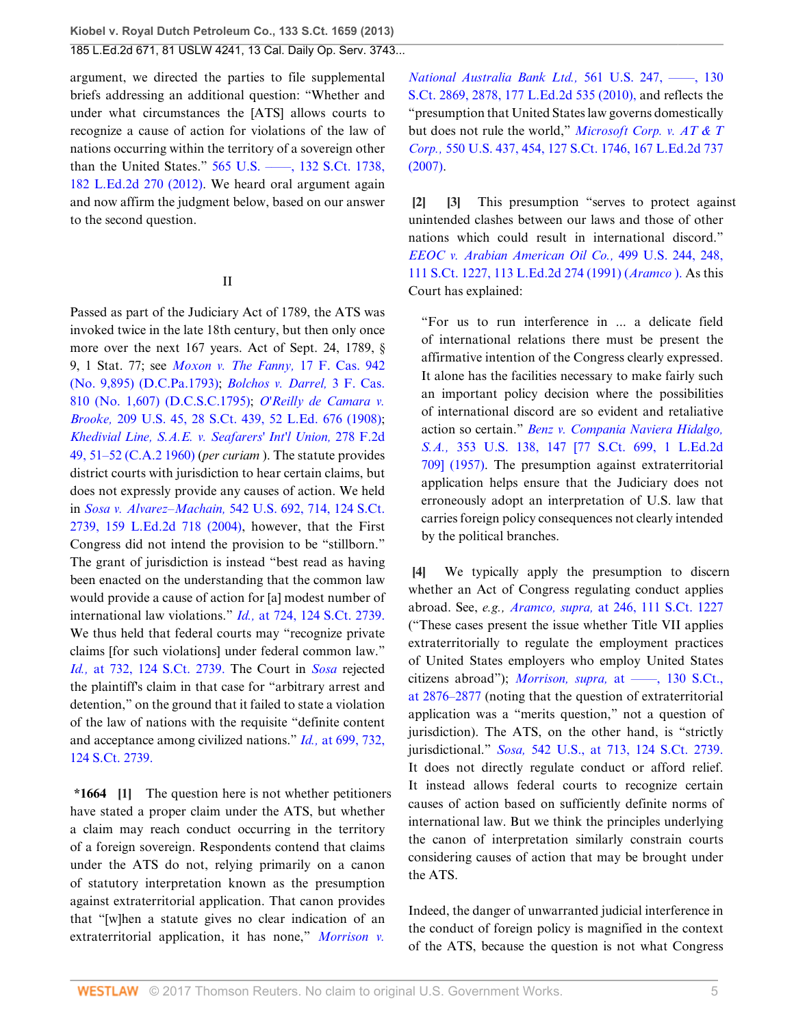argument, we directed the parties to file supplemental briefs addressing an additional question: "Whether and under what circumstances the [ATS] allows courts to recognize a cause of action for violations of the law of nations occurring within the territory of a sovereign other than the United States." [565 U.S. ––––, 132 S.Ct. 1738,](http://www.westlaw.com/Link/Document/FullText?findType=Y&serNum=2027248135&pubNum=708&originatingDoc=I10b5fb41a74511e2a160cacff148223f&refType=RP&originationContext=document&vr=3.0&rs=cblt1.0&transitionType=DocumentItem&contextData=(sc.DocLink)) [182 L.Ed.2d 270 \(2012\)](http://www.westlaw.com/Link/Document/FullText?findType=Y&serNum=2027248135&pubNum=708&originatingDoc=I10b5fb41a74511e2a160cacff148223f&refType=RP&originationContext=document&vr=3.0&rs=cblt1.0&transitionType=DocumentItem&contextData=(sc.DocLink)). We heard oral argument again and now affirm the judgment below, based on our answer to the second question.

## II

Passed as part of the Judiciary Act of 1789, the ATS was invoked twice in the late 18th century, but then only once more over the next 167 years. Act of Sept. 24, 1789, § 9, 1 Stat. 77; see *[Moxon v. The Fanny,](http://www.westlaw.com/Link/Document/FullText?findType=Y&serNum=1700115729&pubNum=349&originatingDoc=I10b5fb41a74511e2a160cacff148223f&refType=RP&originationContext=document&vr=3.0&rs=cblt1.0&transitionType=DocumentItem&contextData=(sc.DocLink))* 17 F. Cas. 942 [\(No. 9,895\) \(D.C.Pa.1793\);](http://www.westlaw.com/Link/Document/FullText?findType=Y&serNum=1700115729&pubNum=349&originatingDoc=I10b5fb41a74511e2a160cacff148223f&refType=RP&originationContext=document&vr=3.0&rs=cblt1.0&transitionType=DocumentItem&contextData=(sc.DocLink)) *[Bolchos v. Darrel,](http://www.westlaw.com/Link/Document/FullText?findType=Y&serNum=1700146635&pubNum=349&originatingDoc=I10b5fb41a74511e2a160cacff148223f&refType=RP&originationContext=document&vr=3.0&rs=cblt1.0&transitionType=DocumentItem&contextData=(sc.DocLink))* 3 F. Cas. [810 \(No. 1,607\) \(D.C.S.C.1795\)](http://www.westlaw.com/Link/Document/FullText?findType=Y&serNum=1700146635&pubNum=349&originatingDoc=I10b5fb41a74511e2a160cacff148223f&refType=RP&originationContext=document&vr=3.0&rs=cblt1.0&transitionType=DocumentItem&contextData=(sc.DocLink)); *[O'Reilly de Camara v.](http://www.westlaw.com/Link/Document/FullText?findType=Y&serNum=1908100369&pubNum=708&originatingDoc=I10b5fb41a74511e2a160cacff148223f&refType=RP&originationContext=document&vr=3.0&rs=cblt1.0&transitionType=DocumentItem&contextData=(sc.DocLink)) Brooke,* [209 U.S. 45, 28 S.Ct. 439, 52 L.Ed. 676 \(1908\)](http://www.westlaw.com/Link/Document/FullText?findType=Y&serNum=1908100369&pubNum=708&originatingDoc=I10b5fb41a74511e2a160cacff148223f&refType=RP&originationContext=document&vr=3.0&rs=cblt1.0&transitionType=DocumentItem&contextData=(sc.DocLink)); *[Khedivial Line, S.A.E. v. Seafarers' Int'l Union,](http://www.westlaw.com/Link/Document/FullText?findType=Y&serNum=1960113041&pubNum=350&originatingDoc=I10b5fb41a74511e2a160cacff148223f&refType=RP&fi=co_pp_sp_350_51&originationContext=document&vr=3.0&rs=cblt1.0&transitionType=DocumentItem&contextData=(sc.DocLink)#co_pp_sp_350_51)* 278 F.2d [49, 51–52 \(C.A.2 1960\)](http://www.westlaw.com/Link/Document/FullText?findType=Y&serNum=1960113041&pubNum=350&originatingDoc=I10b5fb41a74511e2a160cacff148223f&refType=RP&fi=co_pp_sp_350_51&originationContext=document&vr=3.0&rs=cblt1.0&transitionType=DocumentItem&contextData=(sc.DocLink)#co_pp_sp_350_51) (*per curiam* ). The statute provides district courts with jurisdiction to hear certain claims, but does not expressly provide any causes of action. We held in *Sosa v. Alvarez–Machain,* [542 U.S. 692, 714, 124 S.Ct.](http://www.westlaw.com/Link/Document/FullText?findType=Y&serNum=2004637442&pubNum=708&originatingDoc=I10b5fb41a74511e2a160cacff148223f&refType=RP&originationContext=document&vr=3.0&rs=cblt1.0&transitionType=DocumentItem&contextData=(sc.DocLink)) [2739, 159 L.Ed.2d 718 \(2004\),](http://www.westlaw.com/Link/Document/FullText?findType=Y&serNum=2004637442&pubNum=708&originatingDoc=I10b5fb41a74511e2a160cacff148223f&refType=RP&originationContext=document&vr=3.0&rs=cblt1.0&transitionType=DocumentItem&contextData=(sc.DocLink)) however, that the First Congress did not intend the provision to be "stillborn." The grant of jurisdiction is instead "best read as having been enacted on the understanding that the common law would provide a cause of action for [a] modest number of international law violations." *Id.,* [at 724, 124 S.Ct. 2739.](http://www.westlaw.com/Link/Document/FullText?findType=Y&serNum=2004637442&pubNum=708&originatingDoc=I10b5fb41a74511e2a160cacff148223f&refType=RP&originationContext=document&vr=3.0&rs=cblt1.0&transitionType=DocumentItem&contextData=(sc.DocLink)) We thus held that federal courts may "recognize private claims [for such violations] under federal common law." *Id.,* [at 732, 124 S.Ct. 2739.](http://www.westlaw.com/Link/Document/FullText?findType=Y&serNum=2004637442&pubNum=708&originatingDoc=I10b5fb41a74511e2a160cacff148223f&refType=RP&originationContext=document&vr=3.0&rs=cblt1.0&transitionType=DocumentItem&contextData=(sc.DocLink)) The Court in *[Sosa](http://www.westlaw.com/Link/Document/FullText?findType=Y&serNum=2004637442&originatingDoc=I10b5fb41a74511e2a160cacff148223f&refType=RP&originationContext=document&vr=3.0&rs=cblt1.0&transitionType=DocumentItem&contextData=(sc.DocLink))* rejected the plaintiff's claim in that case for "arbitrary arrest and detention," on the ground that it failed to state a violation of the law of nations with the requisite "definite content and acceptance among civilized nations." *Id.,* [at 699, 732,](http://www.westlaw.com/Link/Document/FullText?findType=Y&serNum=2004637442&pubNum=708&originatingDoc=I10b5fb41a74511e2a160cacff148223f&refType=RP&originationContext=document&vr=3.0&rs=cblt1.0&transitionType=DocumentItem&contextData=(sc.DocLink)) [124 S.Ct. 2739.](http://www.westlaw.com/Link/Document/FullText?findType=Y&serNum=2004637442&pubNum=708&originatingDoc=I10b5fb41a74511e2a160cacff148223f&refType=RP&originationContext=document&vr=3.0&rs=cblt1.0&transitionType=DocumentItem&contextData=(sc.DocLink))

<span id="page-4-0"></span>**\*1664 [\[1](#page-0-0)]** The question here is not whether petitioners have stated a proper claim under the ATS, but whether a claim may reach conduct occurring in the territory of a foreign sovereign. Respondents contend that claims under the ATS do not, relying primarily on a canon of statutory interpretation known as the presumption against extraterritorial application. That canon provides that "[w]hen a statute gives no clear indication of an extraterritorial application, it has none," *[Morrison v.](http://www.westlaw.com/Link/Document/FullText?findType=Y&serNum=2022366653&pubNum=708&originatingDoc=I10b5fb41a74511e2a160cacff148223f&refType=RP&fi=co_pp_sp_708_2878&originationContext=document&vr=3.0&rs=cblt1.0&transitionType=DocumentItem&contextData=(sc.DocLink)#co_pp_sp_708_2878)*

*[National Australia Bank Ltd.,](http://www.westlaw.com/Link/Document/FullText?findType=Y&serNum=2022366653&pubNum=708&originatingDoc=I10b5fb41a74511e2a160cacff148223f&refType=RP&fi=co_pp_sp_708_2878&originationContext=document&vr=3.0&rs=cblt1.0&transitionType=DocumentItem&contextData=(sc.DocLink)#co_pp_sp_708_2878)* 561 U.S. 247, ––––, 130 [S.Ct. 2869, 2878, 177 L.Ed.2d 535 \(2010\),](http://www.westlaw.com/Link/Document/FullText?findType=Y&serNum=2022366653&pubNum=708&originatingDoc=I10b5fb41a74511e2a160cacff148223f&refType=RP&fi=co_pp_sp_708_2878&originationContext=document&vr=3.0&rs=cblt1.0&transitionType=DocumentItem&contextData=(sc.DocLink)#co_pp_sp_708_2878) and reflects the "presumption that United States law governs domestically but does not rule the world," *[Microsoft Corp. v. AT & T](http://www.westlaw.com/Link/Document/FullText?findType=Y&serNum=2012126123&pubNum=708&originatingDoc=I10b5fb41a74511e2a160cacff148223f&refType=RP&originationContext=document&vr=3.0&rs=cblt1.0&transitionType=DocumentItem&contextData=(sc.DocLink)) Corp.,* [550 U.S. 437, 454, 127 S.Ct. 1746, 167 L.Ed.2d 737](http://www.westlaw.com/Link/Document/FullText?findType=Y&serNum=2012126123&pubNum=708&originatingDoc=I10b5fb41a74511e2a160cacff148223f&refType=RP&originationContext=document&vr=3.0&rs=cblt1.0&transitionType=DocumentItem&contextData=(sc.DocLink)) [\(2007\).](http://www.westlaw.com/Link/Document/FullText?findType=Y&serNum=2012126123&pubNum=708&originatingDoc=I10b5fb41a74511e2a160cacff148223f&refType=RP&originationContext=document&vr=3.0&rs=cblt1.0&transitionType=DocumentItem&contextData=(sc.DocLink))

<span id="page-4-2"></span><span id="page-4-1"></span>**[\[2](#page-0-1)] [\[3](#page-0-2)]** This presumption "serves to protect against unintended clashes between our laws and those of other nations which could result in international discord." *[EEOC v. Arabian American Oil Co.,](http://www.westlaw.com/Link/Document/FullText?findType=Y&serNum=1991059722&pubNum=708&originatingDoc=I10b5fb41a74511e2a160cacff148223f&refType=RP&originationContext=document&vr=3.0&rs=cblt1.0&transitionType=DocumentItem&contextData=(sc.DocLink))* 499 U.S. 244, 248, [111 S.Ct. 1227, 113 L.Ed.2d 274 \(1991\)](http://www.westlaw.com/Link/Document/FullText?findType=Y&serNum=1991059722&pubNum=708&originatingDoc=I10b5fb41a74511e2a160cacff148223f&refType=RP&originationContext=document&vr=3.0&rs=cblt1.0&transitionType=DocumentItem&contextData=(sc.DocLink)) (*[Aramco](http://www.westlaw.com/Link/Document/FullText?findType=Y&serNum=1991059722&originatingDoc=I10b5fb41a74511e2a160cacff148223f&refType=RP&originationContext=document&vr=3.0&rs=cblt1.0&transitionType=DocumentItem&contextData=(sc.DocLink))* ). As this Court has explained:

"For us to run interference in ... a delicate field of international relations there must be present the affirmative intention of the Congress clearly expressed. It alone has the facilities necessary to make fairly such an important policy decision where the possibilities of international discord are so evident and retaliative action so certain." *[Benz v. Compania Naviera Hidalgo,](http://www.westlaw.com/Link/Document/FullText?findType=Y&serNum=1957100353&pubNum=708&originatingDoc=I10b5fb41a74511e2a160cacff148223f&refType=RP&originationContext=document&vr=3.0&rs=cblt1.0&transitionType=DocumentItem&contextData=(sc.DocLink)) S.A.,* [353 U.S. 138, 147 \[77 S.Ct. 699, 1 L.Ed.2d](http://www.westlaw.com/Link/Document/FullText?findType=Y&serNum=1957100353&pubNum=708&originatingDoc=I10b5fb41a74511e2a160cacff148223f&refType=RP&originationContext=document&vr=3.0&rs=cblt1.0&transitionType=DocumentItem&contextData=(sc.DocLink)) [709\] \(1957\).](http://www.westlaw.com/Link/Document/FullText?findType=Y&serNum=1957100353&pubNum=708&originatingDoc=I10b5fb41a74511e2a160cacff148223f&refType=RP&originationContext=document&vr=3.0&rs=cblt1.0&transitionType=DocumentItem&contextData=(sc.DocLink)) The presumption against extraterritorial application helps ensure that the Judiciary does not erroneously adopt an interpretation of U.S. law that carries foreign policy consequences not clearly intended by the political branches.

<span id="page-4-3"></span>**[\[4](#page-0-3)]** We typically apply the presumption to discern whether an Act of Congress regulating conduct applies abroad. See, *e.g., Aramco, supra,* [at 246, 111 S.Ct. 1227](http://www.westlaw.com/Link/Document/FullText?findType=Y&serNum=1991059722&pubNum=708&originatingDoc=I10b5fb41a74511e2a160cacff148223f&refType=RP&originationContext=document&vr=3.0&rs=cblt1.0&transitionType=DocumentItem&contextData=(sc.DocLink)) ("These cases present the issue whether Title VII applies extraterritorially to regulate the employment practices of United States employers who employ United States citizens abroad"); *Morrison, supra,* at —, 130 S.Ct., [at 2876–2877](http://www.westlaw.com/Link/Document/FullText?findType=Y&serNum=2022366653&pubNum=708&originatingDoc=I10b5fb41a74511e2a160cacff148223f&refType=RP&originationContext=document&vr=3.0&rs=cblt1.0&transitionType=DocumentItem&contextData=(sc.DocLink)) (noting that the question of extraterritorial application was a "merits question," not a question of jurisdiction). The ATS, on the other hand, is "strictly jurisdictional." *Sosa,* [542 U.S., at 713, 124 S.Ct. 2739.](http://www.westlaw.com/Link/Document/FullText?findType=Y&serNum=2004637442&pubNum=708&originatingDoc=I10b5fb41a74511e2a160cacff148223f&refType=RP&originationContext=document&vr=3.0&rs=cblt1.0&transitionType=DocumentItem&contextData=(sc.DocLink)) It does not directly regulate conduct or afford relief. It instead allows federal courts to recognize certain causes of action based on sufficiently definite norms of international law. But we think the principles underlying the canon of interpretation similarly constrain courts considering causes of action that may be brought under the ATS.

Indeed, the danger of unwarranted judicial interference in the conduct of foreign policy is magnified in the context of the ATS, because the question is not what Congress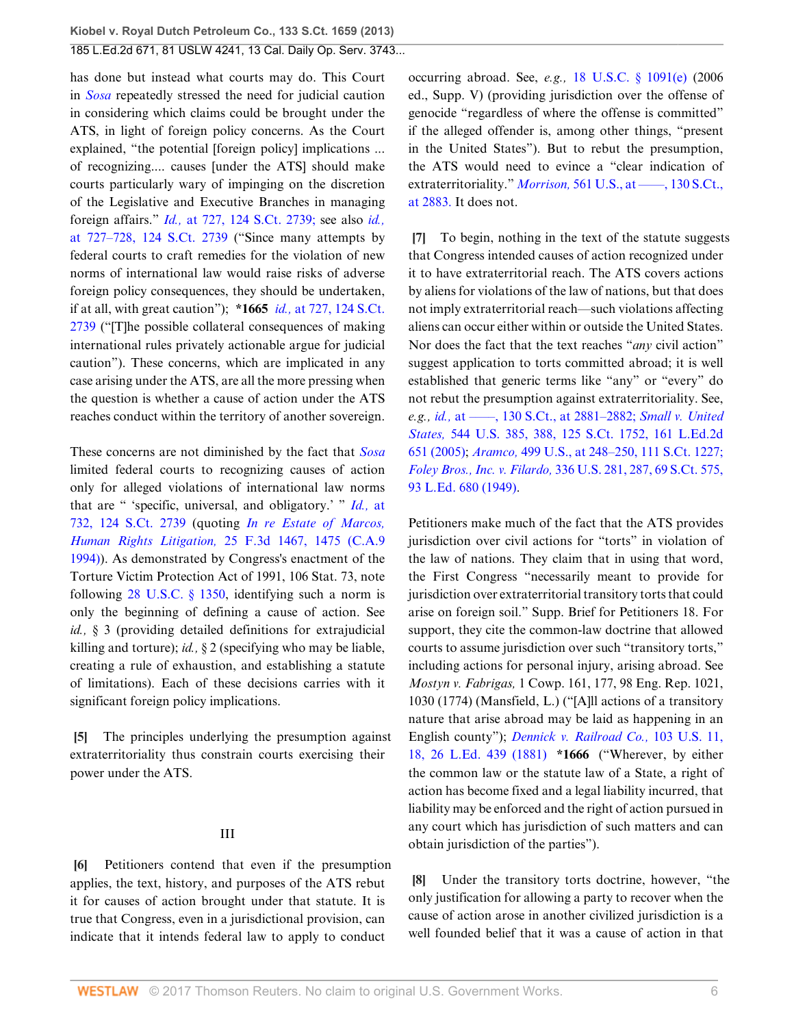has done but instead what courts may do. This Court in *[Sosa](http://www.westlaw.com/Link/Document/FullText?findType=Y&serNum=2004637442&originatingDoc=I10b5fb41a74511e2a160cacff148223f&refType=RP&originationContext=document&vr=3.0&rs=cblt1.0&transitionType=DocumentItem&contextData=(sc.DocLink))* repeatedly stressed the need for judicial caution in considering which claims could be brought under the ATS, in light of foreign policy concerns. As the Court explained, "the potential [foreign policy] implications ... of recognizing.... causes [under the ATS] should make courts particularly wary of impinging on the discretion of the Legislative and Executive Branches in managing foreign affairs." *Id.,* [at 727, 124 S.Ct. 2739;](http://www.westlaw.com/Link/Document/FullText?findType=Y&serNum=2004637442&pubNum=708&originatingDoc=I10b5fb41a74511e2a160cacff148223f&refType=RP&originationContext=document&vr=3.0&rs=cblt1.0&transitionType=DocumentItem&contextData=(sc.DocLink)) see also *[id.,](http://www.westlaw.com/Link/Document/FullText?findType=Y&serNum=2004637442&pubNum=708&originatingDoc=I10b5fb41a74511e2a160cacff148223f&refType=RP&originationContext=document&vr=3.0&rs=cblt1.0&transitionType=DocumentItem&contextData=(sc.DocLink))* [at 727–728, 124 S.Ct. 2739](http://www.westlaw.com/Link/Document/FullText?findType=Y&serNum=2004637442&pubNum=708&originatingDoc=I10b5fb41a74511e2a160cacff148223f&refType=RP&originationContext=document&vr=3.0&rs=cblt1.0&transitionType=DocumentItem&contextData=(sc.DocLink)) ("Since many attempts by federal courts to craft remedies for the violation of new norms of international law would raise risks of adverse foreign policy consequences, they should be undertaken, if at all, with great caution"); **\*1665** *id.,* [at 727, 124 S.Ct.](http://www.westlaw.com/Link/Document/FullText?findType=Y&serNum=2004637442&pubNum=708&originatingDoc=I10b5fb41a74511e2a160cacff148223f&refType=RP&originationContext=document&vr=3.0&rs=cblt1.0&transitionType=DocumentItem&contextData=(sc.DocLink)) [2739](http://www.westlaw.com/Link/Document/FullText?findType=Y&serNum=2004637442&pubNum=708&originatingDoc=I10b5fb41a74511e2a160cacff148223f&refType=RP&originationContext=document&vr=3.0&rs=cblt1.0&transitionType=DocumentItem&contextData=(sc.DocLink)) ("[T]he possible collateral consequences of making international rules privately actionable argue for judicial caution"). These concerns, which are implicated in any case arising under the ATS, are all the more pressing when the question is whether a cause of action under the ATS reaches conduct within the territory of another sovereign.

These concerns are not diminished by the fact that *[Sosa](http://www.westlaw.com/Link/Document/FullText?findType=Y&serNum=2004637442&originatingDoc=I10b5fb41a74511e2a160cacff148223f&refType=RP&originationContext=document&vr=3.0&rs=cblt1.0&transitionType=DocumentItem&contextData=(sc.DocLink))* limited federal courts to recognizing causes of action only for alleged violations of international law norms that are " 'specific, universal, and obligatory.' " *[Id.,](http://www.westlaw.com/Link/Document/FullText?findType=Y&serNum=2004637442&pubNum=708&originatingDoc=I10b5fb41a74511e2a160cacff148223f&refType=RP&originationContext=document&vr=3.0&rs=cblt1.0&transitionType=DocumentItem&contextData=(sc.DocLink))* at [732, 124 S.Ct. 2739](http://www.westlaw.com/Link/Document/FullText?findType=Y&serNum=2004637442&pubNum=708&originatingDoc=I10b5fb41a74511e2a160cacff148223f&refType=RP&originationContext=document&vr=3.0&rs=cblt1.0&transitionType=DocumentItem&contextData=(sc.DocLink)) (quoting *[In re Estate of Marcos,](http://www.westlaw.com/Link/Document/FullText?findType=Y&serNum=1994130161&pubNum=506&originatingDoc=I10b5fb41a74511e2a160cacff148223f&refType=RP&fi=co_pp_sp_506_1475&originationContext=document&vr=3.0&rs=cblt1.0&transitionType=DocumentItem&contextData=(sc.DocLink)#co_pp_sp_506_1475) Human Rights Litigation,* [25 F.3d 1467, 1475 \(C.A.9](http://www.westlaw.com/Link/Document/FullText?findType=Y&serNum=1994130161&pubNum=506&originatingDoc=I10b5fb41a74511e2a160cacff148223f&refType=RP&fi=co_pp_sp_506_1475&originationContext=document&vr=3.0&rs=cblt1.0&transitionType=DocumentItem&contextData=(sc.DocLink)#co_pp_sp_506_1475) [1994\)](http://www.westlaw.com/Link/Document/FullText?findType=Y&serNum=1994130161&pubNum=506&originatingDoc=I10b5fb41a74511e2a160cacff148223f&refType=RP&fi=co_pp_sp_506_1475&originationContext=document&vr=3.0&rs=cblt1.0&transitionType=DocumentItem&contextData=(sc.DocLink)#co_pp_sp_506_1475)). As demonstrated by Congress's enactment of the Torture Victim Protection Act of 1991, 106 Stat. 73, note following [28 U.S.C. § 1350,](http://www.westlaw.com/Link/Document/FullText?findType=L&pubNum=1000546&cite=28USCAS1350&originatingDoc=I10b5fb41a74511e2a160cacff148223f&refType=LQ&originationContext=document&vr=3.0&rs=cblt1.0&transitionType=DocumentItem&contextData=(sc.DocLink)) identifying such a norm is only the beginning of defining a cause of action. See *id.,* § 3 (providing detailed definitions for extrajudicial killing and torture); *id.,* § 2 (specifying who may be liable, creating a rule of exhaustion, and establishing a statute of limitations). Each of these decisions carries with it significant foreign policy implications.

<span id="page-5-0"></span>**[\[5](#page-1-0)]** The principles underlying the presumption against extraterritoriality thus constrain courts exercising their power under the ATS.

## III

<span id="page-5-1"></span>**[\[6](#page-1-2)]** Petitioners contend that even if the presumption applies, the text, history, and purposes of the ATS rebut it for causes of action brought under that statute. It is true that Congress, even in a jurisdictional provision, can indicate that it intends federal law to apply to conduct

occurring abroad. See, *e.g.,* [18 U.S.C. § 1091\(e\)](http://www.westlaw.com/Link/Document/FullText?findType=L&pubNum=1000546&cite=18USCAS1091&originatingDoc=I10b5fb41a74511e2a160cacff148223f&refType=RB&originationContext=document&vr=3.0&rs=cblt1.0&transitionType=DocumentItem&contextData=(sc.DocLink)#co_pp_7fdd00001ca15) (2006 ed., Supp. V) (providing jurisdiction over the offense of genocide "regardless of where the offense is committed" if the alleged offender is, among other things, "present in the United States"). But to rebut the presumption, the ATS would need to evince a "clear indication of extraterritoriality." *Morrison*, 561 U.S., at —–, 130 S.Ct., [at 2883.](http://www.westlaw.com/Link/Document/FullText?findType=Y&serNum=2022366653&pubNum=708&originatingDoc=I10b5fb41a74511e2a160cacff148223f&refType=RP&fi=co_pp_sp_708_2883&originationContext=document&vr=3.0&rs=cblt1.0&transitionType=DocumentItem&contextData=(sc.DocLink)#co_pp_sp_708_2883) It does not.

<span id="page-5-2"></span>**[\[7](#page-1-3)]** To begin, nothing in the text of the statute suggests that Congress intended causes of action recognized under it to have extraterritorial reach. The ATS covers actions by aliens for violations of the law of nations, but that does not imply extraterritorial reach—such violations affecting aliens can occur either within or outside the United States. Nor does the fact that the text reaches "*any* civil action" suggest application to torts committed abroad; it is well established that generic terms like "any" or "every" do not rebut the presumption against extraterritoriality. See, *e.g., id.,* [at ––––, 130 S.Ct., at 2881–2882;](http://www.westlaw.com/Link/Document/FullText?findType=Y&serNum=2022366653&pubNum=708&originatingDoc=I10b5fb41a74511e2a160cacff148223f&refType=RP&originationContext=document&vr=3.0&rs=cblt1.0&transitionType=DocumentItem&contextData=(sc.DocLink)) *[Small v. United](http://www.westlaw.com/Link/Document/FullText?findType=Y&serNum=2006520040&pubNum=708&originatingDoc=I10b5fb41a74511e2a160cacff148223f&refType=RP&originationContext=document&vr=3.0&rs=cblt1.0&transitionType=DocumentItem&contextData=(sc.DocLink)) States,* [544 U.S. 385, 388, 125 S.Ct. 1752, 161 L.Ed.2d](http://www.westlaw.com/Link/Document/FullText?findType=Y&serNum=2006520040&pubNum=708&originatingDoc=I10b5fb41a74511e2a160cacff148223f&refType=RP&originationContext=document&vr=3.0&rs=cblt1.0&transitionType=DocumentItem&contextData=(sc.DocLink)) [651 \(2005\);](http://www.westlaw.com/Link/Document/FullText?findType=Y&serNum=2006520040&pubNum=708&originatingDoc=I10b5fb41a74511e2a160cacff148223f&refType=RP&originationContext=document&vr=3.0&rs=cblt1.0&transitionType=DocumentItem&contextData=(sc.DocLink)) *Aramco,* [499 U.S., at 248–250, 111 S.Ct. 1227;](http://www.westlaw.com/Link/Document/FullText?findType=Y&serNum=1991059722&pubNum=708&originatingDoc=I10b5fb41a74511e2a160cacff148223f&refType=RP&originationContext=document&vr=3.0&rs=cblt1.0&transitionType=DocumentItem&contextData=(sc.DocLink)) *Foley Bros., Inc. v. Filardo,* [336 U.S. 281, 287, 69 S.Ct. 575,](http://www.westlaw.com/Link/Document/FullText?findType=Y&serNum=1949116905&pubNum=708&originatingDoc=I10b5fb41a74511e2a160cacff148223f&refType=RP&originationContext=document&vr=3.0&rs=cblt1.0&transitionType=DocumentItem&contextData=(sc.DocLink)) [93 L.Ed. 680 \(1949\)](http://www.westlaw.com/Link/Document/FullText?findType=Y&serNum=1949116905&pubNum=708&originatingDoc=I10b5fb41a74511e2a160cacff148223f&refType=RP&originationContext=document&vr=3.0&rs=cblt1.0&transitionType=DocumentItem&contextData=(sc.DocLink)).

Petitioners make much of the fact that the ATS provides jurisdiction over civil actions for "torts" in violation of the law of nations. They claim that in using that word, the First Congress "necessarily meant to provide for jurisdiction over extraterritorial transitory torts that could arise on foreign soil." Supp. Brief for Petitioners 18. For support, they cite the common-law doctrine that allowed courts to assume jurisdiction over such "transitory torts," including actions for personal injury, arising abroad. See *Mostyn v. Fabrigas,* 1 Cowp. 161, 177, 98 Eng. Rep. 1021, 1030 (1774) (Mansfield, L.) ("[A]ll actions of a transitory nature that arise abroad may be laid as happening in an English county"); *[Dennick v. Railroad Co.,](http://www.westlaw.com/Link/Document/FullText?findType=Y&serNum=1880183073&pubNum=780&originatingDoc=I10b5fb41a74511e2a160cacff148223f&refType=RP&fi=co_pp_sp_780_18&originationContext=document&vr=3.0&rs=cblt1.0&transitionType=DocumentItem&contextData=(sc.DocLink)#co_pp_sp_780_18)* 103 U.S. 11, [18, 26 L.Ed. 439 \(1881\)](http://www.westlaw.com/Link/Document/FullText?findType=Y&serNum=1880183073&pubNum=780&originatingDoc=I10b5fb41a74511e2a160cacff148223f&refType=RP&fi=co_pp_sp_780_18&originationContext=document&vr=3.0&rs=cblt1.0&transitionType=DocumentItem&contextData=(sc.DocLink)#co_pp_sp_780_18) **\*1666** ("Wherever, by either the common law or the statute law of a State, a right of action has become fixed and a legal liability incurred, that liability may be enforced and the right of action pursued in any court which has jurisdiction of such matters and can obtain jurisdiction of the parties").

<span id="page-5-3"></span>**[\[8](#page-1-4)]** Under the transitory torts doctrine, however, "the only justification for allowing a party to recover when the cause of action arose in another civilized jurisdiction is a well founded belief that it was a cause of action in that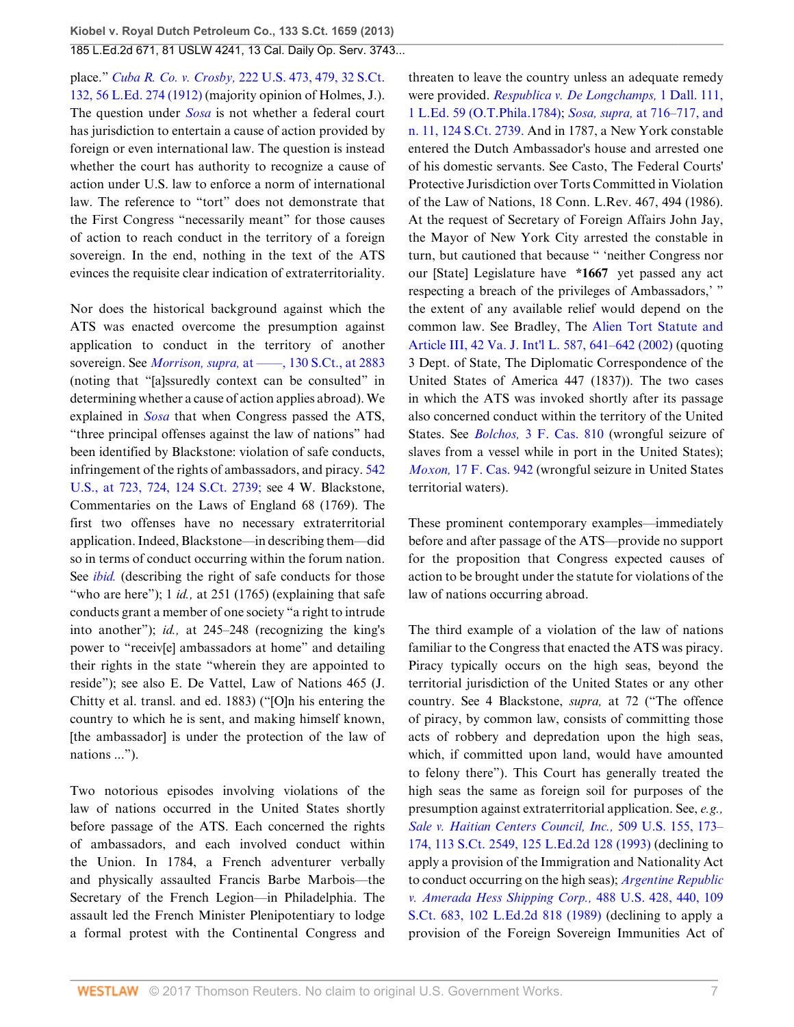place." *Cuba R. Co. v. Crosby,* [222 U.S. 473, 479, 32 S.Ct.](http://www.westlaw.com/Link/Document/FullText?findType=Y&serNum=1912100454&pubNum=708&originatingDoc=I10b5fb41a74511e2a160cacff148223f&refType=RP&originationContext=document&vr=3.0&rs=cblt1.0&transitionType=DocumentItem&contextData=(sc.DocLink)) [132, 56 L.Ed. 274 \(1912\)](http://www.westlaw.com/Link/Document/FullText?findType=Y&serNum=1912100454&pubNum=708&originatingDoc=I10b5fb41a74511e2a160cacff148223f&refType=RP&originationContext=document&vr=3.0&rs=cblt1.0&transitionType=DocumentItem&contextData=(sc.DocLink)) (majority opinion of Holmes, J.). The question under *[Sosa](http://www.westlaw.com/Link/Document/FullText?findType=Y&serNum=2004637442&originatingDoc=I10b5fb41a74511e2a160cacff148223f&refType=RP&originationContext=document&vr=3.0&rs=cblt1.0&transitionType=DocumentItem&contextData=(sc.DocLink))* is not whether a federal court has jurisdiction to entertain a cause of action provided by foreign or even international law. The question is instead whether the court has authority to recognize a cause of action under U.S. law to enforce a norm of international law. The reference to "tort" does not demonstrate that the First Congress "necessarily meant" for those causes of action to reach conduct in the territory of a foreign sovereign. In the end, nothing in the text of the ATS evinces the requisite clear indication of extraterritoriality.

Nor does the historical background against which the ATS was enacted overcome the presumption against application to conduct in the territory of another sovereign. See *Morrison, supra,* at —–, 130 S.Ct., at 2883 (noting that "[a]ssuredly context can be consulted" in determining whether a cause of action applies abroad). We explained in *[Sosa](http://www.westlaw.com/Link/Document/FullText?findType=Y&serNum=2004637442&originatingDoc=I10b5fb41a74511e2a160cacff148223f&refType=RP&originationContext=document&vr=3.0&rs=cblt1.0&transitionType=DocumentItem&contextData=(sc.DocLink))* that when Congress passed the ATS, "three principal offenses against the law of nations" had been identified by Blackstone: violation of safe conducts, infringement of the rights of ambassadors, and piracy. [542](http://www.westlaw.com/Link/Document/FullText?findType=Y&serNum=2004637442&pubNum=708&originatingDoc=I10b5fb41a74511e2a160cacff148223f&refType=RP&originationContext=document&vr=3.0&rs=cblt1.0&transitionType=DocumentItem&contextData=(sc.DocLink)) [U.S., at 723, 724, 124 S.Ct. 2739;](http://www.westlaw.com/Link/Document/FullText?findType=Y&serNum=2004637442&pubNum=708&originatingDoc=I10b5fb41a74511e2a160cacff148223f&refType=RP&originationContext=document&vr=3.0&rs=cblt1.0&transitionType=DocumentItem&contextData=(sc.DocLink)) see 4 W. Blackstone, Commentaries on the Laws of England 68 (1769). The first two offenses have no necessary extraterritorial application. Indeed, Blackstone—in describing them—did so in terms of conduct occurring within the forum nation. See *[ibid.](http://www.westlaw.com/Link/Document/FullText?findType=Y&serNum=2004637442&originatingDoc=I10b5fb41a74511e2a160cacff148223f&refType=RP&originationContext=document&vr=3.0&rs=cblt1.0&transitionType=DocumentItem&contextData=(sc.DocLink))* (describing the right of safe conducts for those "who are here"); 1 *id.*, at 251 (1765) (explaining that safe conducts grant a member of one society "a right to intrude into another"); *id.,* at 245–248 (recognizing the king's power to "receiv[e] ambassadors at home" and detailing their rights in the state "wherein they are appointed to reside"); see also E. De Vattel, Law of Nations 465 (J. Chitty et al. transl. and ed. 1883) ("[O]n his entering the country to which he is sent, and making himself known, [the ambassador] is under the protection of the law of nations ...").

Two notorious episodes involving violations of the law of nations occurred in the United States shortly before passage of the ATS. Each concerned the rights of ambassadors, and each involved conduct within the Union. In 1784, a French adventurer verbally and physically assaulted Francis Barbe Marbois—the Secretary of the French Legion—in Philadelphia. The assault led the French Minister Plenipotentiary to lodge a formal protest with the Continental Congress and threaten to leave the country unless an adequate remedy were provided. *[Respublica v. De Longchamps,](http://www.westlaw.com/Link/Document/FullText?findType=Y&serNum=1700106112&pubNum=780&originatingDoc=I10b5fb41a74511e2a160cacff148223f&refType=RP&originationContext=document&vr=3.0&rs=cblt1.0&transitionType=DocumentItem&contextData=(sc.DocLink))* 1 Dall. 111, [1 L.Ed. 59 \(O.T.Phila.1784\);](http://www.westlaw.com/Link/Document/FullText?findType=Y&serNum=1700106112&pubNum=780&originatingDoc=I10b5fb41a74511e2a160cacff148223f&refType=RP&originationContext=document&vr=3.0&rs=cblt1.0&transitionType=DocumentItem&contextData=(sc.DocLink)) *Sosa, supra,* [at 716–717, and](http://www.westlaw.com/Link/Document/FullText?findType=Y&serNum=2004637442&pubNum=708&originatingDoc=I10b5fb41a74511e2a160cacff148223f&refType=RP&originationContext=document&vr=3.0&rs=cblt1.0&transitionType=DocumentItem&contextData=(sc.DocLink)) [n. 11, 124 S.Ct. 2739.](http://www.westlaw.com/Link/Document/FullText?findType=Y&serNum=2004637442&pubNum=708&originatingDoc=I10b5fb41a74511e2a160cacff148223f&refType=RP&originationContext=document&vr=3.0&rs=cblt1.0&transitionType=DocumentItem&contextData=(sc.DocLink)) And in 1787, a New York constable entered the Dutch Ambassador's house and arrested one of his domestic servants. See Casto, The Federal Courts' Protective Jurisdiction over Torts Committed in Violation of the Law of Nations, 18 Conn. L.Rev. 467, 494 (1986). At the request of Secretary of Foreign Affairs John Jay, the Mayor of New York City arrested the constable in turn, but cautioned that because " 'neither Congress nor our [State] Legislature have **\*1667** yet passed any act respecting a breach of the privileges of Ambassadors,'" the extent of any available relief would depend on the common law. See Bradley, The [Alien Tort Statute and](http://www.westlaw.com/Link/Document/FullText?findType=Y&serNum=0289097656&pubNum=1275&originatingDoc=I10b5fb41a74511e2a160cacff148223f&refType=LR&fi=co_pp_sp_1275_641&originationContext=document&vr=3.0&rs=cblt1.0&transitionType=DocumentItem&contextData=(sc.DocLink)#co_pp_sp_1275_641) [Article III, 42 Va. J. Int'l L. 587, 641–642 \(2002\)](http://www.westlaw.com/Link/Document/FullText?findType=Y&serNum=0289097656&pubNum=1275&originatingDoc=I10b5fb41a74511e2a160cacff148223f&refType=LR&fi=co_pp_sp_1275_641&originationContext=document&vr=3.0&rs=cblt1.0&transitionType=DocumentItem&contextData=(sc.DocLink)#co_pp_sp_1275_641) (quoting 3 Dept. of State, The Diplomatic Correspondence of the United States of America 447 (1837)). The two cases in which the ATS was invoked shortly after its passage also concerned conduct within the territory of the United States. See *Bolchos,* [3 F. Cas. 810](http://www.westlaw.com/Link/Document/FullText?findType=Y&serNum=1700146635&pubNum=349&originatingDoc=I10b5fb41a74511e2a160cacff148223f&refType=RP&originationContext=document&vr=3.0&rs=cblt1.0&transitionType=DocumentItem&contextData=(sc.DocLink)) (wrongful seizure of slaves from a vessel while in port in the United States); *Moxon,* [17 F. Cas. 942](http://www.westlaw.com/Link/Document/FullText?findType=Y&serNum=1700115729&pubNum=349&originatingDoc=I10b5fb41a74511e2a160cacff148223f&refType=RP&originationContext=document&vr=3.0&rs=cblt1.0&transitionType=DocumentItem&contextData=(sc.DocLink)) (wrongful seizure in United States territorial waters).

These prominent contemporary examples—immediately before and after passage of the ATS—provide no support for the proposition that Congress expected causes of action to be brought under the statute for violations of the law of nations occurring abroad.

The third example of a violation of the law of nations familiar to the Congress that enacted the ATS was piracy. Piracy typically occurs on the high seas, beyond the territorial jurisdiction of the United States or any other country. See 4 Blackstone, *supra,* at 72 ("The offence of piracy, by common law, consists of committing those acts of robbery and depredation upon the high seas, which, if committed upon land, would have amounted to felony there"). This Court has generally treated the high seas the same as foreign soil for purposes of the presumption against extraterritorial application. See, *e.g., [Sale v. Haitian Centers Council, Inc.,](http://www.westlaw.com/Link/Document/FullText?findType=Y&serNum=1993125567&pubNum=708&originatingDoc=I10b5fb41a74511e2a160cacff148223f&refType=RP&originationContext=document&vr=3.0&rs=cblt1.0&transitionType=DocumentItem&contextData=(sc.DocLink))* 509 U.S. 155, 173– [174, 113 S.Ct. 2549, 125 L.Ed.2d 128 \(1993\)](http://www.westlaw.com/Link/Document/FullText?findType=Y&serNum=1993125567&pubNum=708&originatingDoc=I10b5fb41a74511e2a160cacff148223f&refType=RP&originationContext=document&vr=3.0&rs=cblt1.0&transitionType=DocumentItem&contextData=(sc.DocLink)) (declining to apply a provision of the Immigration and Nationality Act to conduct occurring on the high seas); *[Argentine Republic](http://www.westlaw.com/Link/Document/FullText?findType=Y&serNum=1989012994&pubNum=708&originatingDoc=I10b5fb41a74511e2a160cacff148223f&refType=RP&originationContext=document&vr=3.0&rs=cblt1.0&transitionType=DocumentItem&contextData=(sc.DocLink)) [v. Amerada Hess Shipping Corp.,](http://www.westlaw.com/Link/Document/FullText?findType=Y&serNum=1989012994&pubNum=708&originatingDoc=I10b5fb41a74511e2a160cacff148223f&refType=RP&originationContext=document&vr=3.0&rs=cblt1.0&transitionType=DocumentItem&contextData=(sc.DocLink))* 488 U.S. 428, 440, 109 [S.Ct. 683, 102 L.Ed.2d 818 \(1989\)](http://www.westlaw.com/Link/Document/FullText?findType=Y&serNum=1989012994&pubNum=708&originatingDoc=I10b5fb41a74511e2a160cacff148223f&refType=RP&originationContext=document&vr=3.0&rs=cblt1.0&transitionType=DocumentItem&contextData=(sc.DocLink)) (declining to apply a provision of the Foreign Sovereign Immunities Act of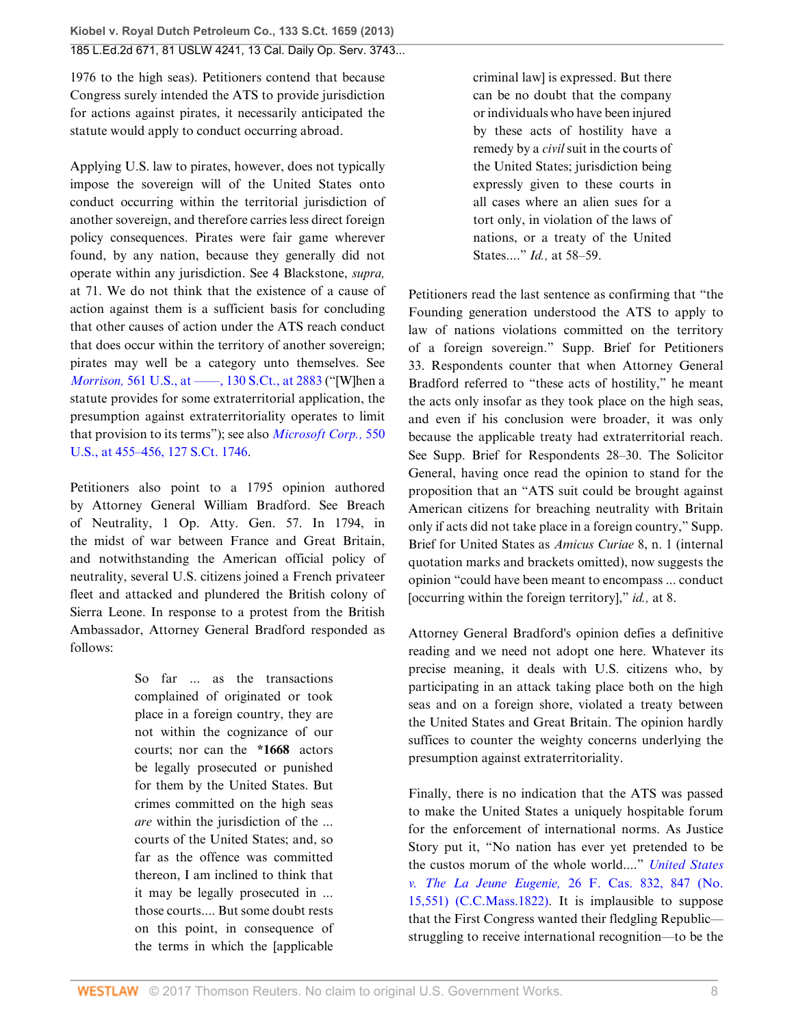1976 to the high seas). Petitioners contend that because Congress surely intended the ATS to provide jurisdiction for actions against pirates, it necessarily anticipated the statute would apply to conduct occurring abroad.

Applying U.S. law to pirates, however, does not typically impose the sovereign will of the United States onto conduct occurring within the territorial jurisdiction of another sovereign, and therefore carries less direct foreign policy consequences. Pirates were fair game wherever found, by any nation, because they generally did not operate within any jurisdiction. See 4 Blackstone, *supra,* at 71. We do not think that the existence of a cause of action against them is a sufficient basis for concluding that other causes of action under the ATS reach conduct that does occur within the territory of another sovereign; pirates may well be a category unto themselves. See *Morrison,* 561 U.S., at ——, 130 S.Ct., at 2883 ("[W]hen a statute provides for some extraterritorial application, the presumption against extraterritoriality operates to limit that provision to its terms"); see also *[Microsoft Corp.,](http://www.westlaw.com/Link/Document/FullText?findType=Y&serNum=2012126123&pubNum=708&originatingDoc=I10b5fb41a74511e2a160cacff148223f&refType=RP&originationContext=document&vr=3.0&rs=cblt1.0&transitionType=DocumentItem&contextData=(sc.DocLink))* 550 [U.S., at 455–456, 127 S.Ct. 1746.](http://www.westlaw.com/Link/Document/FullText?findType=Y&serNum=2012126123&pubNum=708&originatingDoc=I10b5fb41a74511e2a160cacff148223f&refType=RP&originationContext=document&vr=3.0&rs=cblt1.0&transitionType=DocumentItem&contextData=(sc.DocLink))

Petitioners also point to a 1795 opinion authored by Attorney General William Bradford. See Breach of Neutrality, 1 Op. Atty. Gen. 57. In 1794, in the midst of war between France and Great Britain, and notwithstanding the American official policy of neutrality, several U.S. citizens joined a French privateer fleet and attacked and plundered the British colony of Sierra Leone. In response to a protest from the British Ambassador, Attorney General Bradford responded as follows:

> So far ... as the transactions complained of originated or took place in a foreign country, they are not within the cognizance of our courts; nor can the **\*1668** actors be legally prosecuted or punished for them by the United States. But crimes committed on the high seas *are* within the jurisdiction of the ... courts of the United States; and, so far as the offence was committed thereon, I am inclined to think that it may be legally prosecuted in ... those courts.... But some doubt rests on this point, in consequence of the terms in which the [applicable

criminal law] is expressed. But there can be no doubt that the company or individuals who have been injured by these acts of hostility have a remedy by a *civil* suit in the courts of the United States; jurisdiction being expressly given to these courts in all cases where an alien sues for a tort only, in violation of the laws of nations, or a treaty of the United States...." *Id.,* at 58–59.

Petitioners read the last sentence as confirming that "the Founding generation understood the ATS to apply to law of nations violations committed on the territory of a foreign sovereign." Supp. Brief for Petitioners 33. Respondents counter that when Attorney General Bradford referred to "these acts of hostility," he meant the acts only insofar as they took place on the high seas, and even if his conclusion were broader, it was only because the applicable treaty had extraterritorial reach. See Supp. Brief for Respondents 28–30. The Solicitor General, having once read the opinion to stand for the proposition that an "ATS suit could be brought against American citizens for breaching neutrality with Britain only if acts did not take place in a foreign country," Supp. Brief for United States as *Amicus Curiae* 8, n. 1 (internal quotation marks and brackets omitted), now suggests the opinion "could have been meant to encompass ... conduct [occurring within the foreign territory]," *id.,* at 8.

Attorney General Bradford's opinion defies a definitive reading and we need not adopt one here. Whatever its precise meaning, it deals with U.S. citizens who, by participating in an attack taking place both on the high seas and on a foreign shore, violated a treaty between the United States and Great Britain. The opinion hardly suffices to counter the weighty concerns underlying the presumption against extraterritoriality.

Finally, there is no indication that the ATS was passed to make the United States a uniquely hospitable forum for the enforcement of international norms. As Justice Story put it, "No nation has ever yet pretended to be the custos morum of the whole world...." *[United States](http://www.westlaw.com/Link/Document/FullText?findType=Y&serNum=1800136043&pubNum=349&originatingDoc=I10b5fb41a74511e2a160cacff148223f&refType=RP&fi=co_pp_sp_349_847&originationContext=document&vr=3.0&rs=cblt1.0&transitionType=DocumentItem&contextData=(sc.DocLink)#co_pp_sp_349_847) v. The La Jeune Eugenie,* [26 F. Cas. 832, 847 \(No.](http://www.westlaw.com/Link/Document/FullText?findType=Y&serNum=1800136043&pubNum=349&originatingDoc=I10b5fb41a74511e2a160cacff148223f&refType=RP&fi=co_pp_sp_349_847&originationContext=document&vr=3.0&rs=cblt1.0&transitionType=DocumentItem&contextData=(sc.DocLink)#co_pp_sp_349_847) [15,551\) \(C.C.Mass.1822\)](http://www.westlaw.com/Link/Document/FullText?findType=Y&serNum=1800136043&pubNum=349&originatingDoc=I10b5fb41a74511e2a160cacff148223f&refType=RP&fi=co_pp_sp_349_847&originationContext=document&vr=3.0&rs=cblt1.0&transitionType=DocumentItem&contextData=(sc.DocLink)#co_pp_sp_349_847). It is implausible to suppose that the First Congress wanted their fledgling Republic struggling to receive international recognition—to be the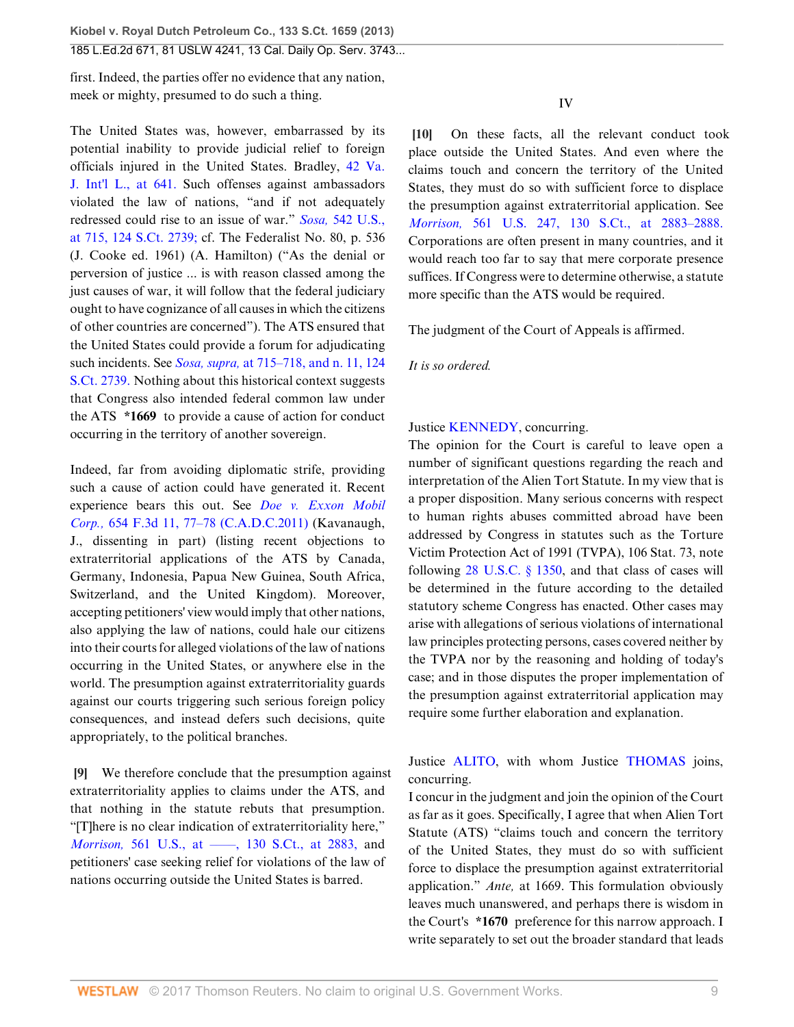first. Indeed, the parties offer no evidence that any nation, meek or mighty, presumed to do such a thing.

The United States was, however, embarrassed by its potential inability to provide judicial relief to foreign officials injured in the United States. Bradley, [42 Va.](http://www.westlaw.com/Link/Document/FullText?findType=Y&serNum=0289097656&pubNum=1275&originatingDoc=I10b5fb41a74511e2a160cacff148223f&refType=LR&fi=co_pp_sp_1275_641&originationContext=document&vr=3.0&rs=cblt1.0&transitionType=DocumentItem&contextData=(sc.DocLink)#co_pp_sp_1275_641) [J. Int'l L., at 641.](http://www.westlaw.com/Link/Document/FullText?findType=Y&serNum=0289097656&pubNum=1275&originatingDoc=I10b5fb41a74511e2a160cacff148223f&refType=LR&fi=co_pp_sp_1275_641&originationContext=document&vr=3.0&rs=cblt1.0&transitionType=DocumentItem&contextData=(sc.DocLink)#co_pp_sp_1275_641) Such offenses against ambassadors violated the law of nations, "and if not adequately redressed could rise to an issue of war." *Sosa,* [542 U.S.,](http://www.westlaw.com/Link/Document/FullText?findType=Y&serNum=2004637442&pubNum=708&originatingDoc=I10b5fb41a74511e2a160cacff148223f&refType=RP&originationContext=document&vr=3.0&rs=cblt1.0&transitionType=DocumentItem&contextData=(sc.DocLink)) [at 715, 124 S.Ct. 2739;](http://www.westlaw.com/Link/Document/FullText?findType=Y&serNum=2004637442&pubNum=708&originatingDoc=I10b5fb41a74511e2a160cacff148223f&refType=RP&originationContext=document&vr=3.0&rs=cblt1.0&transitionType=DocumentItem&contextData=(sc.DocLink)) cf. The Federalist No. 80, p. 536 (J. Cooke ed. 1961) (A. Hamilton) ("As the denial or perversion of justice ... is with reason classed among the just causes of war, it will follow that the federal judiciary ought to have cognizance of all causes in which the citizens of other countries are concerned"). The ATS ensured that the United States could provide a forum for adjudicating such incidents. See *Sosa, supra,* [at 715–718, and n. 11, 124](http://www.westlaw.com/Link/Document/FullText?findType=Y&serNum=2004637442&pubNum=708&originatingDoc=I10b5fb41a74511e2a160cacff148223f&refType=RP&originationContext=document&vr=3.0&rs=cblt1.0&transitionType=DocumentItem&contextData=(sc.DocLink)) [S.Ct. 2739.](http://www.westlaw.com/Link/Document/FullText?findType=Y&serNum=2004637442&pubNum=708&originatingDoc=I10b5fb41a74511e2a160cacff148223f&refType=RP&originationContext=document&vr=3.0&rs=cblt1.0&transitionType=DocumentItem&contextData=(sc.DocLink)) Nothing about this historical context suggests that Congress also intended federal common law under the ATS **\*1669** to provide a cause of action for conduct occurring in the territory of another sovereign.

Indeed, far from avoiding diplomatic strife, providing such a cause of action could have generated it. Recent experience bears this out. See *[Doe v. Exxon Mobil](http://www.westlaw.com/Link/Document/FullText?findType=Y&serNum=2025629981&pubNum=506&originatingDoc=I10b5fb41a74511e2a160cacff148223f&refType=RP&fi=co_pp_sp_506_77&originationContext=document&vr=3.0&rs=cblt1.0&transitionType=DocumentItem&contextData=(sc.DocLink)#co_pp_sp_506_77) Corp.,* [654 F.3d 11, 77–78 \(C.A.D.C.2011\)](http://www.westlaw.com/Link/Document/FullText?findType=Y&serNum=2025629981&pubNum=506&originatingDoc=I10b5fb41a74511e2a160cacff148223f&refType=RP&fi=co_pp_sp_506_77&originationContext=document&vr=3.0&rs=cblt1.0&transitionType=DocumentItem&contextData=(sc.DocLink)#co_pp_sp_506_77) (Kavanaugh, J., dissenting in part) (listing recent objections to extraterritorial applications of the ATS by Canada, Germany, Indonesia, Papua New Guinea, South Africa, Switzerland, and the United Kingdom). Moreover, accepting petitioners' view would imply that other nations, also applying the law of nations, could hale our citizens into their courts for alleged violations of the law of nations occurring in the United States, or anywhere else in the world. The presumption against extraterritoriality guards against our courts triggering such serious foreign policy consequences, and instead defers such decisions, quite appropriately, to the political branches.

<span id="page-8-0"></span>**[\[9](#page-1-1)]** We therefore conclude that the presumption against extraterritoriality applies to claims under the ATS, and that nothing in the statute rebuts that presumption. "[T]here is no clear indication of extraterritoriality here," *Morrison,* 561 U.S., at ——, 130 S.Ct., at 2883, and petitioners' case seeking relief for violations of the law of nations occurring outside the United States is barred.

IV

<span id="page-8-1"></span>**[\[10](#page-1-5)]** On these facts, all the relevant conduct took place outside the United States. And even where the claims touch and concern the territory of the United States, they must do so with sufficient force to displace the presumption against extraterritorial application. See *Morrison,* [561 U.S. 247, 130 S.Ct., at 2883–2888.](http://www.westlaw.com/Link/Document/FullText?findType=Y&serNum=2022366653&pubNum=708&originatingDoc=I10b5fb41a74511e2a160cacff148223f&refType=RP&fi=co_pp_sp_708_2883&originationContext=document&vr=3.0&rs=cblt1.0&transitionType=DocumentItem&contextData=(sc.DocLink)#co_pp_sp_708_2883) Corporations are often present in many countries, and it would reach too far to say that mere corporate presence suffices. If Congress were to determine otherwise, a statute more specific than the ATS would be required.

The judgment of the Court of Appeals is affirmed.

*It is so ordered.*

### Justice [KENNEDY](http://www.westlaw.com/Link/Document/FullText?findType=h&pubNum=176284&cite=0243105201&originatingDoc=I10b5fb41a74511e2a160cacff148223f&refType=RQ&originationContext=document&vr=3.0&rs=cblt1.0&transitionType=DocumentItem&contextData=(sc.DocLink)), concurring.

The opinion for the Court is careful to leave open a number of significant questions regarding the reach and interpretation of the Alien Tort Statute. In my view that is a proper disposition. Many serious concerns with respect to human rights abuses committed abroad have been addressed by Congress in statutes such as the Torture Victim Protection Act of 1991 (TVPA), 106 Stat. 73, note following [28 U.S.C. § 1350,](http://www.westlaw.com/Link/Document/FullText?findType=L&pubNum=1000546&cite=28USCAS1350&originatingDoc=I10b5fb41a74511e2a160cacff148223f&refType=LQ&originationContext=document&vr=3.0&rs=cblt1.0&transitionType=DocumentItem&contextData=(sc.DocLink)) and that class of cases will be determined in the future according to the detailed statutory scheme Congress has enacted. Other cases may arise with allegations of serious violations of international law principles protecting persons, cases covered neither by the TVPA nor by the reasoning and holding of today's case; and in those disputes the proper implementation of the presumption against extraterritorial application may require some further elaboration and explanation.

Justice [ALITO](http://www.westlaw.com/Link/Document/FullText?findType=h&pubNum=176284&cite=0153052401&originatingDoc=I10b5fb41a74511e2a160cacff148223f&refType=RQ&originationContext=document&vr=3.0&rs=cblt1.0&transitionType=DocumentItem&contextData=(sc.DocLink)), with whom Justice [THOMAS](http://www.westlaw.com/Link/Document/FullText?findType=h&pubNum=176284&cite=0216654601&originatingDoc=I10b5fb41a74511e2a160cacff148223f&refType=RQ&originationContext=document&vr=3.0&rs=cblt1.0&transitionType=DocumentItem&contextData=(sc.DocLink)) joins, concurring.

I concur in the judgment and join the opinion of the Court as far as it goes. Specifically, I agree that when Alien Tort Statute (ATS) "claims touch and concern the territory of the United States, they must do so with sufficient force to displace the presumption against extraterritorial application." *Ante,* at 1669. This formulation obviously leaves much unanswered, and perhaps there is wisdom in the Court's **\*1670** preference for this narrow approach. I write separately to set out the broader standard that leads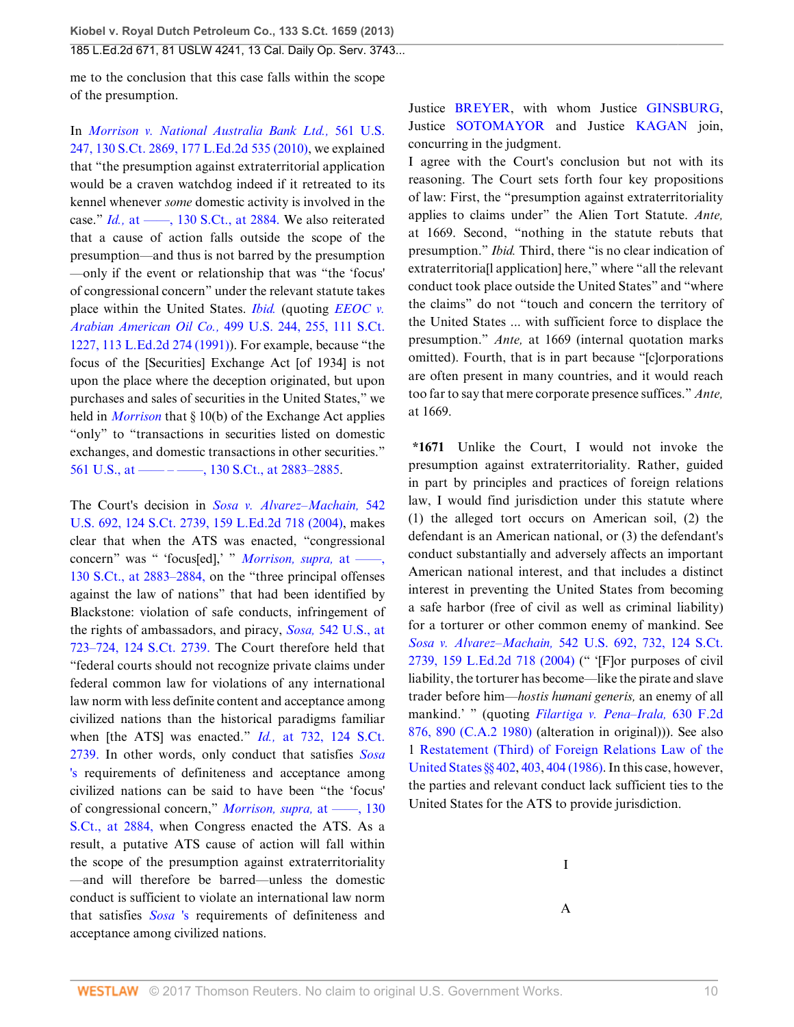me to the conclusion that this case falls within the scope of the presumption.

In *[Morrison v. National Australia Bank Ltd.,](http://www.westlaw.com/Link/Document/FullText?findType=Y&serNum=2022366653&pubNum=708&originatingDoc=I10b5fb41a74511e2a160cacff148223f&refType=RP&originationContext=document&vr=3.0&rs=cblt1.0&transitionType=DocumentItem&contextData=(sc.DocLink))* 561 U.S. [247, 130 S.Ct. 2869, 177 L.Ed.2d 535 \(2010\),](http://www.westlaw.com/Link/Document/FullText?findType=Y&serNum=2022366653&pubNum=708&originatingDoc=I10b5fb41a74511e2a160cacff148223f&refType=RP&originationContext=document&vr=3.0&rs=cblt1.0&transitionType=DocumentItem&contextData=(sc.DocLink)) we explained that "the presumption against extraterritorial application would be a craven watchdog indeed if it retreated to its kennel whenever *some* domestic activity is involved in the case." *Id.*, at ——, 130 S.Ct., at 2884. We also reiterated that a cause of action falls outside the scope of the presumption—and thus is not barred by the presumption —only if the event or relationship that was "the 'focus' of congressional concern" under the relevant statute takes place within the United States. *[Ibid.](http://www.westlaw.com/Link/Document/FullText?findType=Y&serNum=2022366653&originatingDoc=I10b5fb41a74511e2a160cacff148223f&refType=RP&originationContext=document&vr=3.0&rs=cblt1.0&transitionType=DocumentItem&contextData=(sc.DocLink))* (quoting *[EEOC v.](http://www.westlaw.com/Link/Document/FullText?findType=Y&serNum=1991059722&pubNum=708&originatingDoc=I10b5fb41a74511e2a160cacff148223f&refType=RP&originationContext=document&vr=3.0&rs=cblt1.0&transitionType=DocumentItem&contextData=(sc.DocLink)) Arabian American Oil Co.,* [499 U.S. 244, 255, 111 S.Ct.](http://www.westlaw.com/Link/Document/FullText?findType=Y&serNum=1991059722&pubNum=708&originatingDoc=I10b5fb41a74511e2a160cacff148223f&refType=RP&originationContext=document&vr=3.0&rs=cblt1.0&transitionType=DocumentItem&contextData=(sc.DocLink)) [1227, 113 L.Ed.2d 274 \(1991\)\)](http://www.westlaw.com/Link/Document/FullText?findType=Y&serNum=1991059722&pubNum=708&originatingDoc=I10b5fb41a74511e2a160cacff148223f&refType=RP&originationContext=document&vr=3.0&rs=cblt1.0&transitionType=DocumentItem&contextData=(sc.DocLink)). For example, because "the focus of the [Securities] Exchange Act [of 1934] is not upon the place where the deception originated, but upon purchases and sales of securities in the United States," we held in *[Morrison](http://www.westlaw.com/Link/Document/FullText?findType=Y&serNum=2022366653&originatingDoc=I10b5fb41a74511e2a160cacff148223f&refType=RP&originationContext=document&vr=3.0&rs=cblt1.0&transitionType=DocumentItem&contextData=(sc.DocLink))* that § 10(b) of the Exchange Act applies "only" to "transactions in securities listed on domestic exchanges, and domestic transactions in other securities." 561 U.S., at —— – ——, 130 S.Ct., at 2883-2885.

The Court's decision in *[Sosa v. Alvarez–Machain,](http://www.westlaw.com/Link/Document/FullText?findType=Y&serNum=2004637442&pubNum=708&originatingDoc=I10b5fb41a74511e2a160cacff148223f&refType=RP&originationContext=document&vr=3.0&rs=cblt1.0&transitionType=DocumentItem&contextData=(sc.DocLink))* 542 [U.S. 692, 124 S.Ct. 2739, 159 L.Ed.2d 718 \(2004\)](http://www.westlaw.com/Link/Document/FullText?findType=Y&serNum=2004637442&pubNum=708&originatingDoc=I10b5fb41a74511e2a160cacff148223f&refType=RP&originationContext=document&vr=3.0&rs=cblt1.0&transitionType=DocumentItem&contextData=(sc.DocLink)), makes clear that when the ATS was enacted, "congressional concern" was " 'focus[ed],' " *[Morrison, supra,](http://www.westlaw.com/Link/Document/FullText?findType=Y&serNum=2022366653&pubNum=708&originatingDoc=I10b5fb41a74511e2a160cacff148223f&refType=RP&originationContext=document&vr=3.0&rs=cblt1.0&transitionType=DocumentItem&contextData=(sc.DocLink))* at —–, [130 S.Ct., at 2883–2884,](http://www.westlaw.com/Link/Document/FullText?findType=Y&serNum=2022366653&pubNum=708&originatingDoc=I10b5fb41a74511e2a160cacff148223f&refType=RP&originationContext=document&vr=3.0&rs=cblt1.0&transitionType=DocumentItem&contextData=(sc.DocLink)) on the "three principal offenses against the law of nations" that had been identified by Blackstone: violation of safe conducts, infringement of the rights of ambassadors, and piracy, *Sosa,* [542 U.S., at](http://www.westlaw.com/Link/Document/FullText?findType=Y&serNum=2004637442&pubNum=708&originatingDoc=I10b5fb41a74511e2a160cacff148223f&refType=RP&originationContext=document&vr=3.0&rs=cblt1.0&transitionType=DocumentItem&contextData=(sc.DocLink)) [723–724, 124 S.Ct. 2739.](http://www.westlaw.com/Link/Document/FullText?findType=Y&serNum=2004637442&pubNum=708&originatingDoc=I10b5fb41a74511e2a160cacff148223f&refType=RP&originationContext=document&vr=3.0&rs=cblt1.0&transitionType=DocumentItem&contextData=(sc.DocLink)) The Court therefore held that "federal courts should not recognize private claims under federal common law for violations of any international law norm with less definite content and acceptance among civilized nations than the historical paradigms familiar when [the ATS] was enacted." *Id.,* [at 732, 124 S.Ct.](http://www.westlaw.com/Link/Document/FullText?findType=Y&serNum=2004637442&pubNum=708&originatingDoc=I10b5fb41a74511e2a160cacff148223f&refType=RP&originationContext=document&vr=3.0&rs=cblt1.0&transitionType=DocumentItem&contextData=(sc.DocLink)) [2739.](http://www.westlaw.com/Link/Document/FullText?findType=Y&serNum=2004637442&pubNum=708&originatingDoc=I10b5fb41a74511e2a160cacff148223f&refType=RP&originationContext=document&vr=3.0&rs=cblt1.0&transitionType=DocumentItem&contextData=(sc.DocLink)) In other words, only conduct that satisfies *[Sosa](http://www.westlaw.com/Link/Document/FullText?findType=Y&serNum=2004637442&originatingDoc=I10b5fb41a74511e2a160cacff148223f&refType=RP&originationContext=document&vr=3.0&rs=cblt1.0&transitionType=DocumentItem&contextData=(sc.DocLink))* ['s](http://www.westlaw.com/Link/Document/FullText?findType=Y&serNum=2004637442&originatingDoc=I10b5fb41a74511e2a160cacff148223f&refType=RP&originationContext=document&vr=3.0&rs=cblt1.0&transitionType=DocumentItem&contextData=(sc.DocLink)) requirements of definiteness and acceptance among civilized nations can be said to have been "the 'focus' of congressional concern," *Morrison, supra,* [at ––––, 130](http://www.westlaw.com/Link/Document/FullText?findType=Y&serNum=2022366653&pubNum=708&originatingDoc=I10b5fb41a74511e2a160cacff148223f&refType=RP&originationContext=document&vr=3.0&rs=cblt1.0&transitionType=DocumentItem&contextData=(sc.DocLink)) [S.Ct., at 2884,](http://www.westlaw.com/Link/Document/FullText?findType=Y&serNum=2022366653&pubNum=708&originatingDoc=I10b5fb41a74511e2a160cacff148223f&refType=RP&originationContext=document&vr=3.0&rs=cblt1.0&transitionType=DocumentItem&contextData=(sc.DocLink)) when Congress enacted the ATS. As a result, a putative ATS cause of action will fall within the scope of the presumption against extraterritoriality —and will therefore be barred—unless the domestic conduct is sufficient to violate an international law norm that satisfies *[Sosa](http://www.westlaw.com/Link/Document/FullText?findType=Y&serNum=2004637442&originatingDoc=I10b5fb41a74511e2a160cacff148223f&refType=RP&originationContext=document&vr=3.0&rs=cblt1.0&transitionType=DocumentItem&contextData=(sc.DocLink))* 's requirements of definiteness and acceptance among civilized nations.

Justice [BREYER,](http://www.westlaw.com/Link/Document/FullText?findType=h&pubNum=176284&cite=0254766801&originatingDoc=I10b5fb41a74511e2a160cacff148223f&refType=RQ&originationContext=document&vr=3.0&rs=cblt1.0&transitionType=DocumentItem&contextData=(sc.DocLink)) with whom Justice [GINSBURG](http://www.westlaw.com/Link/Document/FullText?findType=h&pubNum=176284&cite=0224420501&originatingDoc=I10b5fb41a74511e2a160cacff148223f&refType=RQ&originationContext=document&vr=3.0&rs=cblt1.0&transitionType=DocumentItem&contextData=(sc.DocLink)), Justice [SOTOMAYOR](http://www.westlaw.com/Link/Document/FullText?findType=h&pubNum=176284&cite=0145172701&originatingDoc=I10b5fb41a74511e2a160cacff148223f&refType=RQ&originationContext=document&vr=3.0&rs=cblt1.0&transitionType=DocumentItem&contextData=(sc.DocLink)) and Justice [KAGAN](http://www.westlaw.com/Link/Document/FullText?findType=h&pubNum=176284&cite=0301239401&originatingDoc=I10b5fb41a74511e2a160cacff148223f&refType=RQ&originationContext=document&vr=3.0&rs=cblt1.0&transitionType=DocumentItem&contextData=(sc.DocLink)) join, concurring in the judgment.

I agree with the Court's conclusion but not with its reasoning. The Court sets forth four key propositions of law: First, the "presumption against extraterritoriality applies to claims under" the Alien Tort Statute. *Ante,* at 1669. Second, "nothing in the statute rebuts that presumption." *Ibid.* Third, there "is no clear indication of extraterritoria[l application] here," where "all the relevant conduct took place outside the United States" and "where the claims" do not "touch and concern the territory of the United States ... with sufficient force to displace the presumption." *Ante,* at 1669 (internal quotation marks omitted). Fourth, that is in part because "[c]orporations are often present in many countries, and it would reach too far to say that mere corporate presence suffices." *Ante,* at 1669.

**\*1671** Unlike the Court, I would not invoke the presumption against extraterritoriality. Rather, guided in part by principles and practices of foreign relations law, I would find jurisdiction under this statute where (1) the alleged tort occurs on American soil, (2) the defendant is an American national, or (3) the defendant's conduct substantially and adversely affects an important American national interest, and that includes a distinct interest in preventing the United States from becoming a safe harbor (free of civil as well as criminal liability) for a torturer or other common enemy of mankind. See *Sosa v. Alvarez–Machain,* [542 U.S. 692, 732, 124 S.Ct.](http://www.westlaw.com/Link/Document/FullText?findType=Y&serNum=2004637442&pubNum=708&originatingDoc=I10b5fb41a74511e2a160cacff148223f&refType=RP&originationContext=document&vr=3.0&rs=cblt1.0&transitionType=DocumentItem&contextData=(sc.DocLink)) [2739, 159 L.Ed.2d 718 \(2004\)](http://www.westlaw.com/Link/Document/FullText?findType=Y&serNum=2004637442&pubNum=708&originatingDoc=I10b5fb41a74511e2a160cacff148223f&refType=RP&originationContext=document&vr=3.0&rs=cblt1.0&transitionType=DocumentItem&contextData=(sc.DocLink)) (" '[F]or purposes of civil liability, the torturer has become—like the pirate and slave trader before him—*hostis humani generis,* an enemy of all mankind.' " (quoting *[Filartiga v. Pena–Irala,](http://www.westlaw.com/Link/Document/FullText?findType=Y&serNum=1980125293&pubNum=350&originatingDoc=I10b5fb41a74511e2a160cacff148223f&refType=RP&fi=co_pp_sp_350_890&originationContext=document&vr=3.0&rs=cblt1.0&transitionType=DocumentItem&contextData=(sc.DocLink)#co_pp_sp_350_890)* 630 F.2d [876, 890 \(C.A.2 1980\)](http://www.westlaw.com/Link/Document/FullText?findType=Y&serNum=1980125293&pubNum=350&originatingDoc=I10b5fb41a74511e2a160cacff148223f&refType=RP&fi=co_pp_sp_350_890&originationContext=document&vr=3.0&rs=cblt1.0&transitionType=DocumentItem&contextData=(sc.DocLink)#co_pp_sp_350_890) (alteration in original))). See also 1 [Restatement \(Third\) of Foreign Relations Law of the](http://www.westlaw.com/Link/Document/FullText?findType=Y&serNum=0289476778&pubNum=0102182&originatingDoc=I10b5fb41a74511e2a160cacff148223f&refType=TS&originationContext=document&vr=3.0&rs=cblt1.0&transitionType=DocumentItem&contextData=(sc.DocLink)) [United States §§ 402,](http://www.westlaw.com/Link/Document/FullText?findType=Y&serNum=0289476778&pubNum=0102182&originatingDoc=I10b5fb41a74511e2a160cacff148223f&refType=TS&originationContext=document&vr=3.0&rs=cblt1.0&transitionType=DocumentItem&contextData=(sc.DocLink)) [403](http://www.westlaw.com/Link/Document/FullText?findType=Y&serNum=0289476779&pubNum=0102182&originatingDoc=I10b5fb41a74511e2a160cacff148223f&refType=TS&originationContext=document&vr=3.0&rs=cblt1.0&transitionType=DocumentItem&contextData=(sc.DocLink)), [404 \(1986\).](http://www.westlaw.com/Link/Document/FullText?findType=Y&serNum=0289476780&pubNum=0102182&originatingDoc=I10b5fb41a74511e2a160cacff148223f&refType=TS&originationContext=document&vr=3.0&rs=cblt1.0&transitionType=DocumentItem&contextData=(sc.DocLink)) In this case, however, the parties and relevant conduct lack sufficient ties to the United States for the ATS to provide jurisdiction.

> I A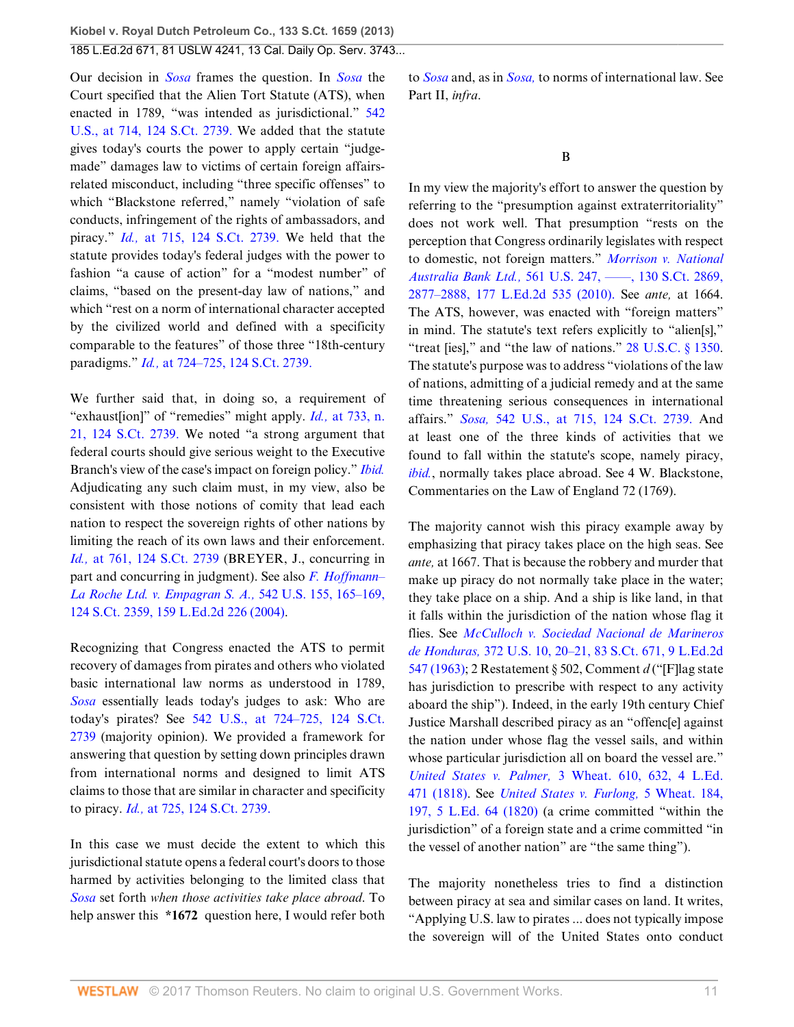Our decision in *[Sosa](http://www.westlaw.com/Link/Document/FullText?findType=Y&serNum=2004637442&originatingDoc=I10b5fb41a74511e2a160cacff148223f&refType=RP&originationContext=document&vr=3.0&rs=cblt1.0&transitionType=DocumentItem&contextData=(sc.DocLink))* frames the question. In *[Sosa](http://www.westlaw.com/Link/Document/FullText?findType=Y&serNum=2004637442&originatingDoc=I10b5fb41a74511e2a160cacff148223f&refType=RP&originationContext=document&vr=3.0&rs=cblt1.0&transitionType=DocumentItem&contextData=(sc.DocLink))* the Court specified that the Alien Tort Statute (ATS), when enacted in 1789, "was intended as jurisdictional." [542](http://www.westlaw.com/Link/Document/FullText?findType=Y&serNum=2004637442&pubNum=708&originatingDoc=I10b5fb41a74511e2a160cacff148223f&refType=RP&originationContext=document&vr=3.0&rs=cblt1.0&transitionType=DocumentItem&contextData=(sc.DocLink)) [U.S., at 714, 124 S.Ct. 2739.](http://www.westlaw.com/Link/Document/FullText?findType=Y&serNum=2004637442&pubNum=708&originatingDoc=I10b5fb41a74511e2a160cacff148223f&refType=RP&originationContext=document&vr=3.0&rs=cblt1.0&transitionType=DocumentItem&contextData=(sc.DocLink)) We added that the statute gives today's courts the power to apply certain "judgemade" damages law to victims of certain foreign affairsrelated misconduct, including "three specific offenses" to which "Blackstone referred," namely "violation of safe conducts, infringement of the rights of ambassadors, and piracy." *Id.,* [at 715, 124 S.Ct. 2739.](http://www.westlaw.com/Link/Document/FullText?findType=Y&serNum=2004637442&pubNum=708&originatingDoc=I10b5fb41a74511e2a160cacff148223f&refType=RP&originationContext=document&vr=3.0&rs=cblt1.0&transitionType=DocumentItem&contextData=(sc.DocLink)) We held that the statute provides today's federal judges with the power to fashion "a cause of action" for a "modest number" of claims, "based on the present-day law of nations," and which "rest on a norm of international character accepted by the civilized world and defined with a specificity comparable to the features" of those three "18th-century paradigms." *Id.,* [at 724–725, 124 S.Ct. 2739.](http://www.westlaw.com/Link/Document/FullText?findType=Y&serNum=2004637442&pubNum=708&originatingDoc=I10b5fb41a74511e2a160cacff148223f&refType=RP&originationContext=document&vr=3.0&rs=cblt1.0&transitionType=DocumentItem&contextData=(sc.DocLink))

We further said that, in doing so, a requirement of "exhaust[ion]" of "remedies" might apply. *Id.,* [at 733, n.](http://www.westlaw.com/Link/Document/FullText?findType=Y&serNum=2004637442&pubNum=708&originatingDoc=I10b5fb41a74511e2a160cacff148223f&refType=RP&originationContext=document&vr=3.0&rs=cblt1.0&transitionType=DocumentItem&contextData=(sc.DocLink)) [21, 124 S.Ct. 2739.](http://www.westlaw.com/Link/Document/FullText?findType=Y&serNum=2004637442&pubNum=708&originatingDoc=I10b5fb41a74511e2a160cacff148223f&refType=RP&originationContext=document&vr=3.0&rs=cblt1.0&transitionType=DocumentItem&contextData=(sc.DocLink)) We noted "a strong argument that federal courts should give serious weight to the Executive Branch's view of the case's impact on foreign policy." *[Ibid.](http://www.westlaw.com/Link/Document/FullText?findType=Y&serNum=2004637442&originatingDoc=I10b5fb41a74511e2a160cacff148223f&refType=RP&originationContext=document&vr=3.0&rs=cblt1.0&transitionType=DocumentItem&contextData=(sc.DocLink))* Adjudicating any such claim must, in my view, also be consistent with those notions of comity that lead each nation to respect the sovereign rights of other nations by limiting the reach of its own laws and their enforcement. *Id.,* [at 761, 124 S.Ct. 2739](http://www.westlaw.com/Link/Document/FullText?findType=Y&serNum=2004637442&pubNum=708&originatingDoc=I10b5fb41a74511e2a160cacff148223f&refType=RP&originationContext=document&vr=3.0&rs=cblt1.0&transitionType=DocumentItem&contextData=(sc.DocLink)) (BREYER, J., concurring in part and concurring in judgment). See also *[F. Hoffmann–](http://www.westlaw.com/Link/Document/FullText?findType=Y&serNum=2004581259&pubNum=708&originatingDoc=I10b5fb41a74511e2a160cacff148223f&refType=RP&originationContext=document&vr=3.0&rs=cblt1.0&transitionType=DocumentItem&contextData=(sc.DocLink)) [La Roche Ltd. v. Empagran S. A.,](http://www.westlaw.com/Link/Document/FullText?findType=Y&serNum=2004581259&pubNum=708&originatingDoc=I10b5fb41a74511e2a160cacff148223f&refType=RP&originationContext=document&vr=3.0&rs=cblt1.0&transitionType=DocumentItem&contextData=(sc.DocLink))* 542 U.S. 155, 165–169, [124 S.Ct. 2359, 159 L.Ed.2d 226 \(2004\).](http://www.westlaw.com/Link/Document/FullText?findType=Y&serNum=2004581259&pubNum=708&originatingDoc=I10b5fb41a74511e2a160cacff148223f&refType=RP&originationContext=document&vr=3.0&rs=cblt1.0&transitionType=DocumentItem&contextData=(sc.DocLink))

Recognizing that Congress enacted the ATS to permit recovery of damages from pirates and others who violated basic international law norms as understood in 1789, *[Sosa](http://www.westlaw.com/Link/Document/FullText?findType=Y&serNum=2004637442&originatingDoc=I10b5fb41a74511e2a160cacff148223f&refType=RP&originationContext=document&vr=3.0&rs=cblt1.0&transitionType=DocumentItem&contextData=(sc.DocLink))* essentially leads today's judges to ask: Who are today's pirates? See [542 U.S., at 724–725, 124 S.Ct.](http://www.westlaw.com/Link/Document/FullText?findType=Y&serNum=2004637442&pubNum=708&originatingDoc=I10b5fb41a74511e2a160cacff148223f&refType=RP&originationContext=document&vr=3.0&rs=cblt1.0&transitionType=DocumentItem&contextData=(sc.DocLink)) [2739](http://www.westlaw.com/Link/Document/FullText?findType=Y&serNum=2004637442&pubNum=708&originatingDoc=I10b5fb41a74511e2a160cacff148223f&refType=RP&originationContext=document&vr=3.0&rs=cblt1.0&transitionType=DocumentItem&contextData=(sc.DocLink)) (majority opinion). We provided a framework for answering that question by setting down principles drawn from international norms and designed to limit ATS claims to those that are similar in character and specificity to piracy. *Id.,* [at 725, 124 S.Ct. 2739.](http://www.westlaw.com/Link/Document/FullText?findType=Y&serNum=2004637442&pubNum=708&originatingDoc=I10b5fb41a74511e2a160cacff148223f&refType=RP&originationContext=document&vr=3.0&rs=cblt1.0&transitionType=DocumentItem&contextData=(sc.DocLink))

In this case we must decide the extent to which this jurisdictional statute opens a federal court's doors to those harmed by activities belonging to the limited class that *[Sosa](http://www.westlaw.com/Link/Document/FullText?findType=Y&serNum=2004637442&originatingDoc=I10b5fb41a74511e2a160cacff148223f&refType=RP&originationContext=document&vr=3.0&rs=cblt1.0&transitionType=DocumentItem&contextData=(sc.DocLink))* set forth *when those activities take place abroad*. To help answer this **\*1672** question here, I would refer both to *[Sosa](http://www.westlaw.com/Link/Document/FullText?findType=Y&serNum=2004637442&originatingDoc=I10b5fb41a74511e2a160cacff148223f&refType=RP&originationContext=document&vr=3.0&rs=cblt1.0&transitionType=DocumentItem&contextData=(sc.DocLink))* and, as in *[Sosa,](http://www.westlaw.com/Link/Document/FullText?findType=Y&serNum=2004637442&originatingDoc=I10b5fb41a74511e2a160cacff148223f&refType=RP&originationContext=document&vr=3.0&rs=cblt1.0&transitionType=DocumentItem&contextData=(sc.DocLink))* to norms of international law. See Part II, *infra*.

#### B

In my view the majority's effort to answer the question by referring to the "presumption against extraterritoriality" does not work well. That presumption "rests on the perception that Congress ordinarily legislates with respect to domestic, not foreign matters." *[Morrison v. National](http://www.westlaw.com/Link/Document/FullText?findType=Y&serNum=2022366653&pubNum=708&originatingDoc=I10b5fb41a74511e2a160cacff148223f&refType=RP&fi=co_pp_sp_708_2877&originationContext=document&vr=3.0&rs=cblt1.0&transitionType=DocumentItem&contextData=(sc.DocLink)#co_pp_sp_708_2877) Australia Bank Ltd.,* [561 U.S. 247, ––––, 130 S.Ct. 2869,](http://www.westlaw.com/Link/Document/FullText?findType=Y&serNum=2022366653&pubNum=708&originatingDoc=I10b5fb41a74511e2a160cacff148223f&refType=RP&fi=co_pp_sp_708_2877&originationContext=document&vr=3.0&rs=cblt1.0&transitionType=DocumentItem&contextData=(sc.DocLink)#co_pp_sp_708_2877) [2877–2888, 177 L.Ed.2d 535 \(2010\).](http://www.westlaw.com/Link/Document/FullText?findType=Y&serNum=2022366653&pubNum=708&originatingDoc=I10b5fb41a74511e2a160cacff148223f&refType=RP&fi=co_pp_sp_708_2877&originationContext=document&vr=3.0&rs=cblt1.0&transitionType=DocumentItem&contextData=(sc.DocLink)#co_pp_sp_708_2877) See *ante,* at 1664. The ATS, however, was enacted with "foreign matters" in mind. The statute's text refers explicitly to "alien[s]," "treat [ies]," and "the law of nations." [28 U.S.C. § 1350](http://www.westlaw.com/Link/Document/FullText?findType=L&pubNum=1000546&cite=28USCAS1350&originatingDoc=I10b5fb41a74511e2a160cacff148223f&refType=LQ&originationContext=document&vr=3.0&rs=cblt1.0&transitionType=DocumentItem&contextData=(sc.DocLink)). The statute's purpose was to address "violations of the law of nations, admitting of a judicial remedy and at the same time threatening serious consequences in international affairs." *Sosa,* [542 U.S., at 715, 124 S.Ct. 2739.](http://www.westlaw.com/Link/Document/FullText?findType=Y&serNum=2004637442&pubNum=708&originatingDoc=I10b5fb41a74511e2a160cacff148223f&refType=RP&originationContext=document&vr=3.0&rs=cblt1.0&transitionType=DocumentItem&contextData=(sc.DocLink)) And at least one of the three kinds of activities that we found to fall within the statute's scope, namely piracy, *[ibid.](http://www.westlaw.com/Link/Document/FullText?findType=Y&serNum=2004637442&originatingDoc=I10b5fb41a74511e2a160cacff148223f&refType=RP&originationContext=document&vr=3.0&rs=cblt1.0&transitionType=DocumentItem&contextData=(sc.DocLink))*, normally takes place abroad. See 4 W. Blackstone, Commentaries on the Law of England 72 (1769).

The majority cannot wish this piracy example away by emphasizing that piracy takes place on the high seas. See *ante,* at 1667. That is because the robbery and murder that make up piracy do not normally take place in the water; they take place on a ship. And a ship is like land, in that it falls within the jurisdiction of the nation whose flag it flies. See *[McCulloch v. Sociedad Nacional de Marineros](http://www.westlaw.com/Link/Document/FullText?findType=Y&serNum=1963103156&pubNum=708&originatingDoc=I10b5fb41a74511e2a160cacff148223f&refType=RP&originationContext=document&vr=3.0&rs=cblt1.0&transitionType=DocumentItem&contextData=(sc.DocLink)) de Honduras,* [372 U.S. 10, 20–21, 83 S.Ct. 671, 9 L.Ed.2d](http://www.westlaw.com/Link/Document/FullText?findType=Y&serNum=1963103156&pubNum=708&originatingDoc=I10b5fb41a74511e2a160cacff148223f&refType=RP&originationContext=document&vr=3.0&rs=cblt1.0&transitionType=DocumentItem&contextData=(sc.DocLink)) [547 \(1963\);](http://www.westlaw.com/Link/Document/FullText?findType=Y&serNum=1963103156&pubNum=708&originatingDoc=I10b5fb41a74511e2a160cacff148223f&refType=RP&originationContext=document&vr=3.0&rs=cblt1.0&transitionType=DocumentItem&contextData=(sc.DocLink)) 2 Restatement § 502, Comment *d* ("[F]lag state has jurisdiction to prescribe with respect to any activity aboard the ship"). Indeed, in the early 19th century Chief Justice Marshall described piracy as an "offenc[e] against the nation under whose flag the vessel sails, and within whose particular jurisdiction all on board the vessel are." *United States v. Palmer,* [3 Wheat. 610, 632, 4 L.Ed.](http://www.westlaw.com/Link/Document/FullText?findType=Y&serNum=1800136787&pubNum=780&originatingDoc=I10b5fb41a74511e2a160cacff148223f&refType=RP&fi=co_pp_sp_780_632&originationContext=document&vr=3.0&rs=cblt1.0&transitionType=DocumentItem&contextData=(sc.DocLink)#co_pp_sp_780_632) [471 \(1818\)](http://www.westlaw.com/Link/Document/FullText?findType=Y&serNum=1800136787&pubNum=780&originatingDoc=I10b5fb41a74511e2a160cacff148223f&refType=RP&fi=co_pp_sp_780_632&originationContext=document&vr=3.0&rs=cblt1.0&transitionType=DocumentItem&contextData=(sc.DocLink)#co_pp_sp_780_632). See *[United States v. Furlong,](http://www.westlaw.com/Link/Document/FullText?findType=Y&serNum=1820107321&pubNum=780&originatingDoc=I10b5fb41a74511e2a160cacff148223f&refType=RP&fi=co_pp_sp_780_197&originationContext=document&vr=3.0&rs=cblt1.0&transitionType=DocumentItem&contextData=(sc.DocLink)#co_pp_sp_780_197)* 5 Wheat. 184, [197, 5 L.Ed. 64 \(1820\)](http://www.westlaw.com/Link/Document/FullText?findType=Y&serNum=1820107321&pubNum=780&originatingDoc=I10b5fb41a74511e2a160cacff148223f&refType=RP&fi=co_pp_sp_780_197&originationContext=document&vr=3.0&rs=cblt1.0&transitionType=DocumentItem&contextData=(sc.DocLink)#co_pp_sp_780_197) (a crime committed "within the jurisdiction" of a foreign state and a crime committed "in the vessel of another nation" are "the same thing").

The majority nonetheless tries to find a distinction between piracy at sea and similar cases on land. It writes, "Applying U.S. law to pirates ... does not typically impose the sovereign will of the United States onto conduct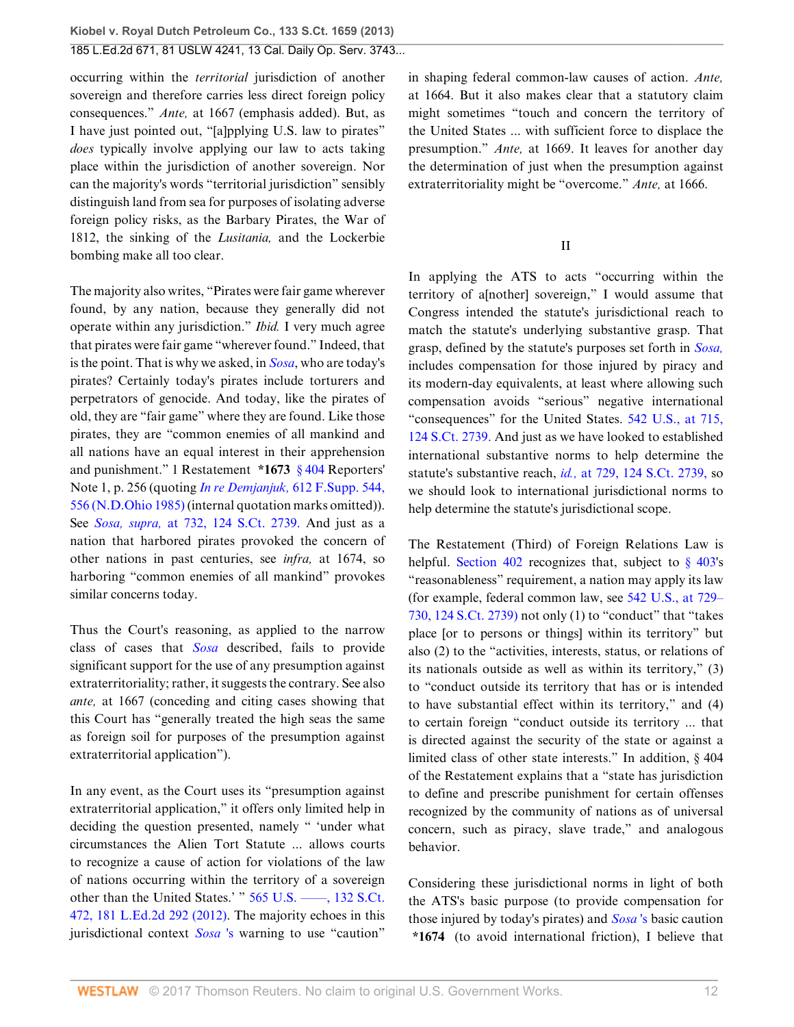occurring within the *territorial* jurisdiction of another sovereign and therefore carries less direct foreign policy consequences." *Ante,* at 1667 (emphasis added). But, as I have just pointed out, "[a]pplying U.S. law to pirates" *does* typically involve applying our law to acts taking place within the jurisdiction of another sovereign. Nor can the majority's words "territorial jurisdiction" sensibly distinguish land from sea for purposes of isolating adverse foreign policy risks, as the Barbary Pirates, the War of 1812, the sinking of the *Lusitania,* and the Lockerbie bombing make all too clear.

The majority also writes, "Pirates were fair game wherever found, by any nation, because they generally did not operate within any jurisdiction." *Ibid.* I very much agree that pirates were fair game "wherever found." Indeed, that is the point. That is why we asked, in *[Sosa](http://www.westlaw.com/Link/Document/FullText?findType=Y&serNum=2004637442&originatingDoc=I10b5fb41a74511e2a160cacff148223f&refType=RP&originationContext=document&vr=3.0&rs=cblt1.0&transitionType=DocumentItem&contextData=(sc.DocLink))*, who are today's pirates? Certainly today's pirates include torturers and perpetrators of genocide. And today, like the pirates of old, they are "fair game" where they are found. Like those pirates, they are "common enemies of all mankind and all nations have an equal interest in their apprehension and punishment." 1 Restatement **\*1673** [§ 404](http://www.westlaw.com/Link/Document/FullText?findType=Y&serNum=0289476780&pubNum=0102182&originatingDoc=I10b5fb41a74511e2a160cacff148223f&refType=TS&originationContext=document&vr=3.0&rs=cblt1.0&transitionType=DocumentItem&contextData=(sc.DocLink)) Reporters' Note 1, p. 256 (quoting *In re Demjanjuk,* [612 F.Supp. 544,](http://www.westlaw.com/Link/Document/FullText?findType=Y&serNum=1985132257&pubNum=345&originatingDoc=I10b5fb41a74511e2a160cacff148223f&refType=RP&fi=co_pp_sp_345_556&originationContext=document&vr=3.0&rs=cblt1.0&transitionType=DocumentItem&contextData=(sc.DocLink)#co_pp_sp_345_556) [556 \(N.D.Ohio 1985\)](http://www.westlaw.com/Link/Document/FullText?findType=Y&serNum=1985132257&pubNum=345&originatingDoc=I10b5fb41a74511e2a160cacff148223f&refType=RP&fi=co_pp_sp_345_556&originationContext=document&vr=3.0&rs=cblt1.0&transitionType=DocumentItem&contextData=(sc.DocLink)#co_pp_sp_345_556) (internal quotation marks omitted)). See *Sosa, supra,* [at 732, 124 S.Ct. 2739.](http://www.westlaw.com/Link/Document/FullText?findType=Y&serNum=2004637442&pubNum=708&originatingDoc=I10b5fb41a74511e2a160cacff148223f&refType=RP&originationContext=document&vr=3.0&rs=cblt1.0&transitionType=DocumentItem&contextData=(sc.DocLink)) And just as a nation that harbored pirates provoked the concern of other nations in past centuries, see *infra,* at 1674, so harboring "common enemies of all mankind" provokes similar concerns today.

Thus the Court's reasoning, as applied to the narrow class of cases that *[Sosa](http://www.westlaw.com/Link/Document/FullText?findType=Y&serNum=2004637442&originatingDoc=I10b5fb41a74511e2a160cacff148223f&refType=RP&originationContext=document&vr=3.0&rs=cblt1.0&transitionType=DocumentItem&contextData=(sc.DocLink))* described, fails to provide significant support for the use of any presumption against extraterritoriality; rather, it suggests the contrary. See also *ante,* at 1667 (conceding and citing cases showing that this Court has "generally treated the high seas the same as foreign soil for purposes of the presumption against extraterritorial application").

In any event, as the Court uses its "presumption against extraterritorial application," it offers only limited help in deciding the question presented, namely " 'under what circumstances the Alien Tort Statute ... allows courts to recognize a cause of action for violations of the law of nations occurring within the territory of a sovereign other than the United States.' " 565 U.S. -----, 132 S.Ct. [472, 181 L.Ed.2d 292 \(2012\).](http://www.westlaw.com/Link/Document/FullText?findType=Y&serNum=2026342010&pubNum=708&originatingDoc=I10b5fb41a74511e2a160cacff148223f&refType=RP&originationContext=document&vr=3.0&rs=cblt1.0&transitionType=DocumentItem&contextData=(sc.DocLink)) The majority echoes in this jurisdictional context *[Sosa](http://www.westlaw.com/Link/Document/FullText?findType=Y&serNum=2004637442&originatingDoc=I10b5fb41a74511e2a160cacff148223f&refType=RP&originationContext=document&vr=3.0&rs=cblt1.0&transitionType=DocumentItem&contextData=(sc.DocLink))* 's warning to use "caution" in shaping federal common-law causes of action. *Ante,* at 1664. But it also makes clear that a statutory claim might sometimes "touch and concern the territory of the United States ... with sufficient force to displace the presumption." *Ante,* at 1669. It leaves for another day the determination of just when the presumption against extraterritoriality might be "overcome." *Ante,* at 1666.

II

In applying the ATS to acts "occurring within the territory of a[nother] sovereign," I would assume that Congress intended the statute's jurisdictional reach to match the statute's underlying substantive grasp. That grasp, defined by the statute's purposes set forth in *[Sosa,](http://www.westlaw.com/Link/Document/FullText?findType=Y&serNum=2004637442&originatingDoc=I10b5fb41a74511e2a160cacff148223f&refType=RP&originationContext=document&vr=3.0&rs=cblt1.0&transitionType=DocumentItem&contextData=(sc.DocLink))* includes compensation for those injured by piracy and its modern-day equivalents, at least where allowing such compensation avoids "serious" negative international "consequences" for the United States. [542 U.S., at 715,](http://www.westlaw.com/Link/Document/FullText?findType=Y&serNum=2004637442&pubNum=708&originatingDoc=I10b5fb41a74511e2a160cacff148223f&refType=RP&originationContext=document&vr=3.0&rs=cblt1.0&transitionType=DocumentItem&contextData=(sc.DocLink)) [124 S.Ct. 2739.](http://www.westlaw.com/Link/Document/FullText?findType=Y&serNum=2004637442&pubNum=708&originatingDoc=I10b5fb41a74511e2a160cacff148223f&refType=RP&originationContext=document&vr=3.0&rs=cblt1.0&transitionType=DocumentItem&contextData=(sc.DocLink)) And just as we have looked to established international substantive norms to help determine the statute's substantive reach, *id.,* [at 729, 124 S.Ct. 2739,](http://www.westlaw.com/Link/Document/FullText?findType=Y&serNum=2004637442&pubNum=708&originatingDoc=I10b5fb41a74511e2a160cacff148223f&refType=RP&originationContext=document&vr=3.0&rs=cblt1.0&transitionType=DocumentItem&contextData=(sc.DocLink)) so we should look to international jurisdictional norms to help determine the statute's jurisdictional scope.

The Restatement (Third) of Foreign Relations Law is helpful. [Section 402](http://www.westlaw.com/Link/Document/FullText?findType=Y&serNum=0289476778&pubNum=0102182&originatingDoc=I10b5fb41a74511e2a160cacff148223f&refType=TS&originationContext=document&vr=3.0&rs=cblt1.0&transitionType=DocumentItem&contextData=(sc.DocLink)) recognizes that, subject to  $\S$  403's "reasonableness" requirement, a nation may apply its law (for example, federal common law, see [542 U.S., at 729–](http://www.westlaw.com/Link/Document/FullText?findType=Y&serNum=2004637442&pubNum=708&originatingDoc=I10b5fb41a74511e2a160cacff148223f&refType=RP&originationContext=document&vr=3.0&rs=cblt1.0&transitionType=DocumentItem&contextData=(sc.DocLink)) [730, 124 S.Ct. 2739\)](http://www.westlaw.com/Link/Document/FullText?findType=Y&serNum=2004637442&pubNum=708&originatingDoc=I10b5fb41a74511e2a160cacff148223f&refType=RP&originationContext=document&vr=3.0&rs=cblt1.0&transitionType=DocumentItem&contextData=(sc.DocLink)) not only (1) to "conduct" that "takes place [or to persons or things] within its territory" but also (2) to the "activities, interests, status, or relations of its nationals outside as well as within its territory," (3) to "conduct outside its territory that has or is intended to have substantial effect within its territory," and (4) to certain foreign "conduct outside its territory ... that is directed against the security of the state or against a limited class of other state interests." In addition, § 404 of the Restatement explains that a "state has jurisdiction to define and prescribe punishment for certain offenses recognized by the community of nations as of universal concern, such as piracy, slave trade," and analogous behavior.

Considering these jurisdictional norms in light of both the ATS's basic purpose (to provide compensation for those injured by today's pirates) and *[Sosa](http://www.westlaw.com/Link/Document/FullText?findType=Y&serNum=2004637442&originatingDoc=I10b5fb41a74511e2a160cacff148223f&refType=RP&originationContext=document&vr=3.0&rs=cblt1.0&transitionType=DocumentItem&contextData=(sc.DocLink))* 's basic caution **\*1674** (to avoid international friction), I believe that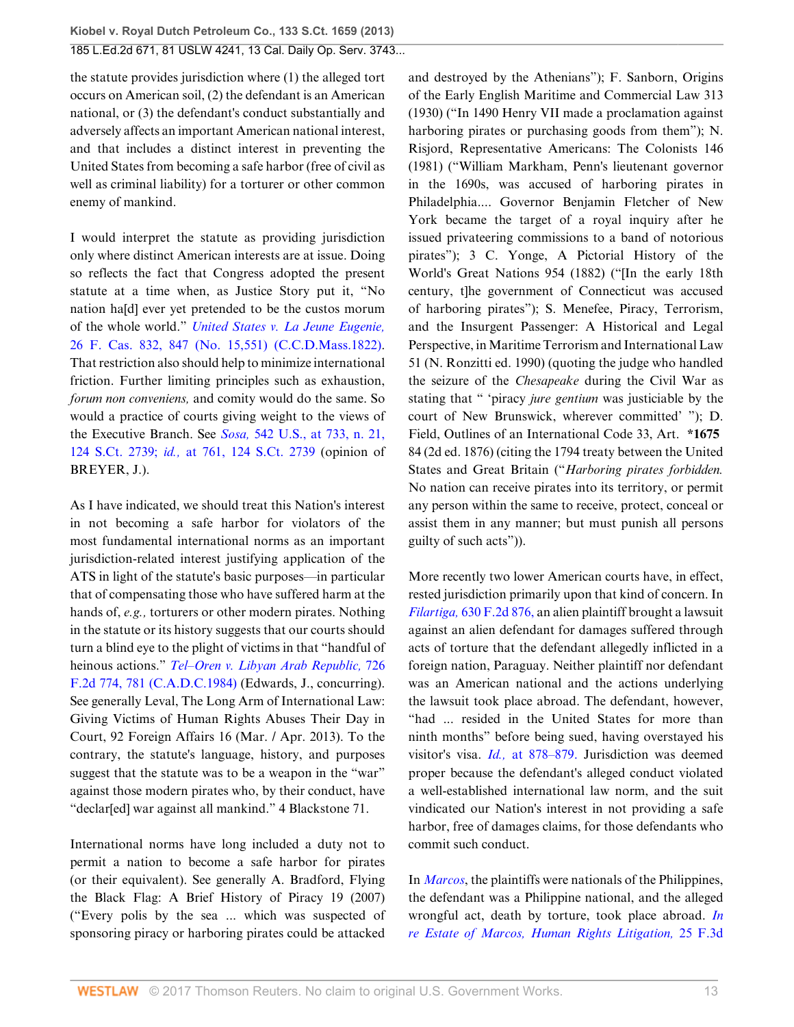the statute provides jurisdiction where (1) the alleged tort occurs on American soil, (2) the defendant is an American national, or (3) the defendant's conduct substantially and adversely affects an important American national interest, and that includes a distinct interest in preventing the United States from becoming a safe harbor (free of civil as well as criminal liability) for a torturer or other common enemy of mankind.

I would interpret the statute as providing jurisdiction only where distinct American interests are at issue. Doing so reflects the fact that Congress adopted the present statute at a time when, as Justice Story put it, "No nation ha[d] ever yet pretended to be the custos morum of the whole world." *[United States v. La Jeune Eugenie,](http://www.westlaw.com/Link/Document/FullText?findType=Y&serNum=1800136043&pubNum=349&originatingDoc=I10b5fb41a74511e2a160cacff148223f&refType=RP&fi=co_pp_sp_349_847&originationContext=document&vr=3.0&rs=cblt1.0&transitionType=DocumentItem&contextData=(sc.DocLink)#co_pp_sp_349_847)* [26 F. Cas. 832, 847 \(No. 15,551\) \(C.C.D.Mass.1822\)](http://www.westlaw.com/Link/Document/FullText?findType=Y&serNum=1800136043&pubNum=349&originatingDoc=I10b5fb41a74511e2a160cacff148223f&refType=RP&fi=co_pp_sp_349_847&originationContext=document&vr=3.0&rs=cblt1.0&transitionType=DocumentItem&contextData=(sc.DocLink)#co_pp_sp_349_847). That restriction also should help to minimize international friction. Further limiting principles such as exhaustion, *forum non conveniens,* and comity would do the same. So would a practice of courts giving weight to the views of the Executive Branch. See *Sosa,* [542 U.S., at 733, n. 21,](http://www.westlaw.com/Link/Document/FullText?findType=Y&serNum=2004637442&pubNum=708&originatingDoc=I10b5fb41a74511e2a160cacff148223f&refType=RP&originationContext=document&vr=3.0&rs=cblt1.0&transitionType=DocumentItem&contextData=(sc.DocLink)) [124 S.Ct. 2739;](http://www.westlaw.com/Link/Document/FullText?findType=Y&serNum=2004637442&pubNum=708&originatingDoc=I10b5fb41a74511e2a160cacff148223f&refType=RP&originationContext=document&vr=3.0&rs=cblt1.0&transitionType=DocumentItem&contextData=(sc.DocLink)) *id.,* [at 761, 124 S.Ct. 2739](http://www.westlaw.com/Link/Document/FullText?findType=Y&serNum=2004637442&pubNum=708&originatingDoc=I10b5fb41a74511e2a160cacff148223f&refType=RP&originationContext=document&vr=3.0&rs=cblt1.0&transitionType=DocumentItem&contextData=(sc.DocLink)) (opinion of BREYER, J.).

As I have indicated, we should treat this Nation's interest in not becoming a safe harbor for violators of the most fundamental international norms as an important jurisdiction-related interest justifying application of the ATS in light of the statute's basic purposes—in particular that of compensating those who have suffered harm at the hands of, *e.g.,* torturers or other modern pirates. Nothing in the statute or its history suggests that our courts should turn a blind eye to the plight of victims in that "handful of heinous actions." *[Tel–Oren v. Libyan Arab Republic,](http://www.westlaw.com/Link/Document/FullText?findType=Y&serNum=1984107296&pubNum=350&originatingDoc=I10b5fb41a74511e2a160cacff148223f&refType=RP&fi=co_pp_sp_350_781&originationContext=document&vr=3.0&rs=cblt1.0&transitionType=DocumentItem&contextData=(sc.DocLink)#co_pp_sp_350_781)* 726 [F.2d 774, 781 \(C.A.D.C.1984\)](http://www.westlaw.com/Link/Document/FullText?findType=Y&serNum=1984107296&pubNum=350&originatingDoc=I10b5fb41a74511e2a160cacff148223f&refType=RP&fi=co_pp_sp_350_781&originationContext=document&vr=3.0&rs=cblt1.0&transitionType=DocumentItem&contextData=(sc.DocLink)#co_pp_sp_350_781) (Edwards, J., concurring). See generally Leval, The Long Arm of International Law: Giving Victims of Human Rights Abuses Their Day in Court, 92 Foreign Affairs 16 (Mar. / Apr. 2013). To the contrary, the statute's language, history, and purposes suggest that the statute was to be a weapon in the "war" against those modern pirates who, by their conduct, have "declar[ed] war against all mankind." 4 Blackstone 71.

International norms have long included a duty not to permit a nation to become a safe harbor for pirates (or their equivalent). See generally A. Bradford, Flying the Black Flag: A Brief History of Piracy 19 (2007) ("Every polis by the sea ... which was suspected of sponsoring piracy or harboring pirates could be attacked

and destroyed by the Athenians"); F. Sanborn, Origins of the Early English Maritime and Commercial Law 313 (1930) ("In 1490 Henry VII made a proclamation against harboring pirates or purchasing goods from them"); N. Risjord, Representative Americans: The Colonists 146 (1981) ("William Markham, Penn's lieutenant governor in the 1690s, was accused of harboring pirates in Philadelphia.... Governor Benjamin Fletcher of New York became the target of a royal inquiry after he issued privateering commissions to a band of notorious pirates"); 3 C. Yonge, A Pictorial History of the World's Great Nations 954 (1882) ("[In the early 18th century, t]he government of Connecticut was accused of harboring pirates"); S. Menefee, Piracy, Terrorism, and the Insurgent Passenger: A Historical and Legal Perspective, in Maritime Terrorism and International Law 51 (N. Ronzitti ed. 1990) (quoting the judge who handled the seizure of the *Chesapeake* during the Civil War as stating that " 'piracy *jure gentium* was justiciable by the court of New Brunswick, wherever committed' "); D. Field, Outlines of an International Code 33, Art. **\*1675** 84 (2d ed. 1876) (citing the 1794 treaty between the United States and Great Britain ("*Harboring pirates forbidden.* No nation can receive pirates into its territory, or permit any person within the same to receive, protect, conceal or assist them in any manner; but must punish all persons guilty of such acts")).

More recently two lower American courts have, in effect, rested jurisdiction primarily upon that kind of concern. In *Filartiga,* [630 F.2d 876,](http://www.westlaw.com/Link/Document/FullText?findType=Y&serNum=1980125293&pubNum=350&originatingDoc=I10b5fb41a74511e2a160cacff148223f&refType=RP&originationContext=document&vr=3.0&rs=cblt1.0&transitionType=DocumentItem&contextData=(sc.DocLink)) an alien plaintiff brought a lawsuit against an alien defendant for damages suffered through acts of torture that the defendant allegedly inflicted in a foreign nation, Paraguay. Neither plaintiff nor defendant was an American national and the actions underlying the lawsuit took place abroad. The defendant, however, "had ... resided in the United States for more than ninth months" before being sued, having overstayed his visitor's visa. *Id.,* [at 878–879.](http://www.westlaw.com/Link/Document/FullText?findType=Y&serNum=1980125293&originatingDoc=I10b5fb41a74511e2a160cacff148223f&refType=RP&originationContext=document&vr=3.0&rs=cblt1.0&transitionType=DocumentItem&contextData=(sc.DocLink)) Jurisdiction was deemed proper because the defendant's alleged conduct violated a well-established international law norm, and the suit vindicated our Nation's interest in not providing a safe harbor, free of damages claims, for those defendants who commit such conduct.

In *[Marcos](http://www.westlaw.com/Link/Document/FullText?findType=Y&serNum=1994130161&originatingDoc=I10b5fb41a74511e2a160cacff148223f&refType=RP&originationContext=document&vr=3.0&rs=cblt1.0&transitionType=DocumentItem&contextData=(sc.DocLink))*, the plaintiffs were nationals of the Philippines, the defendant was a Philippine national, and the alleged wrongful act, death by torture, took place abroad. *[In](http://www.westlaw.com/Link/Document/FullText?findType=Y&serNum=1994130161&pubNum=506&originatingDoc=I10b5fb41a74511e2a160cacff148223f&refType=RP&fi=co_pp_sp_506_1469&originationContext=document&vr=3.0&rs=cblt1.0&transitionType=DocumentItem&contextData=(sc.DocLink)#co_pp_sp_506_1469) [re Estate of Marcos, Human Rights Litigation,](http://www.westlaw.com/Link/Document/FullText?findType=Y&serNum=1994130161&pubNum=506&originatingDoc=I10b5fb41a74511e2a160cacff148223f&refType=RP&fi=co_pp_sp_506_1469&originationContext=document&vr=3.0&rs=cblt1.0&transitionType=DocumentItem&contextData=(sc.DocLink)#co_pp_sp_506_1469)* 25 F.3d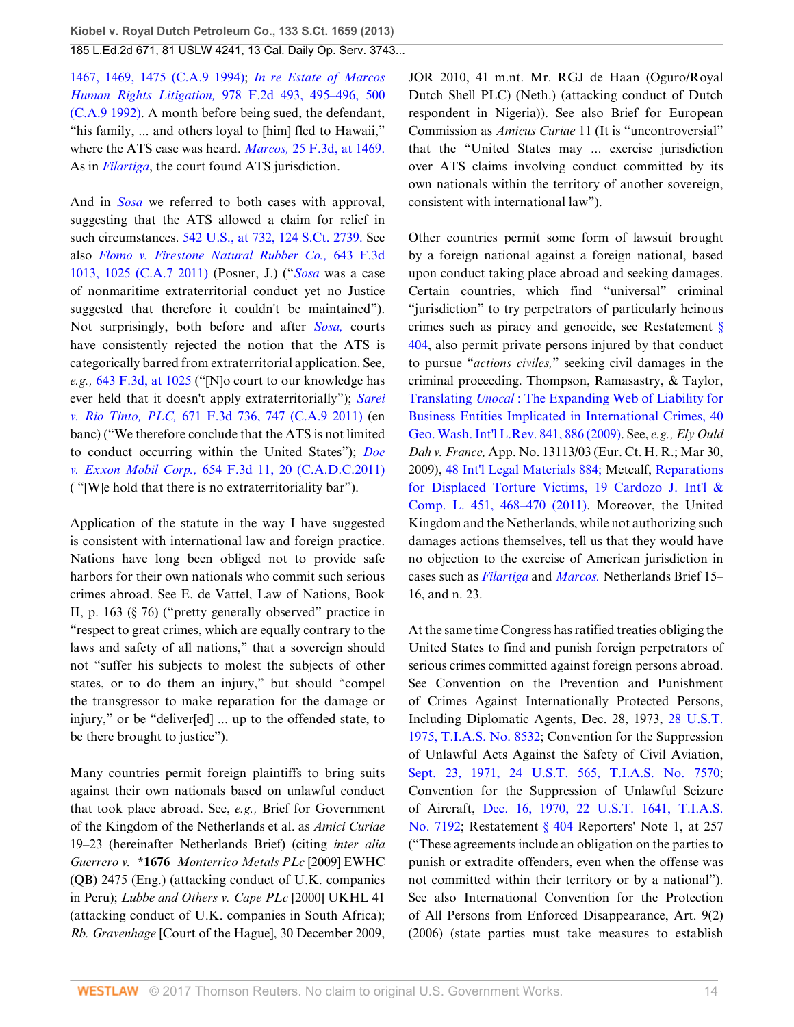[1467, 1469, 1475 \(C.A.9 1994\);](http://www.westlaw.com/Link/Document/FullText?findType=Y&serNum=1994130161&pubNum=506&originatingDoc=I10b5fb41a74511e2a160cacff148223f&refType=RP&fi=co_pp_sp_506_1469&originationContext=document&vr=3.0&rs=cblt1.0&transitionType=DocumentItem&contextData=(sc.DocLink)#co_pp_sp_506_1469) *[In re Estate of Marcos](http://www.westlaw.com/Link/Document/FullText?findType=Y&serNum=1992182463&pubNum=350&originatingDoc=I10b5fb41a74511e2a160cacff148223f&refType=RP&fi=co_pp_sp_350_495&originationContext=document&vr=3.0&rs=cblt1.0&transitionType=DocumentItem&contextData=(sc.DocLink)#co_pp_sp_350_495) Human Rights Litigation,* [978 F.2d 493, 495–496, 500](http://www.westlaw.com/Link/Document/FullText?findType=Y&serNum=1992182463&pubNum=350&originatingDoc=I10b5fb41a74511e2a160cacff148223f&refType=RP&fi=co_pp_sp_350_495&originationContext=document&vr=3.0&rs=cblt1.0&transitionType=DocumentItem&contextData=(sc.DocLink)#co_pp_sp_350_495) [\(C.A.9 1992\).](http://www.westlaw.com/Link/Document/FullText?findType=Y&serNum=1992182463&pubNum=350&originatingDoc=I10b5fb41a74511e2a160cacff148223f&refType=RP&fi=co_pp_sp_350_495&originationContext=document&vr=3.0&rs=cblt1.0&transitionType=DocumentItem&contextData=(sc.DocLink)#co_pp_sp_350_495) A month before being sued, the defendant, "his family, ... and others loyal to [him] fled to Hawaii," where the ATS case was heard. *Marcos,* [25 F.3d, at 1469.](http://www.westlaw.com/Link/Document/FullText?findType=Y&serNum=1994130161&pubNum=506&originatingDoc=I10b5fb41a74511e2a160cacff148223f&refType=RP&fi=co_pp_sp_506_1469&originationContext=document&vr=3.0&rs=cblt1.0&transitionType=DocumentItem&contextData=(sc.DocLink)#co_pp_sp_506_1469) As in *[Filartiga](http://www.westlaw.com/Link/Document/FullText?findType=Y&serNum=1980125293&originatingDoc=I10b5fb41a74511e2a160cacff148223f&refType=RP&originationContext=document&vr=3.0&rs=cblt1.0&transitionType=DocumentItem&contextData=(sc.DocLink))*, the court found ATS jurisdiction.

And in *[Sosa](http://www.westlaw.com/Link/Document/FullText?findType=Y&serNum=2004637442&originatingDoc=I10b5fb41a74511e2a160cacff148223f&refType=RP&originationContext=document&vr=3.0&rs=cblt1.0&transitionType=DocumentItem&contextData=(sc.DocLink))* we referred to both cases with approval, suggesting that the ATS allowed a claim for relief in such circumstances. [542 U.S., at 732, 124 S.Ct. 2739.](http://www.westlaw.com/Link/Document/FullText?findType=Y&serNum=2004637442&pubNum=708&originatingDoc=I10b5fb41a74511e2a160cacff148223f&refType=RP&originationContext=document&vr=3.0&rs=cblt1.0&transitionType=DocumentItem&contextData=(sc.DocLink)) See also *[Flomo v. Firestone Natural Rubber Co.,](http://www.westlaw.com/Link/Document/FullText?findType=Y&serNum=2025641202&pubNum=506&originatingDoc=I10b5fb41a74511e2a160cacff148223f&refType=RP&fi=co_pp_sp_506_1025&originationContext=document&vr=3.0&rs=cblt1.0&transitionType=DocumentItem&contextData=(sc.DocLink)#co_pp_sp_506_1025)* 643 F.3d [1013, 1025 \(C.A.7 2011\)](http://www.westlaw.com/Link/Document/FullText?findType=Y&serNum=2025641202&pubNum=506&originatingDoc=I10b5fb41a74511e2a160cacff148223f&refType=RP&fi=co_pp_sp_506_1025&originationContext=document&vr=3.0&rs=cblt1.0&transitionType=DocumentItem&contextData=(sc.DocLink)#co_pp_sp_506_1025) (Posner, J.) ("*[Sosa](http://www.westlaw.com/Link/Document/FullText?findType=Y&serNum=2004637442&originatingDoc=I10b5fb41a74511e2a160cacff148223f&refType=RP&originationContext=document&vr=3.0&rs=cblt1.0&transitionType=DocumentItem&contextData=(sc.DocLink))* was a case of nonmaritime extraterritorial conduct yet no Justice suggested that therefore it couldn't be maintained"). Not surprisingly, both before and after *[Sosa,](http://www.westlaw.com/Link/Document/FullText?findType=Y&serNum=2004637442&originatingDoc=I10b5fb41a74511e2a160cacff148223f&refType=RP&originationContext=document&vr=3.0&rs=cblt1.0&transitionType=DocumentItem&contextData=(sc.DocLink))* courts have consistently rejected the notion that the ATS is categorically barred from extraterritorial application. See, *e.g.,* [643 F.3d, at 1025](http://www.westlaw.com/Link/Document/FullText?findType=Y&serNum=2025641202&pubNum=506&originatingDoc=I10b5fb41a74511e2a160cacff148223f&refType=RP&fi=co_pp_sp_506_1025&originationContext=document&vr=3.0&rs=cblt1.0&transitionType=DocumentItem&contextData=(sc.DocLink)#co_pp_sp_506_1025) ("[N]o court to our knowledge has ever held that it doesn't apply extraterritorially"); *[Sarei](http://www.westlaw.com/Link/Document/FullText?findType=Y&serNum=2026387313&pubNum=506&originatingDoc=I10b5fb41a74511e2a160cacff148223f&refType=RP&fi=co_pp_sp_506_747&originationContext=document&vr=3.0&rs=cblt1.0&transitionType=DocumentItem&contextData=(sc.DocLink)#co_pp_sp_506_747) v. Rio Tinto, PLC,* [671 F.3d 736, 747 \(C.A.9 2011\)](http://www.westlaw.com/Link/Document/FullText?findType=Y&serNum=2026387313&pubNum=506&originatingDoc=I10b5fb41a74511e2a160cacff148223f&refType=RP&fi=co_pp_sp_506_747&originationContext=document&vr=3.0&rs=cblt1.0&transitionType=DocumentItem&contextData=(sc.DocLink)#co_pp_sp_506_747) (en banc) ("We therefore conclude that the ATS is not limited to conduct occurring within the United States"); *[Doe](http://www.westlaw.com/Link/Document/FullText?findType=Y&serNum=2025629981&pubNum=506&originatingDoc=I10b5fb41a74511e2a160cacff148223f&refType=RP&fi=co_pp_sp_506_20&originationContext=document&vr=3.0&rs=cblt1.0&transitionType=DocumentItem&contextData=(sc.DocLink)#co_pp_sp_506_20) v. Exxon Mobil Corp.,* [654 F.3d 11, 20 \(C.A.D.C.2011\)](http://www.westlaw.com/Link/Document/FullText?findType=Y&serNum=2025629981&pubNum=506&originatingDoc=I10b5fb41a74511e2a160cacff148223f&refType=RP&fi=co_pp_sp_506_20&originationContext=document&vr=3.0&rs=cblt1.0&transitionType=DocumentItem&contextData=(sc.DocLink)#co_pp_sp_506_20) ( "[W]e hold that there is no extraterritoriality bar").

Application of the statute in the way I have suggested is consistent with international law and foreign practice. Nations have long been obliged not to provide safe harbors for their own nationals who commit such serious crimes abroad. See E. de Vattel, Law of Nations, Book II, p. 163 (§ 76) ("pretty generally observed" practice in "respect to great crimes, which are equally contrary to the laws and safety of all nations," that a sovereign should not "suffer his subjects to molest the subjects of other states, or to do them an injury," but should "compel the transgressor to make reparation for the damage or injury," or be "deliver[ed] ... up to the offended state, to be there brought to justice").

Many countries permit foreign plaintiffs to bring suits against their own nationals based on unlawful conduct that took place abroad. See, *e.g.,* Brief for Government of the Kingdom of the Netherlands et al. as *Amici Curiae* 19–23 (hereinafter Netherlands Brief) (citing *inter alia Guerrero v.* **\*1676** *Monterrico Metals PLc* [2009] EWHC (QB) 2475 (Eng.) (attacking conduct of U.K. companies in Peru); *Lubbe and Others v. Cape PLc* [2000] UKHL 41 (attacking conduct of U.K. companies in South Africa); *Rb. Gravenhage* [Court of the Hague], 30 December 2009, JOR 2010, 41 m.nt. Mr. RGJ de Haan (Oguro/Royal Dutch Shell PLC) (Neth.) (attacking conduct of Dutch respondent in Nigeria)). See also Brief for European Commission as *Amicus Curiae* 11 (It is "uncontroversial" that the "United States may ... exercise jurisdiction over ATS claims involving conduct committed by its own nationals within the territory of another sovereign, consistent with international law").

Other countries permit some form of lawsuit brought by a foreign national against a foreign national, based upon conduct taking place abroad and seeking damages. Certain countries, which find "universal" criminal "jurisdiction" to try perpetrators of particularly heinous crimes such as piracy and genocide, see Restatement [§](http://www.westlaw.com/Link/Document/FullText?findType=Y&serNum=0289476780&pubNum=0102182&originatingDoc=I10b5fb41a74511e2a160cacff148223f&refType=TS&originationContext=document&vr=3.0&rs=cblt1.0&transitionType=DocumentItem&contextData=(sc.DocLink)) [404](http://www.westlaw.com/Link/Document/FullText?findType=Y&serNum=0289476780&pubNum=0102182&originatingDoc=I10b5fb41a74511e2a160cacff148223f&refType=TS&originationContext=document&vr=3.0&rs=cblt1.0&transitionType=DocumentItem&contextData=(sc.DocLink)), also permit private persons injured by that conduct to pursue "*actions civiles,*" seeking civil damages in the criminal proceeding. Thompson, Ramasastry, & Taylor, Translating *Unocal* [: The Expanding Web of Liability for](http://www.westlaw.com/Link/Document/FullText?findType=Y&serNum=0352110705&pubNum=137647&originatingDoc=I10b5fb41a74511e2a160cacff148223f&refType=LR&fi=co_pp_sp_137647_886&originationContext=document&vr=3.0&rs=cblt1.0&transitionType=DocumentItem&contextData=(sc.DocLink)#co_pp_sp_137647_886) [Business Entities Implicated in International Crimes, 40](http://www.westlaw.com/Link/Document/FullText?findType=Y&serNum=0352110705&pubNum=137647&originatingDoc=I10b5fb41a74511e2a160cacff148223f&refType=LR&fi=co_pp_sp_137647_886&originationContext=document&vr=3.0&rs=cblt1.0&transitionType=DocumentItem&contextData=(sc.DocLink)#co_pp_sp_137647_886) [Geo. Wash. Int'l L.Rev. 841, 886 \(2009\)](http://www.westlaw.com/Link/Document/FullText?findType=Y&serNum=0352110705&pubNum=137647&originatingDoc=I10b5fb41a74511e2a160cacff148223f&refType=LR&fi=co_pp_sp_137647_886&originationContext=document&vr=3.0&rs=cblt1.0&transitionType=DocumentItem&contextData=(sc.DocLink)#co_pp_sp_137647_886). See, *e.g., Ely Ould Dah v. France,* App. No. 13113/03 (Eur. Ct. H. R.; Mar 30, 2009), [48 Int'l Legal Materials 884;](http://www.westlaw.com/Link/Document/FullText?findType=Y&pubNum=100856&cite=48INTLLEGALMAT884&originatingDoc=I10b5fb41a74511e2a160cacff148223f&refType=NA&originationContext=document&vr=3.0&rs=cblt1.0&transitionType=DocumentItem&contextData=(sc.DocLink)) Metcalf, [Reparations](http://www.westlaw.com/Link/Document/FullText?findType=Y&serNum=0363192654&pubNum=108298&originatingDoc=I10b5fb41a74511e2a160cacff148223f&refType=LR&fi=co_pp_sp_108298_468&originationContext=document&vr=3.0&rs=cblt1.0&transitionType=DocumentItem&contextData=(sc.DocLink)#co_pp_sp_108298_468) [for Displaced Torture Victims, 19 Cardozo J. Int'l &](http://www.westlaw.com/Link/Document/FullText?findType=Y&serNum=0363192654&pubNum=108298&originatingDoc=I10b5fb41a74511e2a160cacff148223f&refType=LR&fi=co_pp_sp_108298_468&originationContext=document&vr=3.0&rs=cblt1.0&transitionType=DocumentItem&contextData=(sc.DocLink)#co_pp_sp_108298_468) [Comp. L. 451, 468–470 \(2011\).](http://www.westlaw.com/Link/Document/FullText?findType=Y&serNum=0363192654&pubNum=108298&originatingDoc=I10b5fb41a74511e2a160cacff148223f&refType=LR&fi=co_pp_sp_108298_468&originationContext=document&vr=3.0&rs=cblt1.0&transitionType=DocumentItem&contextData=(sc.DocLink)#co_pp_sp_108298_468) Moreover, the United Kingdom and the Netherlands, while not authorizing such damages actions themselves, tell us that they would have no objection to the exercise of American jurisdiction in cases such as *[Filartiga](http://www.westlaw.com/Link/Document/FullText?findType=Y&serNum=1980125293&originatingDoc=I10b5fb41a74511e2a160cacff148223f&refType=RP&originationContext=document&vr=3.0&rs=cblt1.0&transitionType=DocumentItem&contextData=(sc.DocLink))* and *[Marcos.](http://www.westlaw.com/Link/Document/FullText?findType=Y&serNum=1994130161&originatingDoc=I10b5fb41a74511e2a160cacff148223f&refType=RP&originationContext=document&vr=3.0&rs=cblt1.0&transitionType=DocumentItem&contextData=(sc.DocLink))* Netherlands Brief 15– 16, and n. 23.

At the same time Congress has ratified treaties obliging the United States to find and punish foreign perpetrators of serious crimes committed against foreign persons abroad. See Convention on the Prevention and Punishment of Crimes Against Internationally Protected Persons, Including Diplomatic Agents, Dec. 28, 1973, [28 U.S.T.](http://www.westlaw.com/Link/Document/FullText?findType=Y&serNum=1977161709&pubNum=0006792&originatingDoc=I10b5fb41a74511e2a160cacff148223f&refType=CA&originationContext=document&vr=3.0&rs=cblt1.0&transitionType=DocumentItem&contextData=(sc.DocLink)) [1975, T.I.A.S. No. 8532;](http://www.westlaw.com/Link/Document/FullText?findType=Y&serNum=1977161709&pubNum=0006792&originatingDoc=I10b5fb41a74511e2a160cacff148223f&refType=CA&originationContext=document&vr=3.0&rs=cblt1.0&transitionType=DocumentItem&contextData=(sc.DocLink)) Convention for the Suppression of Unlawful Acts Against the Safety of Civil Aviation, [Sept. 23, 1971, 24 U.S.T. 565, T.I.A.S. No. 7570](http://www.westlaw.com/Link/Document/FullText?findType=Y&serNum=1973150822&pubNum=0006792&originatingDoc=I10b5fb41a74511e2a160cacff148223f&refType=CA&originationContext=document&vr=3.0&rs=cblt1.0&transitionType=DocumentItem&contextData=(sc.DocLink)); Convention for the Suppression of Unlawful Seizure of Aircraft, [Dec. 16, 1970, 22 U.S.T. 1641, T.I.A.S.](http://www.westlaw.com/Link/Document/FullText?findType=Y&serNum=1971143055&pubNum=0006792&originatingDoc=I10b5fb41a74511e2a160cacff148223f&refType=CA&originationContext=document&vr=3.0&rs=cblt1.0&transitionType=DocumentItem&contextData=(sc.DocLink)) [No. 7192](http://www.westlaw.com/Link/Document/FullText?findType=Y&serNum=1971143055&pubNum=0006792&originatingDoc=I10b5fb41a74511e2a160cacff148223f&refType=CA&originationContext=document&vr=3.0&rs=cblt1.0&transitionType=DocumentItem&contextData=(sc.DocLink)); Restatement [§ 404](http://www.westlaw.com/Link/Document/FullText?findType=Y&serNum=0289476780&pubNum=0102182&originatingDoc=I10b5fb41a74511e2a160cacff148223f&refType=TS&originationContext=document&vr=3.0&rs=cblt1.0&transitionType=DocumentItem&contextData=(sc.DocLink)) Reporters' Note 1, at 257 ("These agreements include an obligation on the parties to punish or extradite offenders, even when the offense was not committed within their territory or by a national"). See also International Convention for the Protection of All Persons from Enforced Disappearance, Art. 9(2) (2006) (state parties must take measures to establish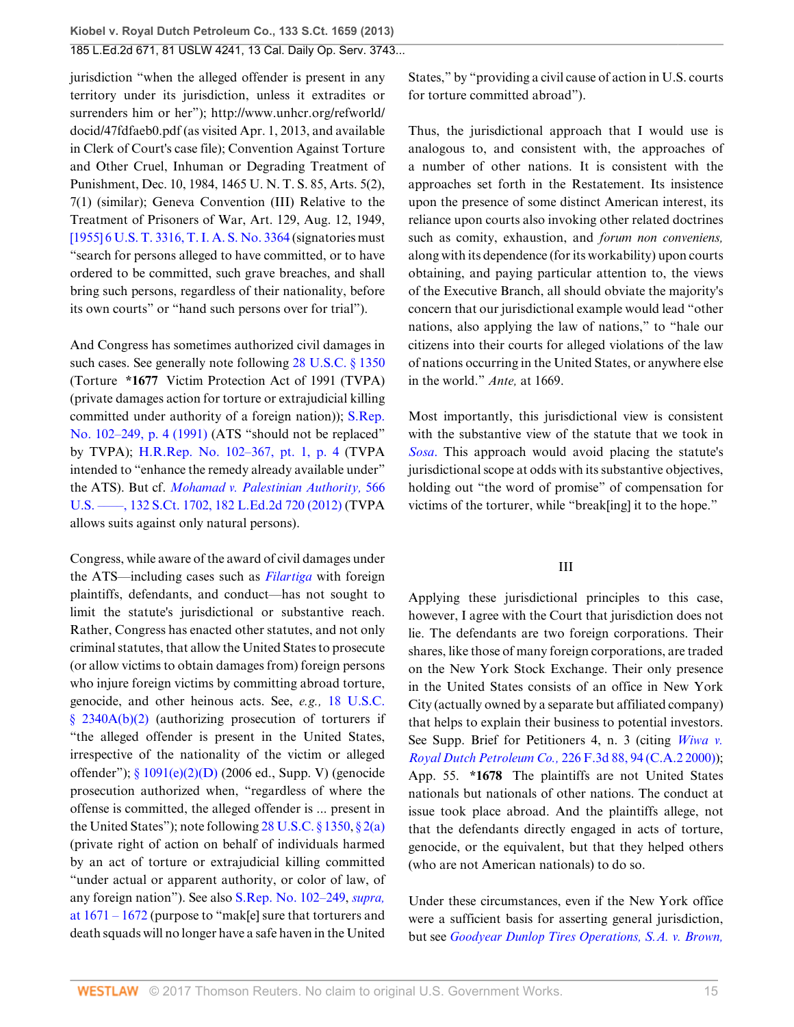jurisdiction "when the alleged offender is present in any territory under its jurisdiction, unless it extradites or surrenders him or her"); http://www.unhcr.org/refworld/ docid/47fdfaeb0.pdf (as visited Apr. 1, 2013, and available in Clerk of Court's case file); Convention Against Torture and Other Cruel, Inhuman or Degrading Treatment of Punishment, Dec. 10, 1984, 1465 U. N. T. S. 85, Arts. 5(2), 7(1) (similar); Geneva Convention (III) Relative to the Treatment of Prisoners of War, Art. 129, Aug. 12, 1949, [\[1955\] 6 U.S. T. 3316, T. I. A. S. No. 3364](http://www.westlaw.com/Link/Document/FullText?findType=Y&serNum=1956056356&pubNum=0006792&originatingDoc=I10b5fb41a74511e2a160cacff148223f&refType=CA&originationContext=document&vr=3.0&rs=cblt1.0&transitionType=DocumentItem&contextData=(sc.DocLink)) (signatories must "search for persons alleged to have committed, or to have ordered to be committed, such grave breaches, and shall bring such persons, regardless of their nationality, before its own courts" or "hand such persons over for trial").

And Congress has sometimes authorized civil damages in such cases. See generally note following [28 U.S.C. § 1350](http://www.westlaw.com/Link/Document/FullText?findType=L&pubNum=1000546&cite=28USCAS1350&originatingDoc=I10b5fb41a74511e2a160cacff148223f&refType=LQ&originationContext=document&vr=3.0&rs=cblt1.0&transitionType=DocumentItem&contextData=(sc.DocLink)) (Torture **\*1677** Victim Protection Act of 1991 (TVPA) (private damages action for torture or extrajudicial killing committed under authority of a foreign nation)); [S.Rep.](http://www.westlaw.com/Link/Document/FullText?findType=Y&serNum=0100901848&pubNum=0001503&originatingDoc=I10b5fb41a74511e2a160cacff148223f&refType=TV&originationContext=document&vr=3.0&rs=cblt1.0&transitionType=DocumentItem&contextData=(sc.DocLink)) [No. 102–249, p. 4 \(1991\)](http://www.westlaw.com/Link/Document/FullText?findType=Y&serNum=0100901848&pubNum=0001503&originatingDoc=I10b5fb41a74511e2a160cacff148223f&refType=TV&originationContext=document&vr=3.0&rs=cblt1.0&transitionType=DocumentItem&contextData=(sc.DocLink)) (ATS "should not be replaced" by TVPA); [H.R.Rep. No. 102–367, pt. 1, p. 4](http://www.westlaw.com/Link/Document/FullText?findType=Y&serNum=0100900351&pubNum=0100014&originatingDoc=I10b5fb41a74511e2a160cacff148223f&refType=TV&originationContext=document&vr=3.0&rs=cblt1.0&transitionType=DocumentItem&contextData=(sc.DocLink)) (TVPA intended to "enhance the remedy already available under" the ATS). But cf. *[Mohamad v. Palestinian Authority,](http://www.westlaw.com/Link/Document/FullText?findType=Y&serNum=2027515385&pubNum=708&originatingDoc=I10b5fb41a74511e2a160cacff148223f&refType=RP&originationContext=document&vr=3.0&rs=cblt1.0&transitionType=DocumentItem&contextData=(sc.DocLink))* 566 [U.S. ––––, 132 S.Ct. 1702, 182 L.Ed.2d 720 \(2012\)](http://www.westlaw.com/Link/Document/FullText?findType=Y&serNum=2027515385&pubNum=708&originatingDoc=I10b5fb41a74511e2a160cacff148223f&refType=RP&originationContext=document&vr=3.0&rs=cblt1.0&transitionType=DocumentItem&contextData=(sc.DocLink)) (TVPA allows suits against only natural persons).

Congress, while aware of the award of civil damages under the ATS—including cases such as *[Filartiga](http://www.westlaw.com/Link/Document/FullText?findType=Y&serNum=1980125293&originatingDoc=I10b5fb41a74511e2a160cacff148223f&refType=RP&originationContext=document&vr=3.0&rs=cblt1.0&transitionType=DocumentItem&contextData=(sc.DocLink))* with foreign plaintiffs, defendants, and conduct—has not sought to limit the statute's jurisdictional or substantive reach. Rather, Congress has enacted other statutes, and not only criminal statutes, that allow the United States to prosecute (or allow victims to obtain damages from) foreign persons who injure foreign victims by committing abroad torture, genocide, and other heinous acts. See, *e.g.,* [18 U.S.C.](http://www.westlaw.com/Link/Document/FullText?findType=L&pubNum=1000546&cite=18USCAS2340A&originatingDoc=I10b5fb41a74511e2a160cacff148223f&refType=RB&originationContext=document&vr=3.0&rs=cblt1.0&transitionType=DocumentItem&contextData=(sc.DocLink)#co_pp_c0ae00006c482) [§ 2340A\(b\)\(2\)](http://www.westlaw.com/Link/Document/FullText?findType=L&pubNum=1000546&cite=18USCAS2340A&originatingDoc=I10b5fb41a74511e2a160cacff148223f&refType=RB&originationContext=document&vr=3.0&rs=cblt1.0&transitionType=DocumentItem&contextData=(sc.DocLink)#co_pp_c0ae00006c482) (authorizing prosecution of torturers if "the alleged offender is present in the United States, irrespective of the nationality of the victim or alleged offender"); [§ 1091\(e\)\(2\)\(D\)](http://www.westlaw.com/Link/Document/FullText?findType=L&pubNum=1000546&cite=18USCAS1091&originatingDoc=I10b5fb41a74511e2a160cacff148223f&refType=RB&originationContext=document&vr=3.0&rs=cblt1.0&transitionType=DocumentItem&contextData=(sc.DocLink)#co_pp_5d66000023be5) (2006 ed., Supp. V) (genocide prosecution authorized when, "regardless of where the offense is committed, the alleged offender is ... present in the United States"); note following [28 U.S.C. § 1350](http://www.westlaw.com/Link/Document/FullText?findType=L&pubNum=1000546&cite=28USCAS1350&originatingDoc=I10b5fb41a74511e2a160cacff148223f&refType=LQ&originationContext=document&vr=3.0&rs=cblt1.0&transitionType=DocumentItem&contextData=(sc.DocLink)), [§ 2\(a\)](http://www.westlaw.com/Link/Document/FullText?findType=L&pubNum=1000546&cite=28USCAS2&originatingDoc=I10b5fb41a74511e2a160cacff148223f&refType=LQ&originationContext=document&vr=3.0&rs=cblt1.0&transitionType=DocumentItem&contextData=(sc.DocLink)) (private right of action on behalf of individuals harmed by an act of torture or extrajudicial killing committed "under actual or apparent authority, or color of law, of any foreign nation"). See also [S.Rep. No. 102–249](http://www.westlaw.com/Link/Document/FullText?findType=Y&serNum=0100901848&pubNum=0001503&originatingDoc=I10b5fb41a74511e2a160cacff148223f&refType=TV&originationContext=document&vr=3.0&rs=cblt1.0&transitionType=DocumentItem&contextData=(sc.DocLink)), *[supra,](http://www.westlaw.com/Link/Document/FullText?findType=Y&serNum=1971143055&pubNum=0006792&originatingDoc=I10b5fb41a74511e2a160cacff148223f&refType=CA&fi=co_pp_sp_6792_1671&originationContext=document&vr=3.0&rs=cblt1.0&transitionType=DocumentItem&contextData=(sc.DocLink)#co_pp_sp_6792_1671)* [at 1671 – 1672](http://www.westlaw.com/Link/Document/FullText?findType=Y&serNum=1971143055&pubNum=0006792&originatingDoc=I10b5fb41a74511e2a160cacff148223f&refType=CA&fi=co_pp_sp_6792_1671&originationContext=document&vr=3.0&rs=cblt1.0&transitionType=DocumentItem&contextData=(sc.DocLink)#co_pp_sp_6792_1671) (purpose to "mak[e] sure that torturers and death squads will no longer have a safe haven in the United

States," by "providing a civil cause of action in U.S. courts for torture committed abroad").

Thus, the jurisdictional approach that I would use is analogous to, and consistent with, the approaches of a number of other nations. It is consistent with the approaches set forth in the Restatement. Its insistence upon the presence of some distinct American interest, its reliance upon courts also invoking other related doctrines such as comity, exhaustion, and *forum non conveniens,* along with its dependence (for its workability) upon courts obtaining, and paying particular attention to, the views of the Executive Branch, all should obviate the majority's concern that our jurisdictional example would lead "other nations, also applying the law of nations," to "hale our citizens into their courts for alleged violations of the law of nations occurring in the United States, or anywhere else in the world." *Ante,* at 1669.

Most importantly, this jurisdictional view is consistent with the substantive view of the statute that we took in *[Sosa](http://www.westlaw.com/Link/Document/FullText?findType=Y&serNum=2004637442&originatingDoc=I10b5fb41a74511e2a160cacff148223f&refType=RP&originationContext=document&vr=3.0&rs=cblt1.0&transitionType=DocumentItem&contextData=(sc.DocLink))*. This approach would avoid placing the statute's jurisdictional scope at odds with its substantive objectives, holding out "the word of promise" of compensation for victims of the torturer, while "break[ing] it to the hope."

### III

Applying these jurisdictional principles to this case, however, I agree with the Court that jurisdiction does not lie. The defendants are two foreign corporations. Their shares, like those of many foreign corporations, are traded on the New York Stock Exchange. Their only presence in the United States consists of an office in New York City (actually owned by a separate but affiliated company) that helps to explain their business to potential investors. See Supp. Brief for Petitioners 4, n. 3 (citing *[Wiwa v.](http://www.westlaw.com/Link/Document/FullText?findType=Y&serNum=2000518603&pubNum=506&originatingDoc=I10b5fb41a74511e2a160cacff148223f&refType=RP&fi=co_pp_sp_506_94&originationContext=document&vr=3.0&rs=cblt1.0&transitionType=DocumentItem&contextData=(sc.DocLink)#co_pp_sp_506_94) Royal Dutch Petroleum Co.,* [226 F.3d 88, 94 \(C.A.2 2000\)\)](http://www.westlaw.com/Link/Document/FullText?findType=Y&serNum=2000518603&pubNum=506&originatingDoc=I10b5fb41a74511e2a160cacff148223f&refType=RP&fi=co_pp_sp_506_94&originationContext=document&vr=3.0&rs=cblt1.0&transitionType=DocumentItem&contextData=(sc.DocLink)#co_pp_sp_506_94); App. 55. **\*1678** The plaintiffs are not United States nationals but nationals of other nations. The conduct at issue took place abroad. And the plaintiffs allege, not that the defendants directly engaged in acts of torture, genocide, or the equivalent, but that they helped others (who are not American nationals) to do so.

Under these circumstances, even if the New York office were a sufficient basis for asserting general jurisdiction, but see *[Goodyear Dunlop Tires Operations, S.A. v. Brown,](http://www.westlaw.com/Link/Document/FullText?findType=Y&serNum=2025554476&pubNum=708&originatingDoc=I10b5fb41a74511e2a160cacff148223f&refType=RP&originationContext=document&vr=3.0&rs=cblt1.0&transitionType=DocumentItem&contextData=(sc.DocLink))*